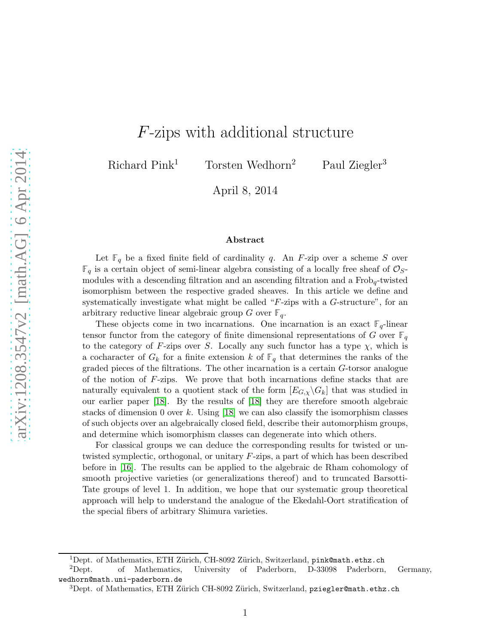# F-zips with additional structure

Richard Pink<sup>1</sup> Torsten Wedhorn<sup>2</sup> Paul Ziegler<sup>3</sup>

April 8, 2014

#### Abstract

Let  $\mathbb{F}_q$  be a fixed finite field of cardinality q. An F-zip over a scheme S over  $\mathbb{F}_q$  is a certain object of semi-linear algebra consisting of a locally free sheaf of  $\mathcal{O}_S$ modules with a descending filtration and an ascending filtration and a Frobq-twisted isomorphism between the respective graded sheaves. In this article we define and systematically investigate what might be called " $F$ -zips with a  $G$ -structure", for an arbitrary reductive linear algebraic group G over  $\mathbb{F}_q$ .

These objects come in two incarnations. One incarnation is an exact  $\mathbb{F}_q$ -linear tensor functor from the category of finite dimensional representations of G over  $\mathbb{F}_q$ to the category of F-zips over S. Locally any such functor has a type  $\chi$ , which is a cocharacter of  $G_k$  for a finite extension k of  $\mathbb{F}_q$  that determines the ranks of the graded pieces of the filtrations. The other incarnation is a certain G-torsor analogue of the notion of F-zips. We prove that both incarnations define stacks that are naturally equivalent to a quotient stack of the form  $[E_{G,\chi}\backslash G_k]$  that was studied in our earlier paper [\[18\]](#page-48-0). By the results of [\[18\]](#page-48-0) they are therefore smooth algebraic stacks of dimension 0 over k. Using [\[18\]](#page-48-0) we can also classify the isomorphism classes of such objects over an algebraically closed field, describe their automorphism groups, and determine which isomorphism classes can degenerate into which others.

For classical groups we can deduce the corresponding results for twisted or untwisted symplectic, orthogonal, or unitary F-zips, a part of which has been described before in [\[16\]](#page-48-1). The results can be applied to the algebraic de Rham cohomology of smooth projective varieties (or generalizations thereof) and to truncated Barsotti-Tate groups of level 1. In addition, we hope that our systematic group theoretical approach will help to understand the analogue of the Ekedahl-Oort stratification of the special fibers of arbitrary Shimura varieties.

<sup>&</sup>lt;sup>1</sup>Dept. of Mathematics, ETH Zürich, CH-8092 Zürich, Switzerland, pink@math.ethz.ch

<sup>2</sup>Dept. of Mathematics, University of Paderborn, D-33098 Paderborn, Germany, wedhorn@math.uni-paderborn.de

 $3$ Dept. of Mathematics, ETH Zürich CH-8092 Zürich, Switzerland, pziegler@math.ethz.ch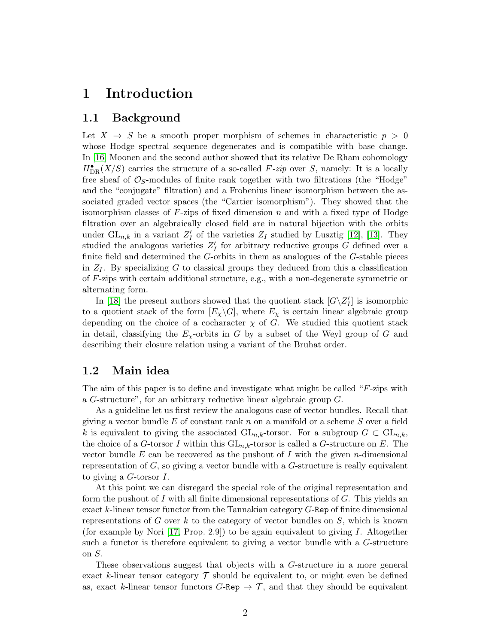# 1 Introduction

#### 1.1 Background

Let  $X \rightarrow S$  be a smooth proper morphism of schemes in characteristic  $p > 0$ whose Hodge spectral sequence degenerates and is compatible with base change. In [\[16\]](#page-48-1) Moonen and the second author showed that its relative De Rham cohomology  $H_{\text{DR}}^{\bullet}(X/S)$  carries the structure of a so-called F-zip over S, namely: It is a locally free sheaf of  $\mathcal{O}_S$ -modules of finite rank together with two filtrations (the "Hodge" and the "conjugate" filtration) and a Frobenius linear isomorphism between the associated graded vector spaces (the "Cartier isomorphism"). They showed that the isomorphism classes of  $F$ -zips of fixed dimension n and with a fixed type of Hodge filtration over an algebraically closed field are in natural bijection with the orbits under  $\mathrm{GL}_{n,k}$  in a variant  $Z'_I$  of the varieties  $Z_I$  studied by Lusztig [\[12\]](#page-48-2), [\[13\]](#page-48-3). They studied the analogous varieties  $Z'_{I}$  for arbitrary reductive groups G defined over a finite field and determined the G-orbits in them as analogues of the G-stable pieces in  $Z_I$ . By specializing G to classical groups they deduced from this a classification of F-zips with certain additional structure, e.g., with a non-degenerate symmetric or alternating form.

In [\[18\]](#page-48-0) the present authors showed that the quotient stack  $[G\backslash Z'_I]$  is isomorphic to a quotient stack of the form  $[E_{\chi}\backslash G]$ , where  $E_{\chi}$  is certain linear algebraic group depending on the choice of a cocharacter  $\chi$  of G. We studied this quotient stack in detail, classifying the  $E<sub>X</sub>$ -orbits in G by a subset of the Weyl group of G and describing their closure relation using a variant of the Bruhat order.

#### 1.2 Main idea

The aim of this paper is to define and investigate what might be called "F-zips with a G-structure", for an arbitrary reductive linear algebraic group G.

As a guideline let us first review the analogous case of vector bundles. Recall that giving a vector bundle  $E$  of constant rank  $n$  on a manifold or a scheme  $S$  over a field k is equivalent to giving the associated  $\mathrm{GL}_{n,k}$ -torsor. For a subgroup  $G \subset \mathrm{GL}_{n,k}$ , the choice of a G-torsor I within this  $GL_{n,k}$ -torsor is called a G-structure on E. The vector bundle E can be recovered as the pushout of I with the given *n*-dimensional representation of  $G$ , so giving a vector bundle with a  $G$ -structure is really equivalent to giving a G-torsor I.

At this point we can disregard the special role of the original representation and form the pushout of I with all finite dimensional representations of  $G$ . This yields an exact k-linear tensor functor from the Tannakian category G-Rep of finite dimensional representations of G over k to the category of vector bundles on  $S$ , which is known (for example by Nori [\[17,](#page-48-4) Prop. 2.9]) to be again equivalent to giving I. Altogether such a functor is therefore equivalent to giving a vector bundle with a G-structure on S.

These observations suggest that objects with a G-structure in a more general exact k-linear tensor category  $\mathcal T$  should be equivalent to, or might even be defined as, exact k-linear tensor functors  $G$ -Rep  $\rightarrow \mathcal{T}$ , and that they should be equivalent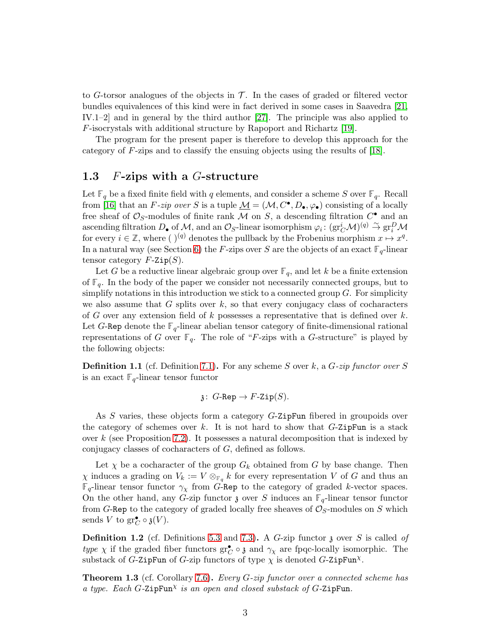to G-torsor analogues of the objects in  $\mathcal{T}$ . In the cases of graded or filtered vector bundles equivalences of this kind were in fact derived in some cases in Saavedra [\[21,](#page-48-5) IV.1–2] and in general by the third author [\[27\]](#page-49-0). The principle was also applied to F-isocrystals with additional structure by Rapoport and Richartz [\[19\]](#page-48-6).

The program for the present paper is therefore to develop this approach for the category of F-zips and to classify the ensuing objects using the results of [\[18\]](#page-48-0).

#### 1.3 F-zips with a G-structure

Let  $\mathbb{F}_q$  be a fixed finite field with q elements, and consider a scheme S over  $\mathbb{F}_q$ . Recall from [\[16\]](#page-48-1) that an F-zip over S is a tuple  $\underline{\mathcal{M}} = (\mathcal{M}, C^{\bullet}, D_{\bullet}, \varphi_{\bullet})$  consisting of a locally free sheaf of  $\mathcal{O}_S$ -modules of finite rank  $\mathcal M$  on  $S$ , a descending filtration  $C^{\bullet}$  and an ascending filtration  $D_{\bullet}$  of  $\mathcal{M}$ , and an  $\mathcal{O}_S$ -linear isomorphism  $\varphi_i: (\operatorname{gr}^i_C \mathcal{M})^{(q)} \stackrel{\sim}{\to} \operatorname{gr}^D_i \mathcal{M}$ for every  $i \in \mathbb{Z}$ , where  $\left(\right)^{(q)}$  denotes the pullback by the Frobenius morphism  $x \mapsto x^q$ . In a natural way (see Section [6\)](#page-24-0) the F-zips over S are the objects of an exact  $\mathbb{F}_q$ -linear tensor category  $F$ -Zip $(S)$ .

Let G be a reductive linear algebraic group over  $\mathbb{F}_q$ , and let k be a finite extension of  $\mathbb{F}_q$ . In the body of the paper we consider not necessarily connected groups, but to simplify notations in this introduction we stick to a connected group  $G$ . For simplicity we also assume that G splits over  $k$ , so that every conjugacy class of cocharacters of G over any extension field of k possesses a representative that is defined over  $k$ . Let G-Rep denote the  $\mathbb{F}_q$ -linear abelian tensor category of finite-dimensional rational representations of G over  $\mathbb{F}_q$ . The role of "F-zips with a G-structure" is played by the following objects:

**Definition 1.1** (cf. Definition 7.1). For any scheme S over k, a  $G$ -zip functor over S is an exact  $\mathbb{F}_q$ -linear tensor functor

$$
\mathfrak{z}\colon G\text{-Rep}\to F\text{-Zip}(S).
$$

As S varies, these objects form a category G-ZipFun fibered in groupoids over the category of schemes over k. It is not hard to show that  $G$ -ZipFun is a stack over  $k$  (see Proposition [7.2\)](#page-27-0). It possesses a natural decomposition that is indexed by conjugacy classes of cocharacters of G, defined as follows.

Let  $\chi$  be a cocharacter of the group  $G_k$  obtained from G by base change. Then  $\chi$  induces a grading on  $V_k := V \otimes_{\mathbb{F}_q} k$  for every representation V of G and thus an  $\mathbb{F}_q$ -linear tensor functor  $\gamma_\chi$  from G-Rep to the category of graded k-vector spaces. On the other hand, any G-zip functor  $\mathfrak z$  over S induces an  $\mathbb F_q$ -linear tensor functor from G-Rep to the category of graded locally free sheaves of  $\mathcal{O}_S$ -modules on S which sends V to  $gr_C^{\bullet} \circ \mathfrak{z}(V)$ .

**Definition 1.2** (cf. Definitions [5.3](#page-23-0) and [7.3\)](#page-28-0). A G-zip functor  $\jmath$  over S is called of type  $\chi$  if the graded fiber functors  $gr_C^{\bullet} \circ \mathfrak{z}$  and  $\gamma_{\chi}$  are fpqc-locally isomorphic. The substack of G-ZipFun of G-zip functors of type  $\chi$  is denoted G-ZipFun<sup> $\chi$ </sup>.

**Theorem 1.3** (cf. Corollary 7.6). Every  $G$ -zip functor over a connected scheme has a type. Each  $G$ -ZipFun<sup> $\chi$ </sup> is an open and closed substack of  $G$ -ZipFun.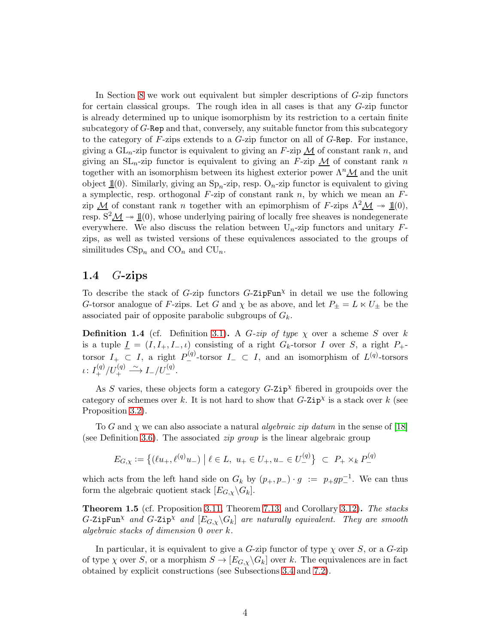In Section [8](#page-31-0) we work out equivalent but simpler descriptions of G-zip functors for certain classical groups. The rough idea in all cases is that any G-zip functor is already determined up to unique isomorphism by its restriction to a certain finite subcategory of G-Rep and that, conversely, any suitable functor from this subcategory to the category of  $F$ -zips extends to a  $G$ -zip functor on all of  $G$ -Rep. For instance, giving a  $GL_n$ -zip functor is equivalent to giving an F-zip  $\mathcal M$  of constant rank n, and giving an  $SL_n$ -zip functor is equivalent to giving an F-zip  $M$  of constant rank n together with an isomorphism between its highest exterior power  $\Lambda^n \mathcal{M}$  and the unit object  $\underline{\mathbb{1}}(0)$ . Similarly, giving an  $\text{Sp}_n$ -zip, resp.  $\text{O}_n$ -zip functor is equivalent to giving a symplectic, resp. orthogonal  $F$ -zip of constant rank  $n$ , by which we mean an  $F$ zip  $M$  of constant rank n together with an epimorphism of F-zips  $\Lambda^2 M \rightarrow \mathbb{1}(0)$ , resp.  $S^2 \mathcal{M} \rightarrow \mathbb{1}(0)$ , whose underlying pairing of locally free sheaves is nondegenerate everywhere. We also discuss the relation between  $U_n$ -zip functors and unitary  $F$ zips, as well as twisted versions of these equivalences associated to the groups of similitudes  $CSp_n$  and  $CO_n$  and  $CU_n$ .

#### 1.4  $G$ -zips

To describe the stack of G-zip functors  $G$ -ZipFun<sup> $\chi$ </sup> in detail we use the following G-torsor analogue of F-zips. Let G and  $\chi$  be as above, and let  $P_{\pm} = L \ltimes U_{\pm}$  be the associated pair of opposite parabolic subgroups of  $G_k$ .

**Definition 1.4** (cf. Definition [3.1\)](#page-9-0). A G-zip of type  $\chi$  over a scheme S over k is a tuple  $\underline{I} = (I, I_+, I_-, \iota)$  consisting of a right  $G_k$ -torsor I over S, a right  $P_+$ torsor  $I_+ \subset I$ , a right  $P_{-}^{(q)}$ -torsor  $I_- \subset I$ , and an isomorphism of  $L^{(q)}$ -torsors  $\iota\colon I_+^{(q)}/U_+^{(q)}\stackrel{\sim}{\longrightarrow} I_-/U_-^{(q)}.$ 

As S varies, these objects form a category  $G$ -Zip<sup> $\chi$ </sup> fibered in groupoids over the category of schemes over k. It is not hard to show that  $G$ -Zip<sup> $\chi$ </sup> is a stack over k (see Proposition [3.2\)](#page-10-0).

To G and  $\chi$  we can also associate a natural *algebraic zip datum* in the sense of [\[18\]](#page-48-0) (see Definition [3.6\)](#page-11-0). The associated *zip group* is the linear algebraic group

$$
E_{G,\chi} := \{ (\ell u_+, \ell^{(q)} u_-) \mid \ell \in L, u_+ \in U_+, u_- \in U_-^{(q)} \} \subset P_+ \times_k P_-^{(q)}
$$

which acts from the left hand side on  $G_k$  by  $(p_+, p_-) \cdot g := p_+ gp^{-1}$ . We can thus form the algebraic quotient stack  $[E_{G,\chi}\backslash G_k]$ .

<span id="page-3-0"></span>**Theorem 1.5** (cf. Proposition [3.11,](#page-12-0) Theorem [7.13,](#page-30-0) and Corollary [3.12\)](#page-12-1). The stacks  $G$ -ZipFun<sup> $\chi$ </sup> and  $G$ -Zip $^{\chi}$  and  $[E_{G,\chi}\backslash G_k]$  are naturally equivalent. They are smooth algebraic stacks of dimension 0 over k.

In particular, it is equivalent to give a G-zip functor of type  $\chi$  over S, or a G-zip of type  $\chi$  over S, or a morphism  $S \to [E_{G,\chi} \backslash G_k]$  over k. The equivalences are in fact obtained by explicit constructions (see Subsections [3.4](#page-10-1) and [7.2\)](#page-28-1).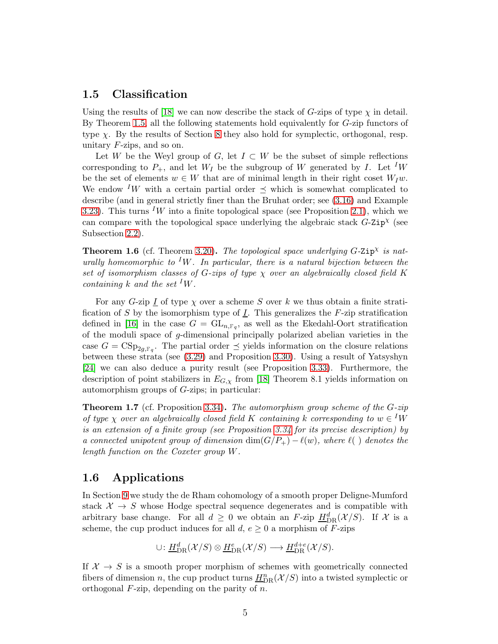### 1.5 Classification

Using the results of [\[18\]](#page-48-0) we can now describe the stack of G-zips of type  $\chi$  in detail. By Theorem [1.5,](#page-3-0) all the following statements hold equivalently for G-zip functors of type  $\chi$ . By the results of Section [8](#page-31-0) they also hold for symplectic, orthogonal, resp. unitary  $F$ -zips, and so on.

Let W be the Weyl group of G, let  $I \subset W$  be the subset of simple reflections corresponding to  $P_+$ , and let  $W_I$  be the subgroup of W generated by I. Let <sup>I</sup>W be the set of elements  $w \in W$  that are of minimal length in their right coset  $W_I w$ . We endow <sup>I</sup>W with a certain partial order  $\preceq$  which is somewhat complicated to describe (and in general strictly finer than the Bruhat order; see [\(3.16\)](#page-14-0) and Example [3.23\)](#page-15-0). This turns <sup>I</sup>W into a finite topological space (see Proposition [2.1\)](#page-6-0), which we can compare with the topological space underlying the algebraic stack  $G$ -Zip<sup> $\chi$ </sup> (see Subsection [2.2\)](#page-6-1).

**Theorem 1.6** (cf. Theorem [3.20\)](#page-15-1). The topological space underlying  $G$ -Zip<sup> $\chi$ </sup> is naturally homeomorphic to <sup>I</sup>W. In particular, there is a natural bijection between the set of isomorphism classes of G-zips of type  $\chi$  over an algebraically closed field K containing k and the set  $^I W$ .

For any G-zip  $\underline{I}$  of type  $\chi$  over a scheme S over k we thus obtain a finite stratification of S by the isomorphism type of  $\underline{I}$ . This generalizes the F-zip stratification defined in [\[16\]](#page-48-1) in the case  $G = GL_{n,\mathbb{F}_q}$ , as well as the Ekedahl-Oort stratification of the moduli space of g-dimensional principally polarized abelian varieties in the case  $G = \text{CSp}_{2g, F_q}$ . The partial order  $\preceq$  yields information on the closure relations between these strata (see [\(3.29\)](#page-16-0) and Proposition [3.30\)](#page-17-0). Using a result of Yatsyshyn [\[24\]](#page-48-7) we can also deduce a purity result (see Proposition [3.33\)](#page-17-1). Furthermore, the description of point stabilizers in  $E_{G,\chi}$  from [\[18\]](#page-48-0) Theorem 8.1 yields information on automorphism groups of G-zips; in particular:

Theorem 1.7 (cf. Proposition 3.34). The automorphism group scheme of the G-zip of type  $\chi$  over an algebraically closed field K containing k corresponding to  $w \in {}^I W$ is an extension of a finite group (see Proposition 3.34 for its precise description) by a connected unipotent group of dimension  $\dim(G/P_+) - \ell(w)$ , where  $\ell(\ )$  denotes the length function on the Coxeter group W.

#### 1.6 Applications

In Section [9](#page-40-0) we study the de Rham cohomology of a smooth proper Deligne-Mumford stack  $X \rightarrow S$  whose Hodge spectral sequence degenerates and is compatible with arbitrary base change. For all  $d \geq 0$  we obtain an F-zip  $H^d_{DR}(\mathcal{X}/S)$ . If X is a scheme, the cup product induces for all  $d, e \geq 0$  a morphism of F-zips

$$
\cup: \underline{H}^d_{\mathrm{DR}}(\mathcal{X}/S) \otimes \underline{H}^e_{\mathrm{DR}}(\mathcal{X}/S) \longrightarrow \underline{H}^{d+e}_{\mathrm{DR}}(\mathcal{X}/S).
$$

If  $X \to S$  is a smooth proper morphism of schemes with geometrically connected fibers of dimension n, the cup product turns  $\underline{H}_{\mathrm{DR}}^n(\mathcal{X}/S)$  into a twisted symplectic or orthogonal  $F$ -zip, depending on the parity of  $n$ .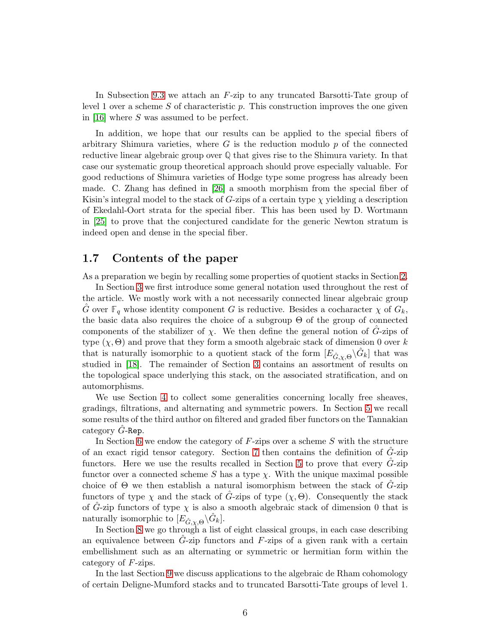In Subsection [9.3](#page-44-0) we attach an F-zip to any truncated Barsotti-Tate group of level 1 over a scheme  $S$  of characteristic  $p$ . This construction improves the one given in [\[16\]](#page-48-1) where S was assumed to be perfect.

In addition, we hope that our results can be applied to the special fibers of arbitrary Shimura varieties, where  $G$  is the reduction modulo  $p$  of the connected reductive linear algebraic group over **Q** that gives rise to the Shimura variety. In that case our systematic group theoretical approach should prove especially valuable. For good reductions of Shimura varieties of Hodge type some progress has already been made. C. Zhang has defined in [\[26\]](#page-49-1) a smooth morphism from the special fiber of Kisin's integral model to the stack of G-zips of a certain type  $\chi$  yielding a description of Ekedahl-Oort strata for the special fiber. This has been used by D. Wortmann in [\[25\]](#page-49-2) to prove that the conjectured candidate for the generic Newton stratum is indeed open and dense in the special fiber.

#### 1.7 Contents of the paper

As a preparation we begin by recalling some properties of quotient stacks in Section [2.](#page-6-2)

In Section [3](#page-8-0) we first introduce some general notation used throughout the rest of the article. We mostly work with a not necessarily connected linear algebraic group G over  $\mathbb{F}_q$  whose identity component G is reductive. Besides a cocharacter  $\chi$  of  $G_k$ , the basic data also requires the choice of a subgroup Θ of the group of connected components of the stabilizer of  $\chi$ . We then define the general notion of G-zips of type  $(\chi, \Theta)$  and prove that they form a smooth algebraic stack of dimension 0 over k that is naturally isomorphic to a quotient stack of the form  $[E_{\hat{G}, \chi, \Theta} \backslash \hat{G}_k]$  that was studied in [\[18\]](#page-48-0). The remainder of Section [3](#page-8-0) contains an assortment of results on the topological space underlying this stack, on the associated stratification, and on automorphisms.

We use Section [4](#page-18-0) to collect some generalities concerning locally free sheaves, gradings, filtrations, and alternating and symmetric powers. In Section [5](#page-22-0) we recall some results of the third author on filtered and graded fiber functors on the Tannakian category  $G$ -Rep.

In Section [6](#page-24-0) we endow the category of  $F$ -zips over a scheme  $S$  with the structure of an exact rigid tensor category. Section [7](#page-26-0) then contains the definition of  $\hat{G}$ -zip functors. Here we use the results recalled in Section [5](#page-22-0) to prove that every  $G$ -zip functor over a connected scheme S has a type  $\chi$ . With the unique maximal possible choice of  $\Theta$  we then establish a natural isomorphism between the stack of  $G$ -zip functors of type  $\chi$  and the stack of G-zips of type  $(\chi, \Theta)$ . Consequently the stack of  $\tilde{G}$ -zip functors of type  $\chi$  is also a smooth algebraic stack of dimension 0 that is naturally isomorphic to  $[E_{\hat{G}, \chi, \Theta} \backslash \hat{G}_k].$ 

In Section [8](#page-31-0) we go through a list of eight classical groups, in each case describing an equivalence between  $\tilde{G}$ -zip functors and  $F$ -zips of a given rank with a certain embellishment such as an alternating or symmetric or hermitian form within the category of F-zips.

In the last Section [9](#page-40-0) we discuss applications to the algebraic de Rham cohomology of certain Deligne-Mumford stacks and to truncated Barsotti-Tate groups of level 1.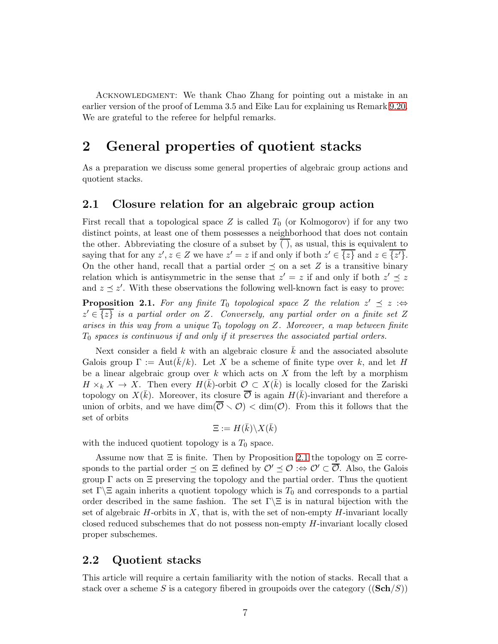Acknowledgment: We thank Chao Zhang for pointing out a mistake in an earlier version of the proof of Lemma 3.5 and Eike Lau for explaining us Remark [9.20.](#page-45-0) We are grateful to the referee for helpful remarks.

# <span id="page-6-2"></span>2 General properties of quotient stacks

As a preparation we discuss some general properties of algebraic group actions and quotient stacks.

#### <span id="page-6-3"></span>2.1 Closure relation for an algebraic group action

First recall that a topological space Z is called  $T_0$  (or Kolmogorov) if for any two distinct points, at least one of them possesses a neighborhood that does not contain the other. Abbreviating the closure of a subset by ( ), as usual, this is equivalent to saying that for any  $z', z \in Z$  we have  $z' = z$  if and only if both  $z' \in \overline{\{z\}}$  and  $z \in \overline{\{z'\}}$ . On the other hand, recall that a partial order  $\preceq$  on a set Z is a transitive binary relation which is antisymmetric in the sense that  $z' = z$  if and only if both  $z' \preceq z$ and  $z \preceq z'$ . With these observations the following well-known fact is easy to prove:

<span id="page-6-0"></span>**Proposition 2.1.** For any finite  $T_0$  topological space Z the relation  $z' \preceq z : \Leftrightarrow$  $z' \in \overline{\{z\}}$  is a partial order on Z. Conversely, any partial order on a finite set Z arises in this way from a unique  $T_0$  topology on Z. Moreover, a map between finite  $T_0$  spaces is continuous if and only if it preserves the associated partial orders.

Next consider a field k with an algebraic closure  $\overline{k}$  and the associated absolute Galois group  $\Gamma := \text{Aut}(k/k)$ . Let X be a scheme of finite type over k, and let H be a linear algebraic group over  $k$  which acts on  $X$  from the left by a morphism  $H \times_k X \to X$ . Then every  $H(\bar{k})$ -orbit  $\mathcal{O} \subset X(\bar{k})$  is locally closed for the Zariski topology on  $X(\bar{k})$ . Moreover, its closure  $\overline{\mathcal{O}}$  is again  $H(\bar{k})$ -invariant and therefore a union of orbits, and we have  $\dim(\overline{\mathcal{O}} \setminus \mathcal{O}) < \dim(\mathcal{O})$ . From this it follows that the set of orbits

$$
\Xi := H(\bar{k}) \backslash X(\bar{k})
$$

with the induced quotient topology is a  $T_0$  space.

Assume now that  $\Xi$  is finite. Then by Proposition [2.1](#page-6-0) the topology on  $\Xi$  corresponds to the partial order  $\preceq$  on  $\Xi$  defined by  $\mathcal{O}' \preceq \mathcal{O} : \Leftrightarrow \mathcal{O}' \subset \overline{\mathcal{O}}$ . Also, the Galois group  $\Gamma$  acts on  $\Xi$  preserving the topology and the partial order. Thus the quotient set Γ $\Box$  again inherits a quotient topology which is  $T_0$  and corresponds to a partial order described in the same fashion. The set  $\Gamma \setminus \Xi$  is in natural bijection with the set of algebraic  $H$ -orbits in  $X$ , that is, with the set of non-empty  $H$ -invariant locally closed reduced subschemes that do not possess non-empty H-invariant locally closed proper subschemes.

#### <span id="page-6-1"></span>2.2 Quotient stacks

This article will require a certain familiarity with the notion of stacks. Recall that a stack over a scheme S is a category fibered in groupoids over the category  $((\mathbf{Sch}/S))$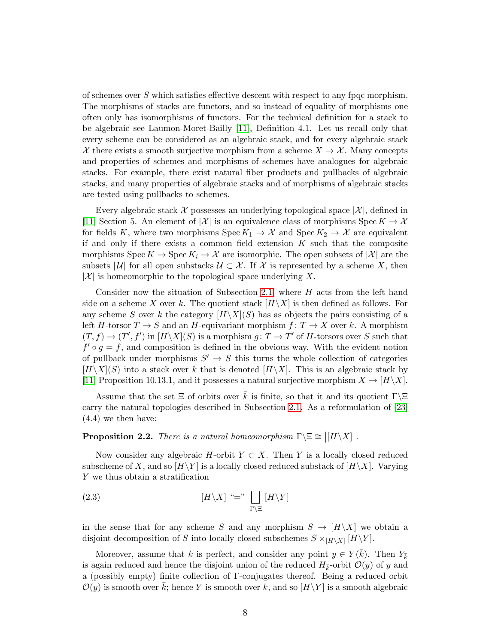of schemes over  $S$  which satisfies effective descent with respect to any fpqc morphism. The morphisms of stacks are functors, and so instead of equality of morphisms one often only has isomorphisms of functors. For the technical definition for a stack to be algebraic see Laumon-Moret-Bailly [\[11\]](#page-48-8), Definition 4.1. Let us recall only that every scheme can be considered as an algebraic stack, and for every algebraic stack X there exists a smooth surjective morphism from a scheme  $X \to \mathcal{X}$ . Many concepts and properties of schemes and morphisms of schemes have analogues for algebraic stacks. For example, there exist natural fiber products and pullbacks of algebraic stacks, and many properties of algebraic stacks and of morphisms of algebraic stacks are tested using pullbacks to schemes.

Every algebraic stack  $\mathcal X$  possesses an underlying topological space  $|\mathcal X|$ , defined in [\[11\]](#page-48-8) Section 5. An element of  $|\mathcal{X}|$  is an equivalence class of morphisms Spec  $K \to \mathcal{X}$ for fields K, where two morphisms  $Spec K_1 \rightarrow \mathcal{X}$  and  $Spec K_2 \rightarrow \mathcal{X}$  are equivalent if and only if there exists a common field extension  $K$  such that the composite morphisms  $\operatorname{Spec} K \to \operatorname{Spec} K_i \to \mathcal{X}$  are isomorphic. The open subsets of  $|\mathcal{X}|$  are the subsets |  $\mathcal{U}$ | for all open substacks  $\mathcal{U} \subset \mathcal{X}$ . If X is represented by a scheme X, then  $|\mathcal{X}|$  is homeomorphic to the topological space underlying X.

Consider now the situation of Subsection [2.1,](#page-6-3) where  $H$  acts from the left hand side on a scheme X over k. The quotient stack  $[H\setminus X]$  is then defined as follows. For any scheme S over k the category  $[H\setminus X](S)$  has as objects the pairs consisting of a left H-torsor  $T \to S$  and an H-equivariant morphism  $f: T \to X$  over k. A morphism  $(T, f) \to (T', f')$  in  $[H\backslash X](S)$  is a morphism  $g: T \to T'$  of H-torsors over S such that  $f' \circ g = f$ , and composition is defined in the obvious way. With the evident notion of pullback under morphisms  $S' \to S$  this turns the whole collection of categories  $[H\setminus X](S)$  into a stack over k that is denoted  $[H\setminus X]$ . This is an algebraic stack by [\[11\]](#page-48-8) Proposition 10.13.1, and it possesses a natural surjective morphism  $X \to [H \setminus X]$ .

Assume that the set  $\Xi$  of orbits over k is finite, so that it and its quotient  $\Gamma\setminus\Xi$ carry the natural topologies described in Subsection [2.1.](#page-6-3) As a reformulation of [\[23\]](#page-48-9) (4.4) we then have:

# <span id="page-7-0"></span>**Proposition 2.2.** There is a natural homeomorphism  $\Gamma \setminus \Xi \cong |[H \setminus X]|$ .

Now consider any algebraic H-orbit  $Y \subset X$ . Then Y is a locally closed reduced subscheme of X, and so  $[H\setminus Y]$  is a locally closed reduced substack of  $[H\setminus X]$ . Varying Y we thus obtain a stratification

(2.3) 
$$
[H \setminus X] \stackrel{\cdot}{\cdot} = " \bigsqcup_{\Gamma \setminus \Xi} [H \setminus Y]
$$

in the sense that for any scheme S and any morphism  $S \to [H\setminus X]$  we obtain a disjoint decomposition of S into locally closed subschemes  $S \times_{[H \setminus X]} [H \setminus Y]$ .

Moreover, assume that k is perfect, and consider any point  $y \in Y(\bar{k})$ . Then  $Y_{\bar{k}}$ is again reduced and hence the disjoint union of the reduced  $H_{\bar{k}}$ -orbit  $\mathcal{O}(y)$  of y and a (possibly empty) finite collection of Γ-conjugates thereof. Being a reduced orbit  $\mathcal{O}(y)$  is smooth over  $\bar{k}$ ; hence Y is smooth over k, and so  $[H\setminus Y]$  is a smooth algebraic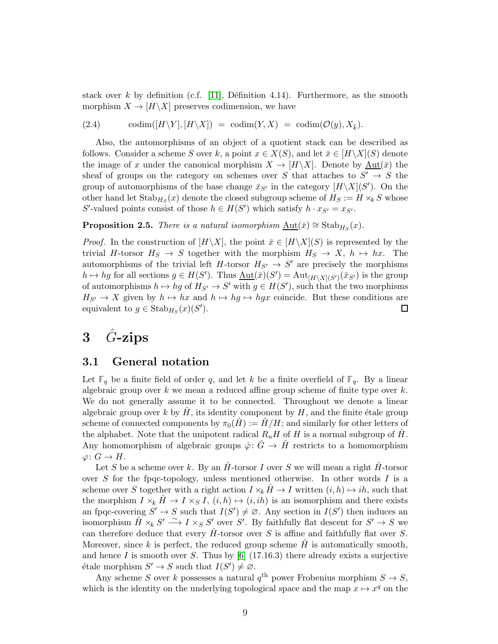stack over k by definition (c.f. [\[11\]](#page-48-8), Définition 4.14). Furthermore, as the smooth morphism  $X \to [H \backslash X]$  preserves codimension, we have

<span id="page-8-2"></span>(2.4) codim( $[H\setminus Y], [H\setminus X]$  = codim( $Y, X$ ) = codim( $\mathcal{O}(y), X_{\bar{k}}$ ).

Also, the automorphisms of an object of a quotient stack can be described as follows. Consider a scheme S over k, a point  $x \in X(S)$ , and let  $\bar{x} \in [H \setminus X](S)$  denote the image of x under the canonical morphism  $X \to [H\setminus X]$ . Denote by  $\underline{\mathrm{Aut}}(\bar{x})$  the sheaf of groups on the category on schemes over S that attaches to  $S' \rightarrow S$  the group of automorphisms of the base change  $\bar{x}_{S'}$  in the category  $[H\setminus X](S')$ . On the other hand let  $\operatorname{Stab}_{H_S}(x)$  denote the closed subgroup scheme of  $H_S := H \times_k S$  whose S'-valued points consist of those  $h \in H(S')$  which satisfy  $h \cdot x_{S'} = x_{S'}$ .

<span id="page-8-3"></span>**Proposition 2.5.** There is a natural isomorphism  $\underline{\mathrm{Aut}}(\bar{x}) \cong \mathrm{Stab}_{H_S}(x)$ .

*Proof.* In the construction of  $[H\setminus X]$ , the point  $\bar{x} \in [H\setminus X](S)$  is represented by the trivial H-torsor  $H_S \to S$  together with the morphism  $H_S \to X$ ,  $h \mapsto hx$ . The automorphisms of the trivial left  $H$ -torsor  $H_{S'} \to S'$  are precisely the morphisms  $h \mapsto hg$  for all sections  $g \in H(S')$ . Thus  $\underline{\mathrm{Aut}}(\bar{x})(S') = \mathrm{Aut}_{[H \setminus X](S')}(\bar{x}_{S'})$  is the group of automorphisms  $h \mapsto hg$  of  $H_{S'} \to S'$  with  $g \in H(S')$ , such that the two morphisms  $H_{S'} \to X$  given by  $h \mapsto hx$  and  $h \mapsto hg \mapsto hgx$  coincide. But these conditions are equivalent to  $g \in \text{Stab}_{H_S}(x)(S')$ . 口

# <span id="page-8-0"></span> $3 \quad \hat{G}$ -zips

### <span id="page-8-1"></span>3.1 General notation

Let  $\mathbb{F}_q$  be a finite field of order q, and let k be a finite overfield of  $\mathbb{F}_q$ . By a linear algebraic group over  $k$  we mean a reduced affine group scheme of finite type over  $k$ . We do not generally assume it to be connected. Throughout we denote a linear algebraic group over k by  $\hat{H}$ , its identity component by  $H$ , and the finite étale group scheme of connected components by  $\pi_0(H) := H/H$ ; and similarly for other letters of the alphabet. Note that the unipotent radical  $R_uH$  of H is a normal subgroup of  $\hat{H}$ . Any homomorphism of algebraic groups  $\hat{\varphi}$ :  $\hat{G} \to \hat{H}$  restricts to a homomorphism  $\varphi\colon G\to H.$ 

Let S be a scheme over k. By an  $H$ -torsor I over S we will mean a right  $H$ -torsor over S for the fpqc-topology, unless mentioned otherwise. In other words I is a scheme over S together with a right action  $I \times_k H \to I$  written  $(i, h) \mapsto ih$ , such that the morphism  $I \times_k \hat{H} \to I \times_S I$ ,  $(i, h) \mapsto (i, ih)$  is an isomorphism and there exists an fpqc-covering  $S' \to S$  such that  $I(S') \neq \emptyset$ . Any section in  $I(S')$  then induces an isomorphism  $\hat{H} \times_k S' \longrightarrow I \times_S S'$  over S'. By faithfully flat descent for  $S' \to S$  we can therefore deduce that every  $H$ -torsor over S is affine and faithfully flat over S. Moreover, since  $k$  is perfect, the reduced group scheme  $H$  is automatically smooth, and hence  $I$  is smooth over  $S$ . Thus by [\[6\]](#page-47-0) (17.16.3) there already exists a surjective étale morphism  $S' \to S$  such that  $I(S') \neq \emptyset$ .

Any scheme S over k possesses a natural  $q^{\text{th}}$  power Frobenius morphism  $S \to S$ , which is the identity on the underlying topological space and the map  $x \mapsto x^q$  on the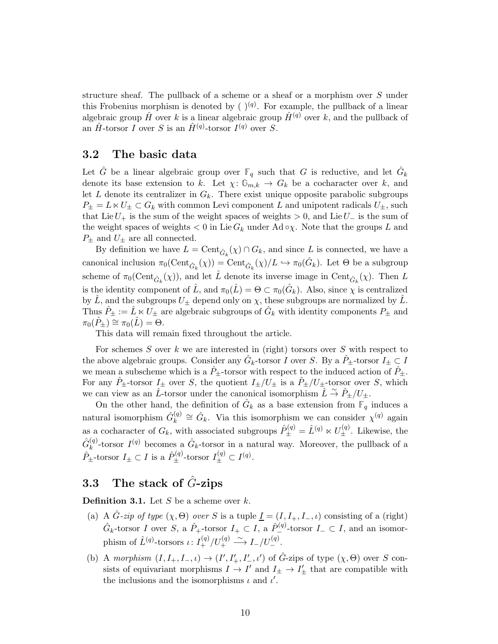structure sheaf. The pullback of a scheme or a sheaf or a morphism over S under this Frobenius morphism is denoted by  $(y^{(q)})$ . For example, the pullback of a linear algebraic group  $\hat{H}$  over k is a linear algebraic group  $\hat{H}^{(q)}$  over k, and the pullback of an  $\hat{H}$ -torsor I over S is an  $\hat{H}^{(q)}$ -torsor I<sup>(q)</sup> over S.

#### <span id="page-9-1"></span>3.2 The basic data

Let  $\hat{G}$  be a linear algebraic group over  $\mathbb{F}_q$  such that G is reductive, and let  $\hat{G}_k$ denote its base extension to k. Let  $\chi: \mathbb{G}_{m,k} \to G_k$  be a cocharacter over k, and let  $L$  denote its centralizer in  $G_k$ . There exist unique opposite parabolic subgroups  $P_{\pm} = L \ltimes U_{\pm} \subset G_k$  with common Levi component L and unipotent radicals  $U_{\pm}$ , such that Lie  $U_+$  is the sum of the weight spaces of weights  $> 0$ , and Lie  $U_-$  is the sum of the weight spaces of weights  $< 0$  in Lie  $G_k$  under Ad  $\infty$ . Note that the groups L and  $P_{\pm}$  and  $U_{\pm}$  are all connected.

By definition we have  $L = \text{Cent}_{\hat{G}_k}(\chi) \cap G_k$ , and since L is connected, we have a canonical inclusion  $\pi_0(\text{Cent}_{\hat{G}_k}(\chi)) = \text{Cent}_{\hat{G}_k}(\chi)/L \hookrightarrow \pi_0(\hat{G}_k)$ . Let  $\Theta$  be a subgroup scheme of  $\pi_0(\text{Cent}_{\hat{G}_k}(\chi))$ , and let  $\hat{L}$  denote its inverse image in  $\text{Cent}_{\hat{G}_k}(\chi)$ . Then L is the identity component of  $\hat{L}$ , and  $\pi_0(\hat{L}) = \Theta \subset \pi_0(\hat{G}_k)$ . Also, since  $\chi$  is centralized by L, and the subgroups  $U_{\pm}$  depend only on  $\chi$ , these subgroups are normalized by  $\hat{L}$ . Thus  $\hat{P}_\pm := \hat{L} \ltimes U_\pm$  are algebraic subgroups of  $\hat{G}_k$  with identity components  $P_\pm$  and  $\pi_0(P_+) \cong \pi_0(L) = \Theta.$ 

This data will remain fixed throughout the article.

For schemes  $S$  over  $k$  we are interested in (right) torsors over  $S$  with respect to the above algebraic groups. Consider any  $\hat{G}_k$ -torsor I over S. By a  $\hat{P}_\pm$ -torsor  $I_\pm \subset I$ we mean a subscheme which is a  $\hat{P}_+$ -torsor with respect to the induced action of  $\hat{P}_+$ . For any  $P_{\pm}$ -torsor  $I_{\pm}$  over S, the quotient  $I_{\pm}/U_{\pm}$  is a  $P_{\pm}/U_{\pm}$ -torsor over S, which we can view as an  $\hat{L}$ -torsor under the canonical isomorphism  $\hat{L} \stackrel{\sim}{\rightarrow} \hat{P}_{\pm}/U_{\pm}$ .

On the other hand, the definition of  $\hat{G}_k$  as a base extension from  $\mathbb{F}_q$  induces a natural isomorphism  $\hat{G}_k^{(q)}$  $\mathbf{r}_{k}^{(q)} \cong \hat{G}_{k}$ . Via this isomorphism we can consider  $\chi^{(q)}$  again as a cocharacter of  $G_k$ , with associated subgroups  $\hat{P}_{\pm}^{(q)} = \hat{L}^{(q)} \ltimes U_{\pm}^{(q)}$ . Likewise, the  $\hat{G}^{(q)}_k$  $\hat{k}^{(q)}$ -torsor  $I^{(q)}$  becomes a  $\hat{G}_k$ -torsor in a natural way. Moreover, the pullback of a  $\hat{P}_{\pm}$ -torsor  $I_{\pm} \subset I$  is a  $\hat{P}_{\pm}^{(q)}$ -torsor  $I_{\pm}^{(q)} \subset I^{(q)}$ .

### 3.3 The stack of  $\ddot{G}$ -zips

<span id="page-9-0"></span>**Definition 3.1.** Let  $S$  be a scheme over  $k$ .

- (a) A  $\hat{G}$ -zip of type  $(\chi, \Theta)$  over S is a tuple  $\underline{I} = (I, I_+, I_-, \iota)$  consisting of a (right)  $\hat{G}_k$ -torsor I over S, a  $\hat{P}_+$ -torsor  $I_+ \subset I$ , a  $\hat{P}_-^{(q)}$ -torsor  $I_- \subset I$ , and an isomorphism of  $\hat{L}^{(q)}$ -torsors  $\iota: I^{(q)}_+/U^{(q)}_+ \stackrel{\sim}{\longrightarrow} I_-/U^{(q)}_-$ .
- (b) A morphism  $(I, I_+, I_-, \iota) \to (I', I'_+, I'_-, \iota')$  of  $\hat{G}$ -zips of type  $(\chi, \Theta)$  over S consists of equivariant morphisms  $I \to I'$  and  $I_{\pm} \to I'_{\pm}$  that are compatible with the inclusions and the isomorphisms  $\iota$  and  $\iota'$ .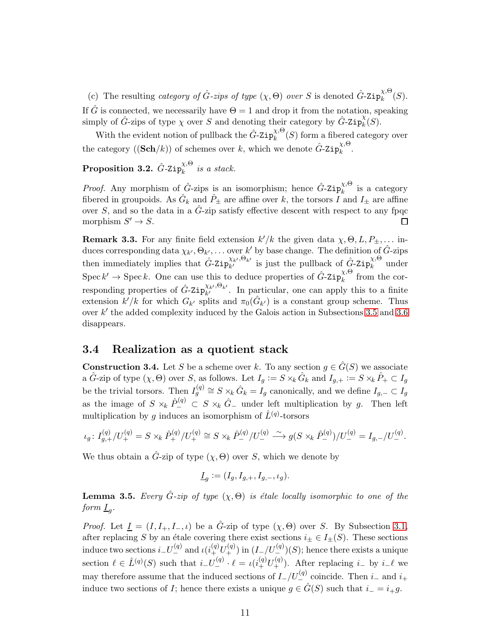(c) The resulting category of  $\hat{G}$ -zips of type  $(\chi, \Theta)$  over S is denoted  $\hat{G}$ -Zip $_k^{\chi, \Theta}$  $\lambda^{\scriptscriptstyle{(\lambda)}}_k(S).$ 

If  $\hat{G}$  is connected, we necessarily have  $\Theta = 1$  and drop it from the notation, speaking simply of  $\hat{G}$ -zips of type  $\chi$  over S and denoting their category by  $\hat{G}$ -Zip $_k^{\chi}$  $\frac{\Lambda}{k}(S).$ 

With the evident notion of pullback the  $\hat{G}$ -Zip $_k^{\chi,\Theta}$  $\lambda_k^{\lambda, \infty}(S)$  form a fibered category over the category  $((\mathbf{Sch}/k))$  of schemes over k, which we denote  $\hat{G}$ -Zip $_k^{\chi,\Theta}$  $\lambda^{,\sim}_{k}$ .

<span id="page-10-0"></span>Proposition 3.2.  $\hat{G}$ -Zip $^{\chi,\Theta}_{k}$  $\sum_{k}^{x,\circ}$  is a stack.

*Proof.* Any morphism of  $\hat{G}$ -zips is an isomorphism; hence  $\hat{G}$ -Zip $_k^{\chi,\Theta}$  $\lambda_i^{\lambda, \circ}$  is a category fibered in groupoids. As  $\hat{G}_k$  and  $\hat{P}_\pm$  are affine over k, the torsors  $\overline{I}$  and  $I_\pm$  are affine over S, and so the data in a  $\hat{G}$ -zip satisfy effective descent with respect to any fpqc morphism  $S' \to S$ .  $\Box$ 

<span id="page-10-4"></span>**Remark 3.3.** For any finite field extension  $k'/k$  the given data  $\chi$ ,  $\Theta$ ,  $L$ ,  $P_{\pm}$ ,... induces corresponding data  $\chi_{k'}, \Theta_{k'}, \ldots$  over  $k'$  by base change. The definition of  $\hat{G}$ -zips then immediately implies that  $\hat{G}$ -Zip $_{k'}^{\chi_{k'},\Theta_{k'}}$  $\hat{X}_{k'}^{\kappa,\Theta_{k'}}$  is just the pullback of  $\hat{G}$ -Zip $_k^{\chi,\Theta}$  under Spec  $k' \to \text{Spec } k$ . One can use this to deduce properties of  $\hat{G}$ -Zip $_k^{\chi,\Theta}$  $\lambda_k^{\lambda, \circ}$  from the corresponding properties of  $\hat{G}$ -Zip $_{k'}^{\chi_{k'},\Theta_{k'}}$  $\lambda_k^{k}$ . In particular, one can apply this to a finite extension  $k'/k$  for which  $G_{k'}$  splits and  $\pi_0(\hat{G}_{k'})$  is a constant group scheme. Thus over  $k'$  the added complexity induced by the Galois action in Subsections [3.5](#page-13-0) and [3.6](#page-16-1) disappears.

#### <span id="page-10-1"></span>3.4 Realization as a quotient stack

<span id="page-10-3"></span>**Construction 3.4.** Let S be a scheme over k. To any section  $g \in \hat{G}(S)$  we associate a  $\hat{G}$ -zip of type  $(\chi, \Theta)$  over S, as follows. Let  $I_g := S \times_k \hat{G}_k$  and  $I_{g,+} := S \times_k \hat{P}_+ \subset I_g$ be the trivial torsors. Then  $I_g^{(q)} \cong S \times_k \hat{G}_k = I_g$  canonically, and we define  $I_{g,-} \subset I_g$ as the image of  $S \times_k \hat{P}_{-}^{(q)} \subset S \times_k \hat{G}_{-}$  under left multiplication by g. Then left multiplication by g induces an isomorphism of  $\hat{L}^{(q)}$ -torsors

$$
\iota_g \colon I_{g,+}^{(q)}/U_+^{(q)} = S \times_k \hat{P}_+^{(q)}/U_+^{(q)} \cong S \times_k \hat{P}_-^{(q)}/U_-^{(q)} \longrightarrow g(S \times_k \hat{P}_-^{(q)})/U_-^{(q)} = I_{g,-}/U_-^{(q)}.
$$

We thus obtain a  $\hat{G}$ -zip of type  $(\chi, \Theta)$  over S, which we denote by

$$
\underline{I}_g := (I_g, I_{g,+}, I_{g,-}, \iota_g).
$$

<span id="page-10-2"></span>**Lemma 3.5.** Every  $\hat{G}$ -zip of type  $(\chi, \Theta)$  is étale locally isomorphic to one of the form  $\underline{I}_g$ .

*Proof.* Let  $\underline{I} = (I, I_+, I_-, \iota)$  be a  $\hat{G}$ -zip of type  $(\chi, \Theta)$  over S. By Subsection [3.1,](#page-8-1) after replacing S by an étale covering there exist sections  $i_{\pm} \in I_{\pm}(S)$ . These sections induce two sections  $i_{-}U_{-}^{(q)}$  and  $\iota(i_{+}^{(q)}U_{+}^{(q)})$  in  $(I_{-}/U_{-}^{(q)})(S);$  hence there exists a unique section  $\ell \in \hat{L}^{(q)}(S)$  such that  $i_{-}U_{-}^{(q)} \cdot \ell = \iota(i_{+}^{(q)}U_{+}^{(q)})$ . After replacing  $i_{-}$  by  $i_{-}\ell$  we may therefore assume that the induced sections of  $I_{-}/U_{-}^{(q)}$  coincide. Then  $i_{-}$  and  $i_{+}$ induce two sections of I; hence there exists a unique  $g \in \hat{G}(S)$  such that  $i_{-} = i_{+}g$ .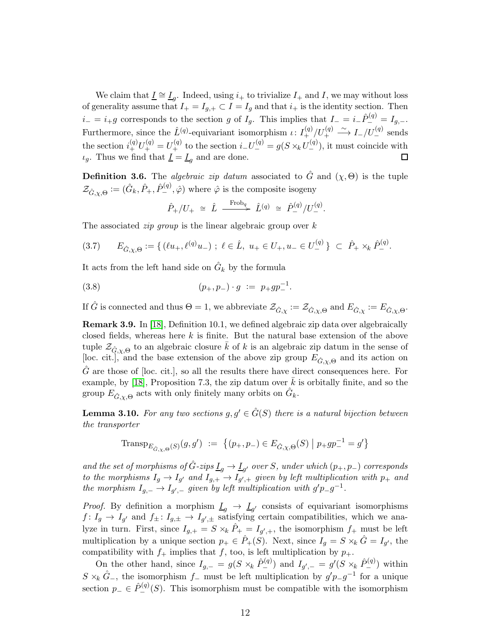We claim that  $\underline{I} \cong \underline{I}_g$ . Indeed, using  $i_+$  to trivialize  $I_+$  and  $I$ , we may without loss of generality assume that  $I_+ = I_{g,+} \subset I = I_g$  and that  $i_+$  is the identity section. Then  $i_-=i_+g$  corresponds to the section g of  $I_g$ . This implies that  $I_-=i_-\hat{P}^{(q)}_-=I_{g,-}$ . Furthermore, since the  $\hat{L}^{(q)}$ -equivariant isomorphism  $\iota: I^{(q)}_+ / U^{(q)}_+ \xrightarrow{\sim} I_- / U^{(q)}_-$  sends the section  $i_{+}^{(q)}U_{+}^{(q)}=U_{+}^{(q)}$  to the section  $i_{-}U_{-}^{(q)}=g(S\times_k U_{-}^{(q)})$ , it must coincide with  $\iota_q$ . Thus we find that  $\underline{I} = \underline{I}_q$  and are done. 口

<span id="page-11-0"></span>**Definition 3.6.** The *algebraic zip datum* associated to  $\hat{G}$  and  $(\chi, \Theta)$  is the tuple  $\mathcal{Z}_{\hat{G}, \chi, \Theta} := (\hat{G}_k, \hat{P}_+, \hat{P}_-^{(q)}, \hat{\varphi})$  where  $\hat{\varphi}$  is the composite isogeny

$$
\hat{P}_+/U_+ \cong \hat{L} \xrightarrow{\text{Frob}_q} \hat{L}^{(q)} \cong \hat{P}_-'^{(q)}/U_-^{(q)}.
$$

The associated *zip group* is the linear algebraic group over  $k$ 

$$
(3.7) \qquad E_{\hat{G}, \chi, \Theta} := \{ \left( \ell u_+, \ell^{(q)} u_- \right) \, ; \, \ell \in \hat{L}, \ u_+ \in U_+, u_- \in U_-^{(q)} \} \ \subset \ \hat{P}_+ \times_k \hat{P}_-^{(q)}.
$$

It acts from the left hand side on  $\hat{G}_k$  by the formula

(3.8) 
$$
(p_+, p_-) \cdot g \; := \; p_+ g p_-^{-1}.
$$

If  $\hat{G}$  is connected and thus  $\Theta = 1$ , we abbreviate  $\mathcal{Z}_{\hat{G}, \chi} := \mathcal{Z}_{\hat{G}, \chi, \Theta}$  and  $E_{\hat{G}, \chi} := E_{\hat{G}, \chi, \Theta}$ .

<span id="page-11-2"></span>Remark 3.9. In [\[18\]](#page-48-0), Definition 10.1, we defined algebraic zip data over algebraically closed fields, whereas here  $k$  is finite. But the natural base extension of the above tuple  $\mathcal{Z}_{\hat{G},\chi,\Theta}$  to an algebraic closure  $\bar{k}$  of k is an algebraic zip datum in the sense of [loc. cit.], and the base extension of the above zip group  $E_{\hat{G}, \chi, \Theta}$  and its action on  $\hat{G}$  are those of [loc. cit.], so all the results there have direct consequences here. For example, by [\[18\]](#page-48-0), Proposition 7.3, the zip datum over  $k$  is orbitally finite, and so the group  $E_{\hat{G}, \chi, \Theta}$  acts with only finitely many orbits on  $\hat{G}_k$ .

<span id="page-11-1"></span>**Lemma 3.10.** For any two sections  $g, g' \in \hat{G}(S)$  there is a natural bijection between the transporter

TranspEG,χ, <sup>ˆ</sup> <sup>Θ</sup> (S) (g, g′ ) := (p+, p−) ∈ EG,χ, <sup>ˆ</sup> <sup>Θ</sup> (S) <sup>p</sup>+gp−<sup>1</sup> <sup>−</sup> = g ′ 

and the set of morphisms of  $\hat{G}$ -zips  $\underline{I}_g \to \underline{I}_{g'}$  over S, under which  $(p_+, p_-)$  corresponds to the morphisms  $I_g \to I_{g'}$  and  $I_{g,+} \to I_{g',+}$  given by left multiplication with  $p_+$  and the morphism  $I_{g,-} \to I_{g',-}$  given by left multiplication with  $g'p_g^{-1}$ .

*Proof.* By definition a morphism  $\underline{I}_g \rightarrow \underline{I}_{g'}$  consists of equivariant isomorphisms  $f: I_g \to I_{g'}$  and  $f_{\pm}: I_{g,\pm} \to I_{g',\pm}$  satisfying certain compatibilities, which we analyze in turn. First, since  $I_{g,+} = S \times_k \hat{P}_+ = I_{g',+}$ , the isomorphism  $f_+$  must be left multiplication by a unique section  $p_+ \in \hat{P}_+(S)$ . Next, since  $I_g = S \times_k \hat{G} = I_{g'}$ , the compatibility with  $f_+$  implies that f, too, is left multiplication by  $p_+$ .

On the other hand, since  $I_{g,-} = g(S \times_k \hat{P}_{-}^{(q)})$  and  $I_{g',-} = g'(S \times_k \hat{P}_{-}^{(q)})$  within  $S \times_k \hat{G}$ <sub>−</sub>, the isomorphism  $f$ <sub>−</sub> must be left multiplication by  $g'p-g^{-1}$  for a unique section  $p_-\in \hat{P}^{(q)}_-(S)$ . This isomorphism must be compatible with the isomorphism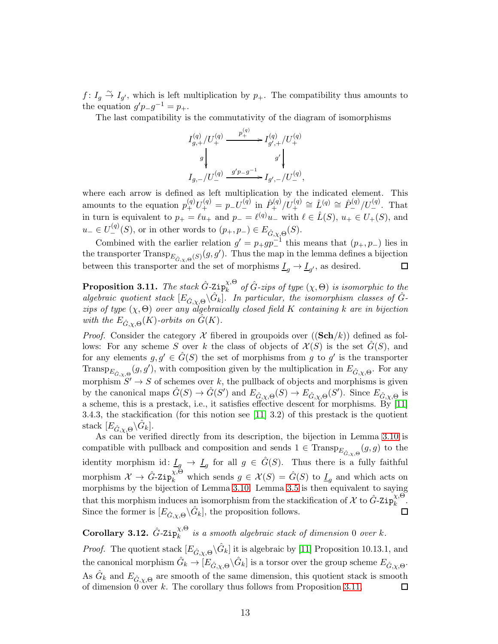$f: I_g \overset{\sim}{\to} I_{g'}$ , which is left multiplication by  $p_+$ . The compatibility thus amounts to the equation  $g'p_{-}g^{-1} = p_{+}$ .

The last compatibility is the commutativity of the diagram of isomorphisms

$$
\begin{split} &I_{g,+}^{(q)}/U_+^{(q)} \xrightarrow{\quad p_+^{(q)}} I_{g',+}^{(q)}/U_+^{(q)}\\ &g\bigg\vert\hspace{2.5cm}g'\bigg\vert\hspace{2.5cm} \\ &I_{g,-}/U_-^{(q)} \xrightarrow{\quad g'p-g^{-1}} I_{g',-}/U_-^{(q)}, \end{split}
$$

where each arrow is defined as left multiplication by the indicated element. This amounts to the equation  $p_{+}^{(q)}U_{+}^{(q)} = p_{-}U_{-}^{(q)}$  in  $\hat{P}_{+}^{(q)}/U_{+}^{(q)} \cong \hat{L}^{(q)} \cong \hat{P}_{-}^{(q)}/U_{-}^{(q)}$ . That in turn is equivalent to  $p_+ = \ell u_+$  and  $p_- = \ell^{(q)} u_-$  with  $\ell \in \hat{L}(S)$ ,  $u_+ \in U_+(S)$ , and  $u_-\in U^{(q)}_-(S)$ , or in other words to  $(p_+, p_-)\in E_{\hat{G}, \chi, \Theta}(S)$ .

Combined with the earlier relation  $g' = p_+ gp_1^{-1}$  this means that  $(p_+, p_-)$  lies in the transporter  $\text{Transp}_{E_{\hat{G},\chi,\Theta}}(s)(g,g').$  Thus the map in the lemma defines a bijection between this transporter and the set of morphisms  $\underline{I}_g \to \underline{I}_{g'}$ , as desired. □

<span id="page-12-0"></span>Proposition 3.11. The stack  $\hat{G}$ -Zip $_k^{\chi,\Theta}$  $\hat{\alpha}_k^{\chi,\Theta}$  of  $\hat{G}$ -zips of type  $(\chi,\Theta)$  is isomorphic to the algebraic quotient stack  $[E_{\hat{G},\chi,\Theta} \backslash \hat{G}_k]$ . In particular, the isomorphism classes of  $\hat{G}$ zips of type  $(\chi, \Theta)$  over any algebraically closed field K containing k are in bijection with the  $E_{\hat{G}, \chi, \Theta}(K)$ -orbits on  $\hat{G}(K)$ .

*Proof.* Consider the category  $\mathcal X$  fibered in groupoids over  $((\mathbf{Sch}/k))$  defined as follows: For any scheme S over k the class of objects of  $\mathcal{X}(S)$  is the set  $\tilde{G}(S)$ , and for any elements  $g, g' \in \hat{G}(S)$  the set of morphisms from g to g' is the transporter Transp<sub> $E_{\hat{G},\chi,\Theta}(g,g')$ , with composition given by the multiplication in  $E_{\hat{G},\chi,\Theta}$ . For any</sub> morphism  $S' \to S$  of schemes over k, the pullback of objects and morphisms is given by the canonical maps  $\hat{G}(S) \to \hat{G}(S')$  and  $E_{\hat{G}, \chi, \Theta}(S) \to E_{\hat{G}, \chi, \Theta}(S')$ . Since  $E_{\hat{G}, \chi, \Theta}$  is a scheme, this is a prestack, i.e., it satisfies effective descent for morphisms. By [\[11\]](#page-48-8) 3.4.3, the stackification (for this notion see  $[11]$  3.2) of this prestack is the quotient stack  $[E_{\hat{G}, \chi, \Theta} \backslash \hat{G}_k].$ 

As can be verified directly from its description, the bijection in Lemma [3.10](#page-11-1) is compatible with pullback and composition and sends  $1 \in \text{Transp}_{E_{\hat{G}, \chi, \Theta}}(g, g)$  to the identity morphism id:  $\underline{I}_g \to \underline{I}_g$  for all  $g \in \hat{G}(S)$ . Thus there is a fully faithful morphism  $\mathcal{X} \to \hat{G}$ -Zip $_k^{\chi,\Theta}$  which sends  $g \in \mathcal{X}(S) = \hat{G}(S)$  to  $\underline{I}_g$  and which acts on morphisms by the bijection of Lemma [3.10.](#page-11-1) Lemma [3.5](#page-10-2) is then equivalent to saying that this morphism induces an isomorphism from the stackification of  $\mathcal{X}$  to  $\hat{G}$ -Zip $_k^{\chi,\Theta}$  $\frac{\lambda}{k}$ . Since the former is  $[E_{\hat{G}, \chi, \Theta} \backslash \hat{G}_k]$ , the proposition follows.  $\Box$ 

<span id="page-12-1"></span> $\rm Corollary~3.12.~\hat{\it G}\textrm{-}{}{\tt Zip}^{\chi,\Theta}_{k}$  $\lambda_k^{\lambda, \circ}$  is a smooth algebraic stack of dimension 0 over k.

*Proof.* The quotient stack  $[E_{\hat{G}, \chi, \Theta} \backslash \hat{G}_k]$  it is algebraic by [\[11\]](#page-48-8) Proposition 10.13.1, and the canonical morphism  $\hat{G}_k \to [E_{\hat{G}, \chi, \Theta} \backslash \hat{G}_k]$  is a torsor over the group scheme  $E_{\hat{G}, \chi, \Theta}$ . As  $\hat{G}_k$  and  $E_{\hat{G}, \chi, \Theta}$  are smooth of the same dimension, this quotient stack is smooth of dimension  $0$  over k. The corollary thus follows from Proposition [3.11.](#page-12-0) ப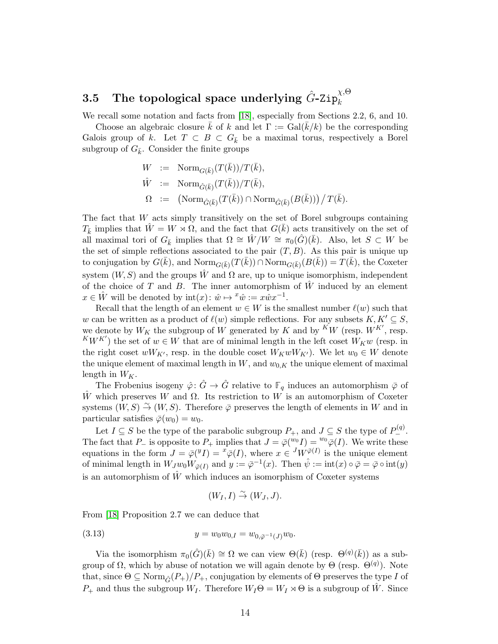#### <span id="page-13-0"></span> $3.5$  The topological space underlying  $\hat{G}$ -Zip $^{\chi,\Theta}_{k}$ k

We recall some notation and facts from [\[18\]](#page-48-0), especially from Sections 2.2, 6, and 10.

Choose an algebraic closure k of k and let  $\Gamma := \text{Gal}(k/k)$  be the corresponding Galois group of k. Let  $T \subset B \subset G_{\bar{k}}$  be a maximal torus, respectively a Borel subgroup of  $G_{\bar{k}}$ . Consider the finite groups

$$
W := \text{Norm}_{G(\bar{k})}(T(\bar{k}))/T(\bar{k}),
$$
  
\n
$$
\hat{W} := \text{Norm}_{\hat{G}(\bar{k})}(T(\bar{k}))/T(\bar{k}),
$$
  
\n
$$
\Omega := (\text{Norm}_{\hat{G}(\bar{k})}(T(\bar{k})) \cap \text{Norm}_{\hat{G}(\bar{k})}(B(\bar{k}))) / T(\bar{k}).
$$

The fact that  $W$  acts simply transitively on the set of Borel subgroups containing  $T_{\bar{k}}$  implies that  $\hat{W} = W \rtimes \Omega$ , and the fact that  $G(\bar{k})$  acts transitively on the set of all maximal tori of  $G_{\bar{k}}$  implies that  $\Omega \cong \hat{W}/W \cong \pi_0(\hat{G})(\bar{k})$ . Also, let  $S \subset W$  be the set of simple reflections associated to the pair  $(T, B)$ . As this pair is unique up to conjugation by  $G(\bar{k})$ , and  $\text{Norm}_{G(\bar{k})}(T(\bar{k})) \cap \text{Norm}_{G(\bar{k})}(B(\bar{k})) = T(\bar{k})$ , the Coxeter system  $(W, S)$  and the groups  $\hat{W}$  and  $\Omega$  are, up to unique isomorphism, independent of the choice of T and B. The inner automorphism of  $\hat{W}$  induced by an element  $x \in \hat{W}$  will be denoted by  $\mathrm{int}(x) : \hat{w} \mapsto {}^x \hat{w} := x \hat{w} x^{-1}$ .

Recall that the length of an element  $w \in W$  is the smallest number  $\ell(w)$  such that w can be written as a product of  $\ell(w)$  simple reflections. For any subsets  $K, K' \subseteq S$ , we denote by  $W_K$  the subgroup of W generated by K and by  $\stackrel{K}{W}$  (resp.  $\stackrel{K}{W}$ <sup>K'</sup>, resp.  $^{K}W^{K'}$ ) the set of  $w \in W$  that are of minimal length in the left coset  $W_{K}w$  (resp. in the right coset  $wW_{K'}$ , resp. in the double coset  $W_KwW_{K'}$ ). We let  $w_0 \in W$  denote the unique element of maximal length in  $W$ , and  $w_{0,K}$  the unique element of maximal length in  $W_K$ .

The Frobenius isogeny  $\hat{\varphi}$ :  $\hat{G} \to \hat{G}$  relative to  $\mathbb{F}_q$  induces an automorphism  $\bar{\varphi}$  of W which preserves W and  $\Omega$ . Its restriction to W is an automorphism of Coxeter systems  $(W, S) \stackrel{\sim}{\rightarrow} (W, S)$ . Therefore  $\bar{\varphi}$  preserves the length of elements in W and in particular satisfies  $\bar{\varphi}(w_0) = w_0$ .

Let  $I \subseteq S$  be the type of the parabolic subgroup  $P_+$ , and  $J \subseteq S$  the type of  $P_-^{(q)}$ . The fact that  $P_-\$  is opposite to  $P_+\$  implies that  $J = \bar{\varphi}(w_0 I) = w_0 \bar{\varphi}(I)$ . We write these equations in the form  $J = \bar{\varphi}(\bar{Y}I) = {}^x \bar{\varphi}(I)$ , where  $x \in {}^J W^{\bar{\varphi}(I)}$  is the unique element of minimal length in  $W_Jw_0W_{\bar{\varphi}(I)}$  and  $y := \bar{\varphi}^{-1}(x)$ . Then  $\hat{\psi} := \text{int}(x) \circ \bar{\varphi} = \bar{\varphi} \circ \text{int}(y)$ is an automorphism of  $\hat{W}$  which induces an isomorphism of Coxeter systems

<span id="page-13-1"></span>
$$
(W_I, I) \overset{\sim}{\rightarrow} (W_J, J).
$$

From [\[18\]](#page-48-0) Proposition 2.7 we can deduce that

(3.13) 
$$
y = w_0 w_{0,I} = w_{0,\bar{\varphi}^{-1}(J)} w_0.
$$

Via the isomorphism  $\pi_0(\hat{G})(\bar{k}) \cong \Omega$  we can view  $\Theta(\bar{k})$  (resp.  $\Theta^{(q)}(\bar{k}))$ ) as a subgroup of  $\Omega$ , which by abuse of notation we will again denote by  $\Theta$  (resp.  $\Theta^{(q)}$ ). Note that, since  $\Theta \subseteq \text{Norm}_{\hat{G}}(P_+)/P_+$ , conjugation by elements of  $\Theta$  preserves the type I of  $P_+$  and thus the subgroup  $W_I$ . Therefore  $W_I \Theta = W_I \rtimes \Theta$  is a subgroup of W. Since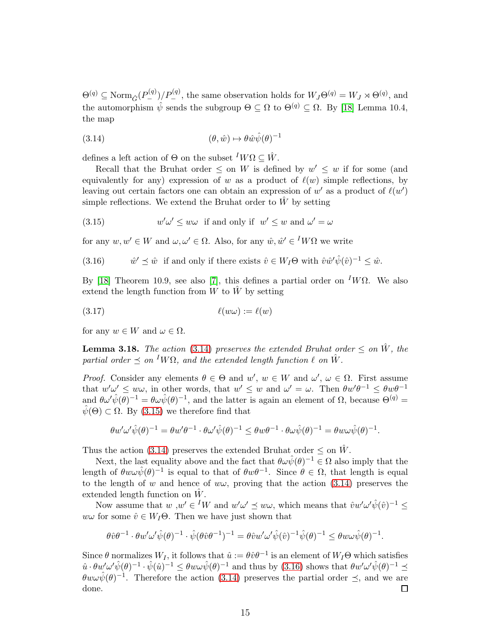$\Theta^{(q)} \subseteq \text{Norm}_{\hat{G}}(P_{-}^{(q)})/P_{-}^{(q)},$  the same observation holds for  $W_J\Theta^{(q)} = W_J \rtimes \Theta^{(q)},$  and the automorphism  $\hat{\psi}$  sends the subgroup  $\Theta \subseteq \Omega$  to  $\Theta^{(q)} \subseteq \Omega$ . By [\[18\]](#page-48-0) Lemma 10.4, the map

<span id="page-14-1"></span>(3.14) 
$$
(\theta, \hat{w}) \mapsto \theta \hat{w} \hat{\psi}(\theta)^{-1}
$$

defines a left action of  $\Theta$  on the subset  $^I W \Omega \subseteq \hat{W}$ .

Recall that the Bruhat order  $\leq$  on W is defined by  $w' \leq w$  if for some (and equivalently for any) expression of w as a product of  $\ell(w)$  simple reflections, by leaving out certain factors one can obtain an expression of  $w'$  as a product of  $\ell(w')$ simple reflections. We extend the Bruhat order to  $\hat{W}$  by setting

<span id="page-14-2"></span>(3.15) 
$$
w'\omega' \leq w\omega \quad \text{if and only if} \quad w' \leq w \text{ and } \omega' = \omega
$$

for any  $w, w' \in W$  and  $\omega, \omega' \in \Omega$ . Also, for any  $\hat{w}, \hat{w}' \in {}^I W \Omega$  we write

<span id="page-14-0"></span>(3.16) 
$$
\hat{w}' \preceq \hat{w}
$$
 if and only if there exists  $\hat{v} \in W_I \Theta$  with  $\hat{v}\hat{w}'\hat{\psi}(\hat{v})^{-1} \leq \hat{w}$ .

By [\[18\]](#page-48-0) Theorem 10.9, see also [\[7\]](#page-47-1), this defines a partial order on <sup>I</sup>WΩ. We also extend the length function from  $W$  to  $W$  by setting

<span id="page-14-4"></span>
$$
(\textbf{3.17}) \qquad \qquad \ell(w\omega) := \ell(w)
$$

for any  $w \in W$  and  $\omega \in \Omega$ .

<span id="page-14-3"></span>**Lemma 3.18.** The action [\(3.14\)](#page-14-1) preserves the extended Bruhat order  $\leq$  on  $\hat{W}$ , the partial order  $\preceq$  on <sup>I</sup>WΩ, and the extended length function  $\ell$  on  $\hat{W}$ .

Proof. Consider any elements  $\theta \in \Theta$  and  $w'$ ,  $w \in W$  and  $\omega'$ ,  $\omega \in \Omega$ . First assume that  $w'\omega' \leq w\omega$ , in other words, that  $w' \leq w$  and  $\omega' = \omega$ . Then  $\theta w'\theta^{-1} \leq \theta w\theta^{-1}$ and  $\theta \omega' \hat{\psi}(\theta)^{-1} = \theta \omega \hat{\psi}(\theta)^{-1}$ , and the latter is again an element of  $\Omega$ , because  $\Theta^{(q)}$  $\hat{\psi}(\Theta) \subset \Omega$ . By [\(3.15\)](#page-14-2) we therefore find that

$$
\theta w' \omega' \hat{\psi}(\theta)^{-1} = \theta w' \theta^{-1} \cdot \theta \omega' \hat{\psi}(\theta)^{-1} \leq \theta w \theta^{-1} \cdot \theta \omega \hat{\psi}(\theta)^{-1} = \theta w \omega \hat{\psi}(\theta)^{-1}.
$$

Thus the action [\(3.14\)](#page-14-1) preserves the extended Bruhat order  $\leq$  on  $\hat{W}$ .

Next, the last equality above and the fact that  $\theta \omega \hat{\psi}(\theta)^{-1} \in \Omega$  also imply that the length of  $\theta w \omega \hat{\psi}(\theta)^{-1}$  is equal to that of  $\theta w \theta^{-1}$ . Since  $\theta \in \Omega$ , that length is equal to the length of w and hence of  $ww$ , proving that the action [\(3.14\)](#page-14-1) preserves the extended length function on  $\hat{W}$ .

Now assume that  $w, w' \in {}^I W$  and  $w' \omega' \preceq w \omega$ , which means that  $\hat{v}w' \omega' \hat{\psi}(\hat{v})^{-1} \leq$  $w\omega$  for some  $\hat{v} \in W_I\Theta$ . Then we have just shown that

$$
\theta \hat{v} \theta^{-1} \cdot \theta w' \omega' \hat{\psi}(\theta)^{-1} \cdot \hat{\psi}(\theta \hat{v} \theta^{-1})^{-1} = \theta \hat{v} w' \omega' \hat{\psi}(\hat{v})^{-1} \hat{\psi}(\theta)^{-1} \leq \theta w \omega \hat{\psi}(\theta)^{-1}.
$$

Since  $\theta$  normalizes  $W_I$ , it follows that  $\hat{u} := \theta \hat{v} \theta^{-1}$  is an element of  $W_I \Theta$  which satisfies  $\hat{u} \cdot \theta w' \omega' \hat{\psi}(\theta)^{-1} \cdot \hat{\psi}(\hat{u})^{-1} \leq \theta w \omega \hat{\psi}(\theta)^{-1}$  and thus by [\(3.16\)](#page-14-0) shows that  $\theta w' \omega' \hat{\psi}(\theta)^{-1} \preceq$  $\theta w \omega \hat{\psi}(\theta)^{-1}$ . Therefore the action [\(3.14\)](#page-14-1) preserves the partial order  $\preceq$ , and we are done. 囗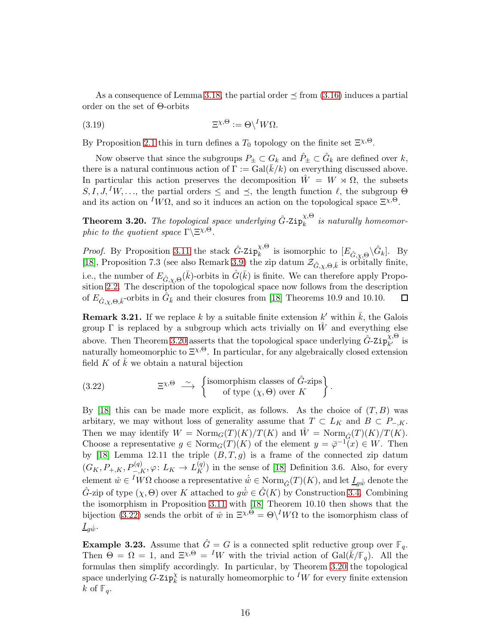As a consequence of Lemma [3.18,](#page-14-3) the partial order  $\leq$  from [\(3.16\)](#page-14-0) induces a partial order on the set of Θ-orbits

(3.19) 
$$
\Xi^{\chi,\Theta} := \Theta \backslash^I W \Omega.
$$

By Proposition [2.1](#page-6-0) this in turn defines a  $T_0$  topology on the finite set  $\Xi^{\chi,\Theta}$ .

Now observe that since the subgroups  $P_{\pm} \subset G_k$  and  $\hat{P}_{\pm} \subset \hat{G}_k$  are defined over k, there is a natural continuous action of  $\Gamma := \text{Gal}(\overline{k}/k)$  on everything discussed above. In particular this action preserves the decomposition  $\hat{W} = W \rtimes \Omega$ , the subsets  $S, I, J, {}^I W, \ldots$ , the partial orders  $\leq$  and  $\preceq$ , the length function  $\ell$ , the subgroup  $\Theta$ and its action on  ${}^I\overline{W}\Omega$ , and so it induces an action on the topological space  $\Xi^{\chi,\Theta}$ .

<span id="page-15-1"></span>**Theorem 3.20.** The topological space underlying  $\hat{G}$ -Zip $_k^{\chi,\Theta}$  $\hat{k}$  is naturally homeomorphic to the quotient space  $\Gamma \backslash \Xi^{\chi, \Theta}$ .

*Proof.* By Proposition [3.11](#page-12-0) the stack  $\hat{G}$ -Zip $_k^{\chi,\Theta}$  $\chi_{k}^{\chi,\Theta}$  is isomorphic to  $[E_{\hat{G},\chi,\Theta} \backslash \hat{G}_k]$ . By [\[18\]](#page-48-0), Proposition 7.3 (see also Remark [3.9\)](#page-11-2) the zip datum  $\mathcal{Z}_{\hat{G}, \chi, \Theta, \bar{k}}$  is orbitally finite, i.e., the number of  $E_{\hat{G}, \chi, \Theta}(\bar{k})$ -orbits in  $\hat{G}(\bar{k})$  is finite. We can therefore apply Propo-sition [2.2.](#page-7-0) The description of the topological space now follows from the description of  $E_{\hat{G}, \chi, \Theta, \bar{k}}$ -orbits in  $\hat{G}_{\bar{k}}$  and their closures from [\[18\]](#page-48-0) Theorems 10.9 and 10.10. 囗

<span id="page-15-3"></span>**Remark 3.21.** If we replace k by a suitable finite extension k' within  $\bar{k}$ , the Galois group  $\Gamma$  is replaced by a subgroup which acts trivially on  $\hat{W}$  and everything else above. Then Theorem [3.20](#page-15-1) asserts that the topological space underlying  $\hat{G}$ -Zip $_{k'}^{\chi,\Theta}$  is naturally homeomorphic to  $E^{\chi,\Theta}$ . In particular, for any algebraically closed extension field  $K$  of  $k$  we obtain a natural bijection

<span id="page-15-2"></span>(3.22) 
$$
\qquad \qquad \Xi^{\chi, \Theta} \longrightarrow \left\{ \begin{array}{c} \text{isomorphism classes of } \hat{G} \text{-zips} \\ \text{of type } (\chi, \Theta) \text{ over } K \end{array} \right\}.
$$

By [\[18\]](#page-48-0) this can be made more explicit, as follows. As the choice of  $(T, B)$  was arbitary, we may without loss of generality assume that  $T \subset L_K$  and  $B \subset P_{-,K}$ . Then we may identify  $W = \text{Norm}_G(T)(K)/T(K)$  and  $\hat{W} = \text{Norm}_{\hat{G}}(T)(K)/T(K)$ . Choose a representative  $g \in \text{Norm}_G(T)(K)$  of the element  $y = \overline{\varphi}^{-1}(x) \in W$ . Then by [\[18\]](#page-48-0) Lemma 12.11 the triple  $(B, T, g)$  is a frame of the connected zip datum  $(G_K, P_{+,K}, P_{-,K}^{(q)}, \varphi: L_K \to L_K^{(q)})$  in the sense of [\[18\]](#page-48-0) Definition 3.6. Also, for every element  $\hat{w} \in {}^{I}W\Omega$  choose a representative  $\hat{w} \in \text{Norm}_{\hat{G}}(T)(K)$ , and let  $\underline{I}_{g\hat{w}}$  denote the  $\hat{G}$ -zip of type  $(\chi, \Theta)$  over K attached to  $g\dot{\hat{w}} \in \hat{G}(K)$  by Construction [3.4.](#page-10-3) Combining the isomorphism in Proposition [3.11](#page-12-0) with [\[18\]](#page-48-0) Theorem 10.10 then shows that the bijection [\(3.22\)](#page-15-2) sends the orbit of  $\hat{w}$  in  $\Xi^{\chi,\Theta} = \Theta \setminus^I W\Omega$  to the isomorphism class of  $\underline{I}_{q\hat{w}}$ .

<span id="page-15-0"></span>**Example 3.23.** Assume that  $\hat{G} = G$  is a connected split reductive group over  $\mathbb{F}_q$ . Then  $\Theta = \Omega = 1$ , and  $\Xi^{\chi,\Theta} = {}^I W$  with the trivial action of  $Gal(\bar{k}/\mathbb{F}_q)$ . All the formulas then simplify accordingly. In particular, by Theorem [3.20](#page-15-1) the topological space underlying  $\tilde{G}$ -Zip $_k^{\chi}$  is naturally homeomorphic to <sup>I</sup>W for every finite extension k of  $\mathbb{F}_q$ .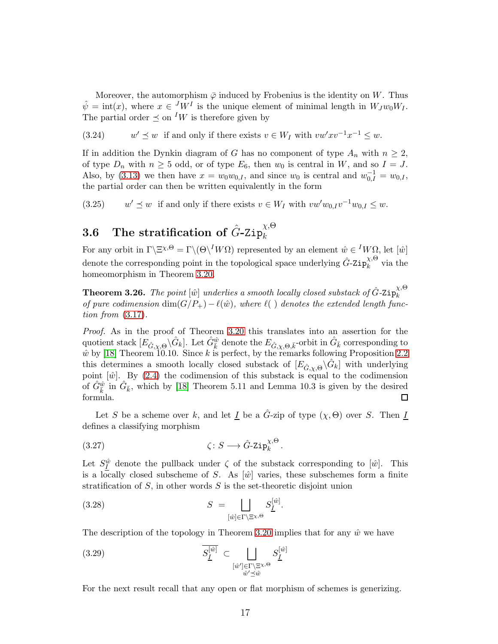Moreover, the automorphism  $\overline{\varphi}$  induced by Frobenius is the identity on W. Thus  $\hat{\psi} = \text{int}(x)$ , where  $x \in {}^{J}W^{I}$  is the unique element of minimal length in  $W_{J}w_{0}W_{I}$ . The partial order  $\preceq$  on <sup>I</sup>W is therefore given by

 $(3.24)$ '  $\preceq w$  if and only if there exists  $v \in W_I$  with  $vw'xv^{-1}x^{-1} \leq w$ .

If in addition the Dynkin diagram of G has no component of type  $A_n$  with  $n \geq 2$ , of type  $D_n$  with  $n \geq 5$  odd, or of type  $E_6$ , then  $w_0$  is central in W, and so  $I = J$ . Also, by [\(3.13\)](#page-13-1) we then have  $x = w_0 w_{0,I}$ , and since  $w_0$  is central and  $w_{0,I}^{-1} = w_{0,I}$ , the partial order can then be written equivalently in the form

 $(3.25)$  $y' \preceq w$  if and only if there exists  $v \in W_I$  with  $vw'w_{0,I}v^{-1}w_{0,I} \leq w$ .

#### <span id="page-16-1"></span> $\bf 3.6 ~~~\hbox{The stratification of}~ \hat{G}\hbox{-} \mathrm{Zip}^{\chi,\Theta}_k$ k

For any orbit in  $\Gamma \backslash \Xi^{\chi,\Theta} = \Gamma \backslash (\Theta \backslash^I W \Omega)$  represented by an element  $\hat{w} \in {}^I W \Omega$ , let  $[\hat{w}]$ denote the corresponding point in the topological space underlying  $\hat{G}$ -Zip $_k^{\chi,\Theta}$  $\hat{k}^{\prime\prime}$  via the homeomorphism in Theorem [3.20.](#page-15-1)

<span id="page-16-3"></span>**Theorem 3.26.** The point  $[\hat{w}]$  underlies a smooth locally closed substack of  $\hat{G}$ -Zip $_{k}^{\chi,\Theta}$ k of pure codimension  $\dim(G/P_+) - \ell(\hat{w})$ , where  $\ell(\cdot)$  denotes the extended length function from [\(3.17\)](#page-14-4).

Proof. As in the proof of Theorem [3.20](#page-15-1) this translates into an assertion for the quotient stack  $[E_{\hat{G}, \chi, \Theta} \backslash \hat{G}_k]$ . Let  $\hat{G}_{\overline{k}}^{\hat{w}}$  denote the  $E_{\hat{G}, \chi, \Theta, \overline{k}}$ -orbit in  $\hat{G}_{\overline{k}}$  corresponding to  $\hat{w}$  by [\[18\]](#page-48-0) Theorem 10.10. Since k is perfect, by the remarks following Proposition [2.2](#page-7-0) this determines a smooth locally closed substack of  $[E_{\hat{G}, \chi, \Theta} \backslash \hat{G}_k]$  with underlying point  $\hat{w}$ . By [\(2.4\)](#page-8-2) the codimension of this substack is equal to the codimension of  $\hat{G}_{\bar{k}}^{\hat{w}}$  in  $\hat{G}_{\bar{k}}$ , which by [\[18\]](#page-48-0) Theorem 5.11 and Lemma 10.3 is given by the desired formula.  $\Box$ 

Let S be a scheme over k, and let I be a  $\tilde{G}$ -zip of type  $(\chi, \Theta)$  over S. Then I defines a classifying morphism

<span id="page-16-2"></span>
$$
(3.27) \t\t\t \zeta: S \longrightarrow \hat{G}\text{-} \mathrm{Zip}_{k}^{\chi,\Theta}.
$$

Let  $S_{\underline{I}}^{\hat{w}}$  denote the pullback under  $\zeta$  of the substack corresponding to  $[\hat{w}]$ . This is a locally closed subscheme of S. As  $\hat{w}$  varies, these subschemes form a finite stratification of  $S$ , in other words  $S$  is the set-theoretic disjoint union

<span id="page-16-4"></span>(3.28) 
$$
S = \bigsqcup_{[\hat{w}] \in \Gamma \backslash \Xi^{\chi, \Theta}} S_{\underline{I}}^{[\hat{w}]}.
$$

The description of the topology in Theorem [3.20](#page-15-1) implies that for any  $\hat{w}$  we have

<span id="page-16-0"></span>(3.29) 
$$
\overline{S_{\underline{I}}^{[\hat{w}]}} \subset \bigsqcup_{\substack{[\hat{w}'] \in \Gamma \backslash \Xi^{\chi, \Theta} \\ \hat{w}' \preceq \hat{w}}} S_{\underline{I}}^{[\hat{w}]}
$$

For the next result recall that any open or flat morphism of schemes is generizing.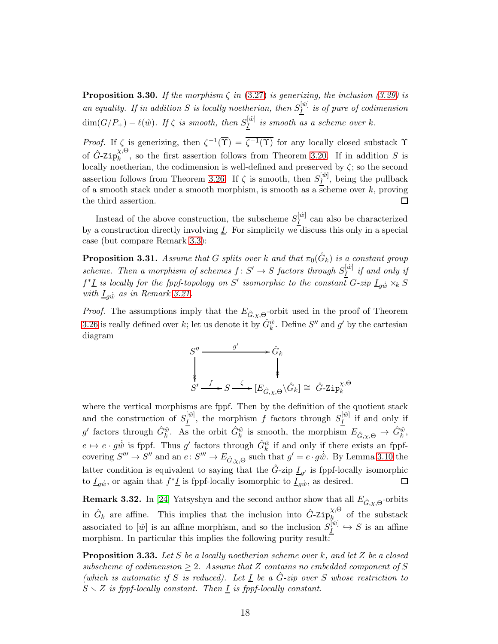<span id="page-17-0"></span>**Proposition 3.30.** If the morphism  $\zeta$  in [\(3.27\)](#page-16-2) is generizing, the inclusion [\(3.29\)](#page-16-0) is an equality. If in addition S is locally noetherian, then  $S_I^{[\hat{w}]}$  $\frac{I^{(w)}}{I}$  is of pure of codimension  $\dim(G/P_+) - \ell(\hat w).$  If  $\zeta$  is smooth, then  $S_I^{[\hat w]}$  $\frac{I^{[w]}}{I}$  is smooth as a scheme over k.

*Proof.* If  $\zeta$  is generizing, then  $\zeta^{-1}(\overline{\Upsilon}) = \overline{\zeta^{-1}(\Upsilon)}$  for any locally closed substack  $\Upsilon$ of  $\hat G$ -Zi $\mathrm{p}^{\chi,\Theta}_k$  $\kappa_k^{\lambda, \infty}$ , so the first assertion follows from Theorem [3.20.](#page-15-1) If in addition S is locally noetherian, the codimension is well-defined and preserved by  $\zeta$ ; so the second assertion follows from Theorem [3.26.](#page-16-3) If  $\zeta$  is smooth, then  $S_I^{[\hat{w}]}$  $\frac{I^{(w)}}{I}$ , being the pullback of a smooth stack under a smooth morphism, is smooth as a scheme over  $k$ , proving the third assertion. 囗

Instead of the above construction, the subscheme  $S_I^{[\hat{w}]}$  $\frac{I}{I}^{[w]}$  can also be characterized by a construction directly involving  $\underline{I}$ . For simplicity we discuss this only in a special case (but compare Remark [3.3\)](#page-10-4):

<span id="page-17-2"></span>**Proposition 3.31.** Assume that G splits over k and that  $\pi_0(\hat{G}_k)$  is a constant group scheme. Then a morphism of schemes  $f: S' \to S$  factors through  $S_I^{[\hat{w}]}$  $\frac{1}{I}^{\llbracket w \rrbracket}$  if and only if  $f^*\underline{I}$  is locally for the fppf-topology on S' isomorphic to the constant  $G$ -zip  $\underline{I}_{g\hat{w}} \times_k S$ with  $I_{g\hat{w}}$  as in Remark [3.21.](#page-15-3)

*Proof.* The assumptions imply that the  $E_{\hat{G}, \chi, \Theta}$ -orbit used in the proof of Theorem [3.26](#page-16-3) is really defined over k; let us denote it by  $\hat{G}_k^{\hat{w}}$ . Define  $S''$  and  $g'$  by the cartesian diagram



where the vertical morphisms are fppf. Then by the definition of the quotient stack and the construction of  $S_I^{[\hat{w}]}$  $\frac{I^{[\hat{w}]} }{I}$ , the morphism f factors through  $S_{\underline{I}}^{[\hat{w}]}$  $\frac{I}{I}^{[w]}$  if and only if g' factors through  $\hat{G}_k^{\hat{w}}$ . As the orbit  $\hat{G}_k^{\hat{w}}$  is smooth, the morphism  $E_{\hat{G}, \chi, \Theta} \to \hat{G}_k^{\hat{w}}$ ,  $e \mapsto e \cdot g\dot{\hat{w}}$  is fppf. Thus g' factors through  $\hat{G}_k^{\hat{w}}$  if and only if there exists an fppfcovering  $S''' \to S''$  and an  $e: S''' \to E_{\hat{G}, \chi, \Theta}$  such that  $g' = e \cdot g \dot{\hat{w}}$ . By Lemma [3.10](#page-11-1) the latter condition is equivalent to saying that the  $\hat{G}$ -zip  $\underline{I}_{g'}$  is fppf-locally isomorphic to  $\underline{I}_{g\dot{w}}$ , or again that  $f^*\underline{I}$  is fppf-locally isomorphic to  $\underline{I}_{g\dot{w}}$ , as desired. □

**Remark 3.32.** In [\[24\]](#page-48-7) Yatsyshyn and the second author show that all  $E_{\hat{G}, \chi, \Theta}$ -orbits in  $\hat{G}_k$  are affine. This implies that the inclusion into  $\hat{G}$ -Zip $_k^{\chi,\Theta}$  $\hat{k}$  of the substack associated to  $\lbrack \hat{w} \rbrack$  is an affine morphism, and so the inclusion  $S_I^{[{\hat{w}}]}$  $\frac{I}{I}^{[w]} \hookrightarrow S$  is an affine morphism. In particular this implies the following purity result:

<span id="page-17-1"></span>**Proposition 3.33.** Let S be a locally noetherian scheme over k, and let Z be a closed subscheme of codimension  $\geq 2$ . Assume that Z contains no embedded component of S (which is automatic if S is reduced). Let  $I$  be a  $\hat{G}$ -zip over S whose restriction to  $S \setminus Z$  is fppf-locally constant. Then  $\underline{I}$  is fppf-locally constant.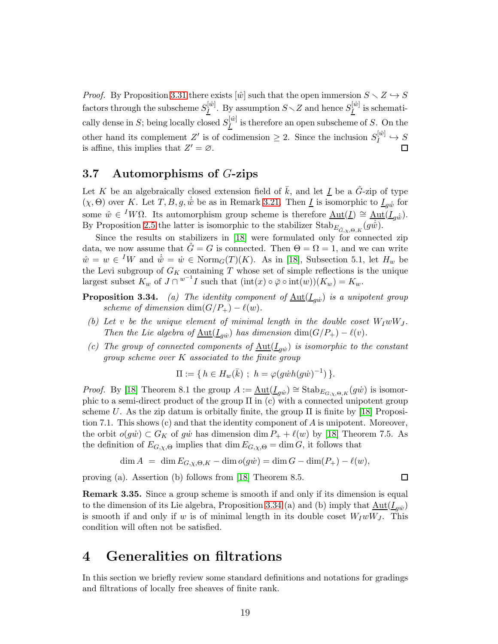*Proof.* By Proposition [3.31](#page-17-2) there exists  $[\hat{w}]$  such that the open immersion  $S \setminus Z \hookrightarrow S$ factors through the subscheme  $S_I^{[\hat{w}]}$  $\frac{[{\hat{w}}]}{I}$ . By assumption  $S\diagdown Z$  and hence  $S_{\underline{I}}^{[{\hat{w}}]}$  $\frac{I^{[w]}}{I}$  is schematically dense in S; being locally closed  $S_I^{[\hat{w}]}$  $\frac{I^{[w]}}{I}$  is therefore an open subscheme of S. On the other hand its complement Z' is of codimension  $\geq 2$ . Since the inclusion  $S_I^{[\hat{w}]}$  $I^{[w]}$   $\hookrightarrow$   $S$ is affine, this implies that  $Z' = \emptyset$ .

#### 3.7 Automorphisms of G-zips

Let K be an algebraically closed extension field of  $\bar{k}$ , and let I be a  $\tilde{G}$ -zip of type  $(\chi, \Theta)$  over K. Let T, B, g,  $\dot{w}$  be as in Remark [3.21.](#page-15-3) Then I is isomorphic to  $I_{\alpha\dot{\hat{w}}}$  for some  $\hat{w} \in {}^{I}W\Omega$ . Its automorphism group scheme is therefore  $\underline{\mathrm{Aut}}(\underline{I}) \cong \underline{\mathrm{Aut}}(\underline{I}_{g\hat{w}})$ . By Proposition [2.5](#page-8-3) the latter is isomorphic to the stabilizer  $\text{Stab}_{E_{\hat{G},\chi,\Theta,K}}(g\hat{w})$ .

Since the results on stabilizers in [\[18\]](#page-48-0) were formulated only for connected zip data, we now assume that  $\hat{G} = G$  is connected. Then  $\Theta = \Omega = 1$ , and we can write  $\hat{w} = w \in {}^{I}W$  and  $\dot{\hat{w}} = \dot{w} \in \text{Norm}_{G}(T)(K)$ . As in [\[18\]](#page-48-0), Subsection 5.1, let  $H_w$  be the Levi subgroup of  $G_K$  containing T whose set of simple reflections is the unique largest subset  $K_w$  of  $J \cap w^{-1}I$  such that  $(\text{int}(x) \circ \bar{\varphi} \circ \text{int}(w))(K_w) = K_w$ .

- **Proposition 3.34.** (a) The identity component of  $\underline{\mathrm{Aut}}(\underline{I}_{g\dot{w}})$  is a unipotent group scheme of dimension dim( $G/P_+$ ) –  $\ell(w)$ .
- (b) Let v be the unique element of minimal length in the double coset  $W_I w W_J$ . Then the Lie algebra of  $\underline{\text{Aut}}(\underline{I}_{gw})$  has dimension  $\dim(G/P_+) - \ell(v)$ .
- (c) The group of connected components of  $\underline{\mathrm{Aut}}(I_{gw})$  is isomorphic to the constant group scheme over  $K$  associated to the finite group

$$
\Pi := \{ h \in H_w(\bar{k}) \; ; \; h = \varphi(g\dot{w}h(g\dot{w})^{-1}) \}.
$$

*Proof.* By [\[18\]](#page-48-0) Theorem 8.1 the group  $A := \underline{\text{Aut}}(\underline{I}_{g\dot{w}}) \cong \text{Stab}_{E_{G,\chi,\Theta,K}}(g\dot{w})$  is isomorphic to a semi-direct product of the group Π in (c) with a connected unipotent group scheme U. As the zip datum is orbitally finite, the group  $\Pi$  is finite by [\[18\]](#page-48-0) Proposition 7.1. This shows  $(c)$  and that the identity component of A is unipotent. Moreover, the orbit  $o(g\dot{w}) \subset G_K$  of gw has dimension dim  $P_+ + \ell(w)$  by [\[18\]](#page-48-0) Theorem 7.5. As the definition of  $E_{G,\chi,\Theta}$  implies that  $\dim E_{G,\chi,\Theta} = \dim G$ , it follows that

$$
\dim A = \dim E_{G,\chi,\Theta,K} - \dim o(g\dot{w}) = \dim G - \dim(P_+) - \ell(w),
$$

 $\Box$ 

proving (a). Assertion (b) follows from [\[18\]](#page-48-0) Theorem 8.5.

Remark 3.35. Since a group scheme is smooth if and only if its dimension is equal to the dimension of its Lie algebra, Proposition 3.34 (a) and (b) imply that  $\underline{\mathrm{Aut}}(\underline{I}_{g\dot{w}})$ is smooth if and only if w is of minimal length in its double coset  $W_I w W_J$ . This condition will often not be satisfied.

## <span id="page-18-0"></span>4 Generalities on filtrations

In this section we briefly review some standard definitions and notations for gradings and filtrations of locally free sheaves of finite rank.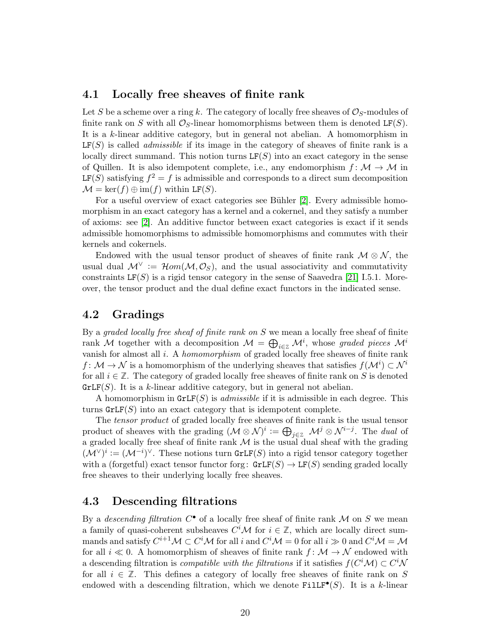#### 4.1 Locally free sheaves of finite rank

Let S be a scheme over a ring k. The category of locally free sheaves of  $\mathcal{O}_S$ -modules of finite rank on S with all  $\mathcal{O}_S$ -linear homomorphisms between them is denoted LF(S). It is a k-linear additive category, but in general not abelian. A homomorphism in  $LF(S)$  is called *admissible* if its image in the category of sheaves of finite rank is a locally direct summand. This notion turns  $LF(S)$  into an exact category in the sense of Quillen. It is also idempotent complete, i.e., any endomorphism  $f: \mathcal{M} \to \mathcal{M}$  in  $LF(S)$  satisfying  $f^2 = f$  is admissible and corresponds to a direct sum decomposition  $\mathcal{M} = \ker(f) \oplus \text{im}(f)$  within LF(S).

For a useful overview of exact categories see Bühler [\[2\]](#page-47-2). Every admissible homomorphism in an exact category has a kernel and a cokernel, and they satisfy a number of axioms: see [\[2\]](#page-47-2). An additive functor between exact categories is exact if it sends admissible homomorphisms to admissible homomorphisms and commutes with their kernels and cokernels.

Endowed with the usual tensor product of sheaves of finite rank  $\mathcal{M} \otimes \mathcal{N}$ , the usual dual  $\mathcal{M}^{\vee} := \mathcal{H}om(\mathcal{M}, \mathcal{O}_S)$ , and the usual associativity and commutativity constraints  $LF(S)$  is a rigid tensor category in the sense of Saavedra [\[21\]](#page-48-5) I.5.1. Moreover, the tensor product and the dual define exact functors in the indicated sense.

### 4.2 Gradings

By a graded locally free sheaf of finite rank on S we mean a locally free sheaf of finite rank M together with a decomposition  $\mathcal{M} = \bigoplus_{i \in \mathbb{Z}} \mathcal{M}^i$ , whose graded pieces  $\mathcal{M}^i$ vanish for almost all i. A homomorphism of graded locally free sheaves of finite rank  $f: \mathcal{M} \to \mathcal{N}$  is a homomorphism of the underlying sheaves that satisfies  $f(\mathcal{M}^i) \subset \mathcal{N}^i$ for all  $i \in \mathbb{Z}$ . The category of graded locally free sheaves of finite rank on S is denoted  $\texttt{GrLF}(S)$ . It is a k-linear additive category, but in general not abelian.

A homomorphism in  $\text{GrLF}(S)$  is *admissible* if it is admissible in each degree. This turns  $\text{GrLF}(S)$  into an exact category that is idempotent complete.

The tensor product of graded locally free sheaves of finite rank is the usual tensor product of sheaves with the grading  $(\mathcal{M} \otimes \mathcal{N})^i := \bigoplus_{j \in \mathbb{Z}} \mathcal{M}^j \otimes \mathcal{N}^{i-j}$ . The *dual* of a graded locally free sheaf of finite rank  $\mathcal M$  is the usual dual sheaf with the grading  $({\mathcal{M}}^\vee)^i:=(\mathcal{M}^{-i})^\vee$ . These notions turn GrLF(S) into a rigid tensor category together with a (forgetful) exact tensor functor forg:  $\text{GrLF}(S) \rightarrow \text{LF}(S)$  sending graded locally free sheaves to their underlying locally free sheaves.

#### <span id="page-19-0"></span>4.3 Descending filtrations

By a *descending filtration*  $C^{\bullet}$  of a locally free sheaf of finite rank M on S we mean a family of quasi-coherent subsheaves  $C<sup>i</sup>M$  for  $i \in \mathbb{Z}$ , which are locally direct summands and satisfy  $C^{i+1}\mathcal{M}\subset C^i\mathcal{M}$  for all  $i$  and  $C^i\mathcal{M}=0$  for all  $i\gg 0$  and  $C^i\mathcal{M}=\mathcal{M}$ for all  $i \ll 0$ . A homomorphism of sheaves of finite rank  $f: \mathcal{M} \to \mathcal{N}$  endowed with a descending filtration is *compatible with the filtrations* if it satisfies  $f(C^i \mathcal{M}) \subset C^i \mathcal{M}$ for all  $i \in \mathbb{Z}$ . This defines a category of locally free sheaves of finite rank on S endowed with a descending filtration, which we denote  $\texttt{FillF}^{\bullet}(S)$ . It is a k-linear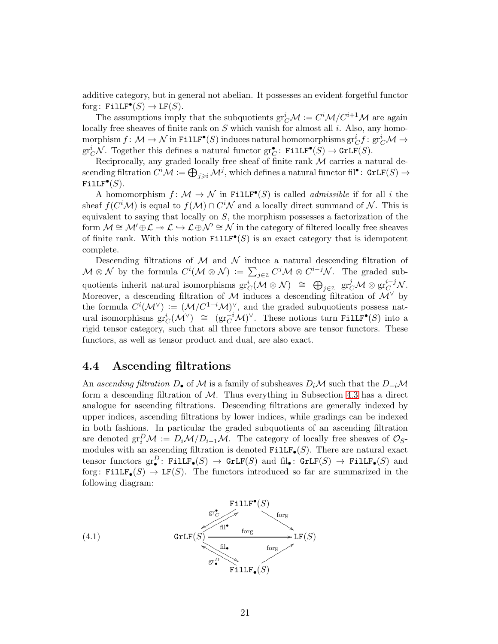additive category, but in general not abelian. It possesses an evident forgetful functor forg:  $\texttt{FillLF}^{\bullet}(S) \to \texttt{LF}(S)$ .

The assumptions imply that the subquotients  $gr_C^i \mathcal{M} := C^i \mathcal{M} / C^{i+1} \mathcal{M}$  are again locally free sheaves of finite rank on  $S$  which vanish for almost all  $i$ . Also, any homo- $\text{morphism } f \colon \mathcal{M} \to \mathcal{N} \text{ in FillF}^\bullet(S) \text{ induces natural homomorphisms } \text{gr}^i_C f \colon \text{gr}^i_C \mathcal{M} \to \mathcal{N}$  $gr_C^i \mathcal{N}$ . Together this defines a natural functor  $gr_C^{\bullet}$ : Fill  $F^{\bullet}(S) \to GrLF(S)$ .

Reciprocally, any graded locally free sheaf of finite rank  $M$  carries a natural de- $\operatorname{seending}\ \text{filtration}\ C^i\mathcal{M}:=\bigoplus_{j\geqslant i}\mathcal{M}^j, \text{which defines a natural functor}\ \text{fil}^\bullet\colon\ \text{GrLF}(S)\rightarrow$  $\texttt{FillLF}^\bullet(S).$ 

A homomorphism  $f: \mathcal{M} \to \mathcal{N}$  in Fill  $\mathbf{F}^{\bullet}(S)$  is called *admissible* if for all *i* the sheaf  $f(C^i\mathcal{M})$  is equal to  $f(\mathcal{M}) \cap C^i\mathcal{N}$  and a locally direct summand of  $\mathcal{N}$ . This is equivalent to saying that locally on  $S$ , the morphism possesses a factorization of the form  $\mathcal{M} \cong \mathcal{M}' \oplus \mathcal{L} \to \mathcal{L} \oplus \mathcal{N}' \cong \mathcal{N}$  in the category of filtered locally free sheaves of finite rank. With this notion  $\texttt{FillF}^{\bullet}(S)$  is an exact category that is idempotent complete.

Descending filtrations of  $\mathcal M$  and  $\mathcal N$  induce a natural descending filtration of  $\mathcal{M} \otimes \mathcal{N}$  by the formula  $C^i(\mathcal{M} \otimes \mathcal{N}) := \sum_{j \in \mathbb{Z}} C^j \mathcal{M} \otimes C^{i-j} \mathcal{N}$ . The graded subquotients inherit natural isomorphisms  $\text{gr}^i_C(\mathcal{M} \otimes \mathcal{N}) \cong \bigoplus_{j \in \mathbb{Z}} \text{gr}^j_C\mathcal{M} \otimes \text{gr}^{i-j}_{C} \mathcal{N}.$ Moreover, a descending filtration of M induces a descending filtration of  $\mathcal{M}^{\vee}$  by the formula  $C^{i}(\mathcal{M}^{\vee}) := (\mathcal{M}/C^{1-i}\mathcal{M})^{\vee}$ , and the graded subquotients possess natural isomorphisms  $\text{gr}^i_C(\mathcal{M}^{\vee}) \cong (\text{gr}^{-i}_{C} \mathcal{M})^{\vee}$ . These notions turn Fill  $\text{Fr}^{\bullet}(S)$  into a rigid tensor category, such that all three functors above are tensor functors. These functors, as well as tensor product and dual, are also exact.

### <span id="page-20-1"></span>4.4 Ascending filtrations

An ascending filtration D• of M is a family of subsheaves  $D_i\mathcal{M}$  such that the  $D_{-i}\mathcal{M}$ form a descending filtration of  $M$ . Thus everything in Subsection [4.3](#page-19-0) has a direct analogue for ascending filtrations. Descending filtrations are generally indexed by upper indices, ascending filtrations by lower indices, while gradings can be indexed in both fashions. In particular the graded subquotients of an ascending filtration are denoted  $gr_i^D \mathcal{M} := D_i \mathcal{M}/D_{i-1} \mathcal{M}$ . The category of locally free sheaves of  $\mathcal{O}_S$ modules with an ascending filtration is denoted  $\texttt{FillF}_{\bullet}(S)$ . There are natural exact tensor functors  $gr^D_{\bullet}$ : FillF<sub> $\bullet$ </sub> $(S) \to GrLF(S)$  and fil<sub>o</sub>:  $GrLF(S) \to FilLF_{\bullet}(S)$  and forg: Fill  $\mathbf{F}_{\bullet}(S) \to \mathbf{LF}(S)$ . The functors introduced so far are summarized in the following diagram:

<span id="page-20-0"></span>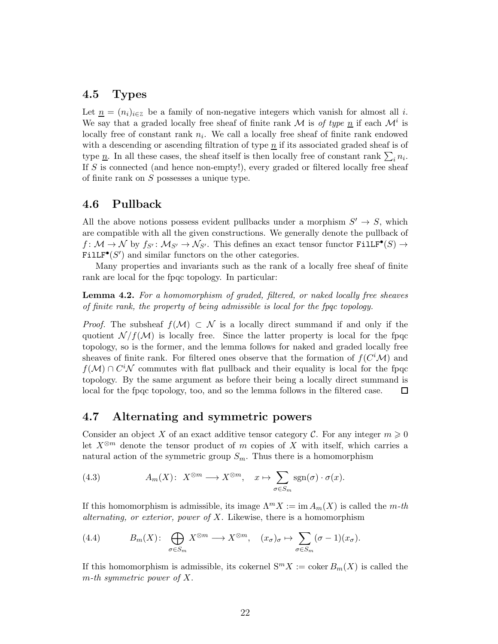#### 4.5 Types

Let  $\underline{n} = (n_i)_{i \in \mathbb{Z}}$  be a family of non-negative integers which vanish for almost all i. We say that a graded locally free sheaf of finite rank M is of type  $\underline{n}$  if each  $\mathcal{M}^i$  is locally free of constant rank  $n_i$ . We call a locally free sheaf of finite rank endowed with a descending or ascending filtration of type  $\underline{n}$  if its associated graded sheaf is of type  $\underline{n}$ . In all these cases, the sheaf itself is then locally free of constant rank  $\sum_i n_i$ . If S is connected (and hence non-empty!), every graded or filtered locally free sheaf of finite rank on S possesses a unique type.

#### 4.6 Pullback

All the above notions possess evident pullbacks under a morphism  $S' \to S$ , which are compatible with all the given constructions. We generally denote the pullback of  $f: \mathcal{M} \to \mathcal{N}$  by  $f_{S'}: \mathcal{M}_{S'} \to \mathcal{N}_{S'}$ . This defines an exact tensor functor  $\text{FillF}^{\bullet}(S) \to$  $\texttt{FillLF}^{\bullet}(S')$  and similar functors on the other categories.

Many properties and invariants such as the rank of a locally free sheaf of finite rank are local for the fpqc topology. In particular:

<span id="page-21-1"></span>Lemma 4.2. For a homomorphism of graded, filtered, or naked locally free sheaves of finite rank, the property of being admissible is local for the fpqc topology.

*Proof.* The subsheaf  $f(\mathcal{M}) \subset \mathcal{N}$  is a locally direct summand if and only if the quotient  $\mathcal{N}/f(\mathcal{M})$  is locally free. Since the latter property is local for the fpqc topology, so is the former, and the lemma follows for naked and graded locally free sheaves of finite rank. For filtered ones observe that the formation of  $f(C<sup>i</sup>M)$  and  $f(\mathcal{M}) \cap C^i \mathcal{N}$  commutes with flat pullback and their equality is local for the fpqc topology. By the same argument as before their being a locally direct summand is local for the fpqc topology, too, and so the lemma follows in the filtered case. 囗

### <span id="page-21-0"></span>4.7 Alternating and symmetric powers

Consider an object X of an exact additive tensor category C. For any integer  $m \geq 0$ let  $X^{\otimes m}$  denote the tensor product of m copies of X with itself, which carries a natural action of the symmetric group  $S_m$ . Thus there is a homomorphism

(4.3) 
$$
A_m(X): X^{\otimes m} \longrightarrow X^{\otimes m}, \quad x \mapsto \sum_{\sigma \in S_m} \text{sgn}(\sigma) \cdot \sigma(x).
$$

If this homomorphism is admissible, its image  $\Lambda^m X := \text{im } A_m(X)$  is called the m-th alternating, or exterior, power of  $X$ . Likewise, there is a homomorphism

(4.4) 
$$
B_m(X): \bigoplus_{\sigma \in S_m} X^{\otimes m} \longrightarrow X^{\otimes m}, \quad (x_{\sigma})_{\sigma} \mapsto \sum_{\sigma \in S_m} (\sigma - 1)(x_{\sigma}).
$$

If this homomorphism is admissible, its cokernel  $S^m X := \text{coker } B_m(X)$  is called the  $m$ -th symmetric power of X.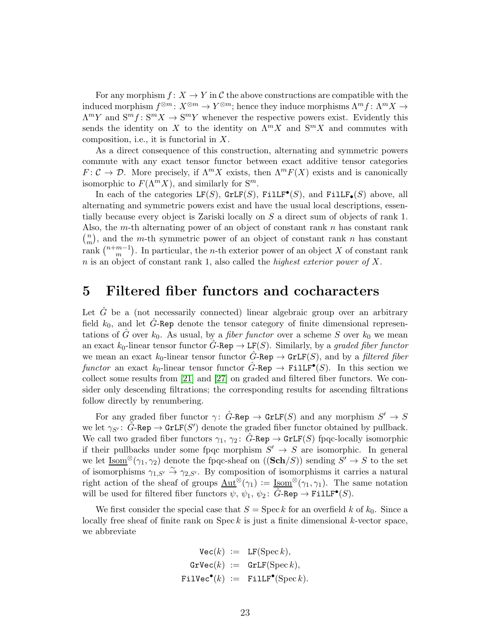For any morphism  $f: X \to Y$  in C the above constructions are compatible with the induced morphism  $f^{\otimes m}: X^{\otimes m} \to Y^{\otimes m}$ ; hence they induce morphisms  $\Lambda^m f: \Lambda^m X \to Y^{\otimes m}$  $\Lambda^m Y$  and  $S^m f: S^m X \to S^m Y$  whenever the respective powers exist. Evidently this sends the identity on X to the identity on  $\Lambda^m X$  and  $S^m X$  and commutes with composition, i.e., it is functorial in X.

As a direct consequence of this construction, alternating and symmetric powers commute with any exact tensor functor between exact additive tensor categories  $F: \mathcal{C} \to \mathcal{D}$ . More precisely, if  $\Lambda^m X$  exists, then  $\Lambda^m F(X)$  exists and is canonically isomorphic to  $F(\Lambda^m X)$ , and similarly for  $S^m$ .

In each of the categories  $LF(S)$ ,  $GrLF(S)$ ,  $FilLF^{\bullet}(S)$ , and  $FilLF_{\bullet}(S)$  above, all alternating and symmetric powers exist and have the usual local descriptions, essentially because every object is Zariski locally on S a direct sum of objects of rank 1. Also, the m-th alternating power of an object of constant rank  $n$  has constant rank  $\binom{n}{n}$  $\binom{n}{m}$ , and the *m*-th symmetric power of an object of constant rank *n* has constant rank  $\binom{n+m-1}{m}$  $_{m}^{m-1}$ ). In particular, the *n*-th exterior power of an object X of constant rank  $n$  is an object of constant rank 1, also called the *highest exterior power of*  $X$ .

## <span id="page-22-0"></span>5 Filtered fiber functors and cocharacters

Let  $\tilde{G}$  be a (not necessarily connected) linear algebraic group over an arbitrary field  $k_0$ , and let  $\tilde{G}$ -Rep denote the tensor category of finite dimensional representations of  $\hat{G}$  over  $k_0$ . As usual, by a *fiber functor* over a scheme S over  $k_0$  we mean an exact  $k_0$ -linear tensor functor  $G$ -Rep  $\rightarrow$  LF(S). Similarly, by a graded fiber functor we mean an exact  $k_0$ -linear tensor functor G-Rep  $\rightarrow$  GrLF(S), and by a filtered fiber functor an exact  $k_0$ -linear tensor functor  $\hat{G}$ -Rep  $\rightarrow$  Fill  $F^{\bullet}(S)$ . In this section we collect some results from [\[21\]](#page-48-5) and [\[27\]](#page-49-0) on graded and filtered fiber functors. We consider only descending filtrations; the corresponding results for ascending filtrations follow directly by renumbering.

For any graded fiber functor  $\gamma: \hat{G}$ -Rep  $\rightarrow$  GrLF(S) and any morphism  $S' \rightarrow S$ we let  $\gamma_{S'}: \hat{G}$ -Rep  $\rightarrow$  GrLF(S') denote the graded fiber functor obtained by pullback. We call two graded fiber functors  $\gamma_1, \gamma_2$ :  $\ddot{G}$ -Rep  $\rightarrow$  GrLF(S) fpqc-locally isomorphic if their pullbacks under some fpqc morphism  $S' \to S$  are isomorphic. In general we let  $\underline{\text{Isom}}^{\otimes}(\gamma_1, \gamma_2)$  denote the fpqc-sheaf on  $((\textbf{Sch}/S))$  sending  $S' \to S$  to the set of isomorphisms  $\gamma_{1,S'} \stackrel{\sim}{\rightarrow} \gamma_{2,S'}$ . By composition of isomorphisms it carries a natural right action of the sheaf of groups  $\text{Aut}^{\otimes}(\gamma_1) := \text{Isom}^{\otimes}(\gamma_1, \gamma_1)$ . The same notation will be used for filtered fiber functors  $\psi$ ,  $\psi_1$ ,  $\psi_2$ :  $\hat{G}$ -Rep  $\rightarrow$  FilLF<sup>•</sup>(*S*).

We first consider the special case that  $S = \text{Spec } k$  for an overfield k of  $k_0$ . Since a locally free sheaf of finite rank on  $\text{Spec } k$  is just a finite dimensional k-vector space, we abbreviate

$$
\begin{array}{rcl} \mathtt{Vec}(k) & := & \mathtt{LF}(\operatorname{Spec} k), \\ \mathtt{GrVec}(k) & := & \mathtt{GrLF}(\operatorname{Spec} k), \\ \mathtt{Filec}^{\bullet}(k) & := & \mathtt{FillF}^{\bullet}(\operatorname{Spec} k). \end{array}
$$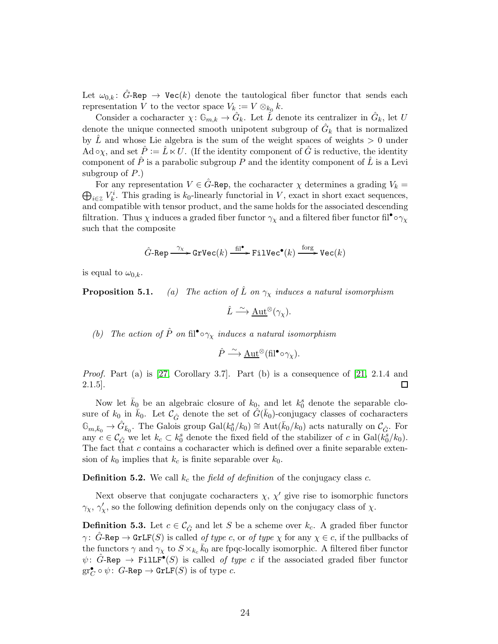Let  $\omega_{0,k}$ :  $\tilde{G}$ -Rep  $\rightarrow$  Vec(k) denote the tautological fiber functor that sends each representation V to the vector space  $V_{k} := V \otimes_{k_0} k$ .

Consider a cocharacter  $\chi: \mathbb{G}_{m,k} \to \hat{G}_k$ . Let  $\tilde{L}$  denote its centralizer in  $\hat{G}_k$ , let U denote the unique connected smooth unipotent subgroup of  $\hat{G}_k$  that is normalized by  $\hat{L}$  and whose Lie algebra is the sum of the weight spaces of weights  $> 0$  under Ad  $\circ \chi$ , and set  $\hat{P} := \hat{L} \ltimes U$ . (If the identity component of  $\hat{G}$  is reductive, the identity component of  $\hat{P}$  is a parabolic subgroup P and the identity component of  $\hat{L}$  is a Levi subgroup of  $P$ .)

For any representation  $V \in \hat{G}$ -Rep, the cocharacter  $\chi$  determines a grading  $V_k = \bigoplus_{i \in \mathbb{Z}} V_k^i$ . This grading is  $k_0$ -linearly functorial in V, exact in short exact sequences.  $i \in \mathbb{Z}$   $V_k^i$ . This grading is  $k_0$ -linearly functorial in V, exact in short exact sequences, and compatible with tensor product, and the same holds for the associated descending filtration. Thus  $\chi$  induces a graded fiber functor  $\gamma_\chi$  and a filtered fiber functor fil<sup>•</sup>  $\circ \gamma_\chi$ such that the composite

$$
\hat{G}\text{-Rep} \xrightarrow{\ \gamma_{\chi} \ } \text{GrVec}(k) \xrightarrow{\ \text{fil} \ ^{\bullet} \ } \text{FilVec}^{\bullet}(k) \xrightarrow{\ \text{forg} \ } \text{Vec}(k)
$$

is equal to  $\omega_{0,k}$ .

**Proposition 5.1.** (a) The action of  $\tilde{L}$  on  $\gamma_{\chi}$  induces a natural isomorphism

 $\hat{L} \stackrel{\sim}{\longrightarrow} \underline{\mathrm{Aut}}^{\otimes}(\gamma_{\chi}).$ 

(b) The action of  $\hat{P}$  on fil<sup>•</sup>  $\circ \gamma_{\chi}$  induces a natural isomorphism

$$
\hat{P} \xrightarrow{\sim} \underline{\mathrm{Aut}}^{\otimes}(\mathrm{fil}^{\bullet} \circ \gamma_{\chi}).
$$

*Proof.* Part (a) is [\[27,](#page-49-0) Corollary 3.7]. Part (b) is a consequence of [\[21,](#page-48-5) 2.1.4 and  $\Box$ 2.1.5].

Now let  $\bar{k}_0$  be an algebraic closure of  $k_0$ , and let  $k_0$ <sup>s</sup> denote the separable closure of  $k_0$  in  $\bar{k}_0$ . Let  $\mathcal{C}_{\hat{G}}$  denote the set of  $\hat{G}(\bar{k}_0)$ -conjugacy classes of cocharacters  $\mathbb{G}_{m,\bar{k}_0} \to \hat{G}_{\bar{k}_0}$ . The Galois group  $Gal(k_0^s/k_0) \cong Aut(\bar{k}_0/k_0)$  acts naturally on  $\mathcal{C}_{\hat{G}}$ . For any  $c \in \mathcal{C}_{\hat{G}}$  we let  $k_c \subset k_0^s$  denote the fixed field of the stabilizer of c in  $Gal(\tilde{k_0}/k_0)$ . The fact that  $c$  contains a cocharacter which is defined over a finite separable extension of  $k_0$  implies that  $k_c$  is finite separable over  $k_0$ .

**Definition 5.2.** We call  $k_c$  the field of definition of the conjugacy class c.

Next observe that conjugate cocharacters  $\chi$ ,  $\chi'$  give rise to isomorphic functors  $\gamma_{\chi}, \gamma_{\chi}'$ , so the following definition depends only on the conjugacy class of  $\chi$ .

<span id="page-23-0"></span>**Definition 5.3.** Let  $c \in \mathcal{C}_{\hat{G}}$  and let S be a scheme over  $k_c$ . A graded fiber functor  $\gamma: \hat{G}$ -Rep  $\to$  GrLF(S) is called of type c, or of type  $\chi$  for any  $\chi \in c$ , if the pullbacks of the functors  $\gamma$  and  $\gamma_\chi$  to  $S \times_{k_c} \bar{k}_0$  are fpqc-locally isomorphic. A filtered fiber functor  $\psi$ :  $\hat{G}$ -Rep  $\rightarrow$  Fill  $\mathbf{F}^{\bullet}(S)$  is called *of type c* if the associated graded fiber functor  $gr_C^{\bullet} \circ \psi$ : *G*-Rep  $\rightarrow$  GrLF(*S*) is of type *c*.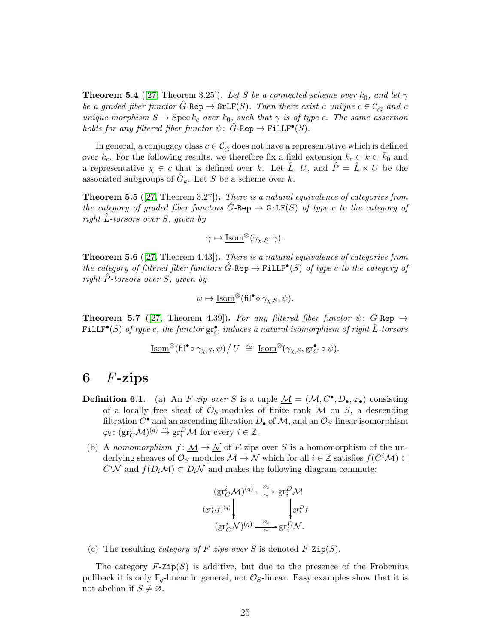<span id="page-24-1"></span>**Theorem 5.4** ([\[27,](#page-49-0) Theorem 3.25]). Let S be a connected scheme over  $k_0$ , and let  $\gamma$ be a graded fiber functor  $\hat{G}$ -Rep  $\to$  GrLF(S). Then there exist a unique  $c \in \mathcal{C}_{\hat{G}}$  and a unique morphism  $S \to \text{Spec } k_c$  over  $k_0$ , such that  $\gamma$  is of type c. The same assertion holds for any filtered fiber functor  $\psi$ :  $\hat{G}$ -Rep  $\rightarrow$  Fill $F^{\bullet}(S)$ .

In general, a conjugacy class  $c \in \mathcal{C}_{\hat{G}}$  does not have a representative which is defined over  $k_c$ . For the following results, we therefore fix a field extension  $k_c \subset k \subset \overline{k}_0$  and a representative  $\chi \in \mathcal{C}$  that is defined over k. Let  $\tilde{L}$ , U, and  $\tilde{P} = \tilde{L} \ltimes U$  be the associated subgroups of  $\hat{G}_k$ . Let S be a scheme over k.

<span id="page-24-4"></span>Theorem 5.5 ([\[27,](#page-49-0) Theorem 3.27]). There is a natural equivalence of categories from the category of graded fiber functors  $\hat{G}$ -Rep  $\rightarrow$  GrLF(S) of type c to the category of right L-torsors over  $S$ , given by

$$
\gamma \mapsto \underline{\operatorname{Isom}}^{\otimes}(\gamma_{\chi,S}, \gamma).
$$

<span id="page-24-2"></span>**Theorem 5.6** ([\[27,](#page-49-0) Theorem 4.43]). There is a natural equivalence of categories from the category of filtered fiber functors  $\hat{G}$ -Rep  $\rightarrow$  FillF<sup>•</sup>(S) of type c to the category of right  $\ddot{P}$ -torsors over S, given by

$$
\psi \mapsto \underline{\operatorname{Isom}}^{\otimes}(\mathrm{fil}^{\bullet} \circ \gamma_{\chi,S}, \psi).
$$

<span id="page-24-3"></span>**Theorem 5.7** ([\[27,](#page-49-0) Theorem 4.39]). For any filtered fiber functor  $\psi$ :  $\hat{G}$ -Rep  $\rightarrow$  $\texttt{FillF}^\bullet(S) \textit{ of type } c, \textit{ the functor } \mathrm{gr}^\bullet_C \textit{ induces a natural isomorphism of right } \hat{L}\textit{-torsors}$ 

$$
\underline{\operatorname{Isom}}^{\otimes}(\mathrm{fil}^{\bullet} \circ \gamma_{\chi,S}, \psi) / U \; \cong \; \underline{\operatorname{Isom}}^{\otimes}(\gamma_{\chi,S}, \operatorname{gr}^{\bullet}_{C} \circ \psi).
$$

## <span id="page-24-0"></span>6  $F$ -zips

- **Definition 6.1.** (a) An F-zip over S is a tuple  $M = (\mathcal{M}, C^{\bullet}, D_{\bullet}, \varphi_{\bullet})$  consisting of a locally free sheaf of  $\mathcal{O}_S$ -modules of finite rank  $\mathcal M$  on  $S$ , a descending filtration  $C^{\bullet}$  and an ascending filtration  $D_{\bullet}$  of  $\mathcal{M}$ , and an  $\mathcal{O}_S$ -linear isomorphism  $\varphi_i \colon (\text{gr}_C^i \mathcal{M})^{(q)} \overset{\sim}{\to} \text{gr}_i^D \mathcal{M}$  for every  $i \in \mathbb{Z}$ .
- (b) A homomorphism  $f: \mathcal{M} \to \mathcal{N}$  of F-zips over S is a homomorphism of the underlying sheaves of  $\mathcal{O}_S$ -modules  $\mathcal{M} \to \mathcal{N}$  which for all  $i \in \mathbb{Z}$  satisfies  $f(C^i\mathcal{M}) \subset$  $C^i\mathcal{N}$  and  $f(D_i\mathcal{M}) \subset D_i\mathcal{N}$  and makes the following diagram commute:

$$
\begin{array}{c}\n\left(\text{gr}^i_C \mathcal{M}\right)^{(q)} \xrightarrow{\varphi_i} \text{gr}^D_i \mathcal{M} \\
\left(\text{gr}^i_C f\right)^{(q)} \downarrow \qquad \qquad \downarrow \text{gr}^D_i f \\
\left(\text{gr}^i_C \mathcal{N}\right)^{(q)} \xrightarrow{\varphi_i} \text{gr}^D_i \mathcal{N}.\n\end{array}
$$

(c) The resulting *category of F-zips over* S is denoted  $F$ -Zip $(S)$ .

The category  $F$ -Zip $(S)$  is additive, but due to the presence of the Frobenius pullback it is only  $\mathbb{F}_q$ -linear in general, not  $\mathcal{O}_S$ -linear. Easy examples show that it is not abelian if  $S \neq \emptyset$ .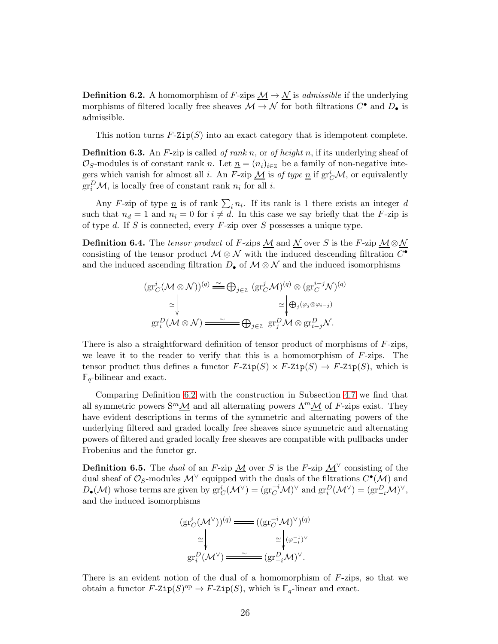<span id="page-25-0"></span>**Definition 6.2.** A homomorphism of F-zips  $M \to N$  is *admissible* if the underlying morphisms of filtered locally free sheaves  $\mathcal{M} \to \mathcal{N}$  for both filtrations  $C^{\bullet}$  and  $D_{\bullet}$  is admissible.

This notion turns  $F\text{-}$ zip $(S)$  into an exact category that is idempotent complete.

<span id="page-25-1"></span>**Definition 6.3.** An F-zip is called of rank n, or of height n, if its underlying sheaf of  $\mathcal{O}_S$ -modules is of constant rank n. Let  $\underline{n} = (n_i)_{i \in \mathbb{Z}}$  be a family of non-negative integers which vanish for almost all *i*. An F-zip  $\underline{M}$  is of type  $\underline{n}$  if  $\mathrm{gr}^i_C\mathcal{M}$ , or equivalently  $gr_i^D\mathcal{M}$ , is locally free of constant rank  $n_i$  for all *i*.

Any F-zip of type  $\underline{n}$  is of rank  $\sum_i n_i$ . If its rank is 1 there exists an integer d such that  $n_d = 1$  and  $n_i = 0$  for  $i \neq d$ . In this case we say briefly that the F-zip is of type  $d$ . If  $S$  is connected, every  $F$ -zip over  $S$  possesses a unique type.

**Definition 6.4.** The tensor product of F-zips  $M$  and  $\overline{M}$  over S is the F-zip  $M \otimes \overline{M}$ consisting of the tensor product  $\mathcal{M} \otimes \mathcal{N}$  with the induced descending filtration  $C^{\bullet}$ and the induced ascending filtration  $D_{\bullet}$  of  $\mathcal{M} \otimes \mathcal{N}$  and the induced isomorphisms

$$
(\operatorname{gr}^i_C(\mathcal{M}\otimes\mathcal{N}))^{(q)} \stackrel{\sim}{\longrightarrow} \bigoplus_{j\in\mathbb{Z}} (\operatorname{gr}^j_C\mathcal{M})^{(q)} \otimes (\operatorname{gr}^{i-j}_C\mathcal{N})^{(q)}
$$

$$
\cong \begin{vmatrix} \vdots & \vdots & \vdots \\ \vdots & \vdots & \vdots \\ \operatorname{gr}^D_i(\mathcal{M}\otimes\mathcal{N}) & \xrightarrow{\sim} \mathbb{Z} \end{vmatrix} \oplus_{j\in\mathbb{Z}} \operatorname{gr}^D_j\mathcal{M} \otimes \operatorname{gr}^D_{i-j}\mathcal{N}.
$$

There is also a straightforward definition of tensor product of morphisms of F-zips, we leave it to the reader to verify that this is a homomorphism of  $F$ -zips. The tensor product thus defines a functor  $F\text{-}Zip(S) \times F\text{-}Zip(S) \to F\text{-}Zip(S)$ , which is  $\mathbb{F}_q$ -bilinear and exact.

Comparing Definition [6.2](#page-25-0) with the construction in Subsection [4.7](#page-21-0) we find that all symmetric powers  $S^m \mathcal{M}$  and all alternating powers  $\Lambda^m \mathcal{M}$  of F-zips exist. They have evident descriptions in terms of the symmetric and alternating powers of the underlying filtered and graded locally free sheaves since symmetric and alternating powers of filtered and graded locally free sheaves are compatible with pullbacks under Frobenius and the functor gr.

**Definition 6.5.** The *dual* of an F-zip  $\mathcal{M}$  over S is the F-zip  $\mathcal{M}^{\vee}$  consisting of the dual sheaf of  $\mathcal{O}_S$ -modules  $\mathcal{M}^{\vee}$  equipped with the duals of the filtrations  $C^{\bullet}(\mathcal{M})$  and  $D_{\bullet}(\mathcal{M})$  whose terms are given by  $gr_C^i(\mathcal{M}^{\vee}) = (gr_C^{-i}\mathcal{M})^{\vee}$  and  $gr_i^D(\mathcal{M}^{\vee}) = (gr_{-i}^D\mathcal{M})^{\vee}$ , and the induced isomorphisms

$$
\begin{aligned} (\text{gr}^i_C(\mathcal{M}^\vee))^{(q)} &\xrightarrow{\hspace*{1.5cm}} ((\text{gr}^{-i}_C\mathcal{M})^\vee)^{(q)} \\ &\cong \bigvee_{\text{gr}^D_i(\mathcal{M}^\vee)} \xrightarrow{\hspace*{1.5cm}} \cong \bigvee_{(\varphi_{-i}^{-1})^\vee} (\text{gr}^D_{-i}\mathcal{M})^\vee. \end{aligned}
$$

There is an evident notion of the dual of a homomorphism of  $F$ -zips, so that we obtain a functor  $F\text{-}$ Zip $(S)$ <sup>op</sup>  $\rightarrow$   $F\text{-}$ Zip $(S)$ , which is  $\mathbb{F}_q$ -linear and exact.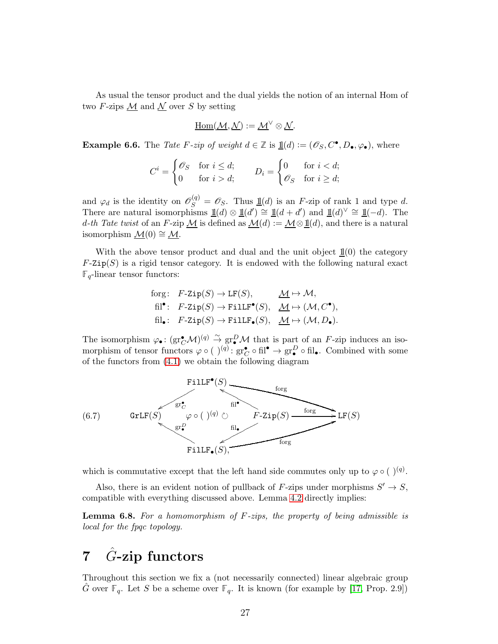As usual the tensor product and the dual yields the notion of an internal Hom of two F-zips  $\underline{\mathcal{M}}$  and  $\underline{\mathcal{N}}$  over S by setting

$$
\underline{\mathrm{Hom}}(\underline{\mathcal{M}},\underline{\mathcal{N}}):=\underline{\mathcal{M}}^\vee\otimes\underline{\mathcal{N}}.
$$

**Example 6.6.** The Tate F-zip of weight  $d \in \mathbb{Z}$  is  $\underline{\mathbb{1}}(d) := (\mathscr{O}_S, C^{\bullet}, D_{\bullet}, \varphi_{\bullet}),$  where

$$
C^i = \begin{cases} \mathcal{O}_S & \text{for } i \le d; \\ 0 & \text{for } i > d; \end{cases} \qquad D_i = \begin{cases} 0 & \text{for } i < d; \\ \mathcal{O}_S & \text{for } i \ge d; \end{cases}
$$

and  $\varphi_d$  is the identity on  $\mathscr{O}_S^{(q)} = \mathscr{O}_S$ . Thus  $\underline{\mathbb{1}}(d)$  is an F-zip of rank 1 and type d. There are natural isomorphisms  $\underline{\mathbb{1}}(d) \otimes \underline{\mathbb{1}}(d') \cong \underline{\mathbb{1}}(d + d')$  and  $\underline{\mathbb{1}}(d)^{\vee} \cong \underline{\mathbb{1}}(-d)$ . The d-th Tate twist of an F-zip  $M$  is defined as  $M(d) := M \otimes \mathbb{1}(d)$ , and there is a natural isomorphism  $\mathcal{M}(0) \cong \mathcal{M}$ .

With the above tensor product and dual and the unit object  $\mathbb{1}(0)$  the category  $F\text{-Zip}(S)$  is a rigid tensor category. It is endowed with the following natural exact  $\mathbb{F}_q$ -linear tensor functors:

$$
\begin{aligned}\n\text{forg:} \quad & F\text{-} \text{Zip}(S) \to \text{LF}(S), \qquad \underline{\mathcal{M}} \mapsto \mathcal{M}, \\
& \text{fil}^{\bullet}: \quad & F\text{-} \text{Zip}(S) \to \text{FillF}^{\bullet}(S), \quad \underline{\mathcal{M}} \mapsto (\mathcal{M}, C^{\bullet}), \\
& \text{fil}_{\bullet}: \quad & F\text{-} \text{Zip}(S) \to \text{FillF}_{\bullet}(S), \quad \underline{\mathcal{M}} \mapsto (\mathcal{M}, D_{\bullet}).\n\end{aligned}
$$

The isomorphism  $\varphi_{\bullet} \colon (\text{gr}_{\mathcal{C}}^{\bullet} \mathcal{M})^{(q)} \stackrel{\sim}{\to} \text{gr}_{\bullet}^{D} \mathcal{M}$  that is part of an F-zip induces an isomorphism of tensor functors  $\varphi \circ (\ )^{(q)}: gr_{\mathcal{C}}^{\bullet} \circ fil^{\bullet} \to gr_{\bullet}^D \circ fil_{\bullet}$ . Combined with some of the functors from [\(4.1\)](#page-20-0) we obtain the following diagram

<span id="page-26-2"></span>

which is commutative except that the left hand side commutes only up to  $\varphi \circ ( )^{(q)}$ .

Also, there is an evident notion of pullback of F-zips under morphisms  $S' \to S$ , compatible with everything discussed above. Lemma [4.2](#page-21-1) directly implies:

<span id="page-26-1"></span>**Lemma 6.8.** For a homomorphism of  $F\text{-zips}$ , the property of being admissible is local for the fpqc topology.

# <span id="page-26-0"></span>7  $\hat{G}$ -zip functors

Throughout this section we fix a (not necessarily connected) linear algebraic group  $\hat{G}$  over  $\mathbb{F}_q$ . Let S be a scheme over  $\mathbb{F}_q$ . It is known (for example by [\[17,](#page-48-4) Prop. 2.9])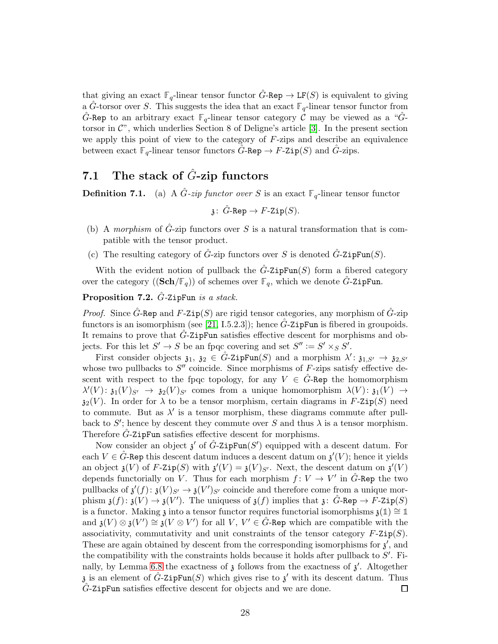that giving an exact  $\mathbb{F}_q$ -linear tensor functor  $\tilde{G}$ -Rep  $\to$  LF(S) is equivalent to giving a G-torsor over S. This suggests the idea that an exact  $\mathbb{F}_q$ -linear tensor functor from G-Rep to an arbitrary exact  $\mathbb{F}_q$ -linear tensor category C may be viewed as a "Gtorsor in  $\mathcal{C}$ ", which underlies Section 8 of Deligne's article [\[3\]](#page-47-3). In the present section we apply this point of view to the category of  $F$ -zips and describe an equivalence between exact  $\mathbb{F}_q$ -linear tensor functors  $\hat{G}$ -Rep  $\to F$ -Zip(S) and  $\hat{G}$ -zips.

# 7.1 The stack of  $\hat{G}$ -zip functors

**Definition 7.1.** (a) A  $\hat{G}$ -zip functor over S is an exact  $\mathbb{F}_q$ -linear tensor functor

$$
\mathfrak{z}\colon \hat{G}\text{-Rep}\to F\text{-}\mathrm{Zip}(S).
$$

- (b) A morphism of  $\ddot{G}$ -zip functors over S is a natural transformation that is compatible with the tensor product.
- (c) The resulting category of  $\hat{G}$ -zip functors over S is denoted  $\hat{G}$ -ZipFun(S).

With the evident notion of pullback the  $\tilde{G}$ -ZipFun(S) form a fibered category over the category  $((\mathbf{Sch}/\mathbb{F}_q))$  of schemes over  $\mathbb{F}_q$ , which we denote  $\hat{G}$ -ZipFun.

<span id="page-27-0"></span>**Proposition 7.2.**  $\hat{G}$ -ZipFun is a stack.

*Proof.* Since  $\tilde{G}$ -Rep and  $F$ -Zip(S) are rigid tensor categories, any morphism of  $\tilde{G}$ -zip functors is an isomorphism (see [\[21,](#page-48-5) I.5.2.3]); hence  $\hat{G}$ -ZipFun is fibered in groupoids. It remains to prove that  $\hat{G}$ -ZipFun satisfies effective descent for morphisms and objects. For this let  $S' \to S$  be an fpqc covering and set  $S'' := S' \times_S S'$ .

First consider objects  $\mathfrak{z}_1, \mathfrak{z}_2 \in \hat{G}$ -ZipFun(S) and a morphism  $\lambda' : \mathfrak{z}_{1, S'} \to \mathfrak{z}_{2, S'}$ whose two pullbacks to  $S''$  coincide. Since morphisms of  $F$ -zips satisfy effective descent with respect to the fpqc topology, for any  $V \in G$ -Rep the homomorphism  $\lambda'(V) \colon \mathfrak{z}_1(V)_{S'} \to \mathfrak{z}_2(V)_{S'}$  comes from a unique homomorphism  $\lambda(V) \colon \mathfrak{z}_1(V) \to$  $\mathfrak{z}_2(V)$ . In order for  $\lambda$  to be a tensor morphism, certain diagrams in F-Zip(S) need to commute. But as  $\lambda'$  is a tensor morphism, these diagrams commute after pullback to S'; hence by descent they commute over S and thus  $\lambda$  is a tensor morphism. Therefore  $\ddot{G}$ -ZipFun satisfies effective descent for morphisms.

Now consider an object  $\mathfrak{z}'$  of  $\hat{G}$ -ZipFun(S') equipped with a descent datum. For each  $V \in \hat{G}$ -Rep this descent datum induces a descent datum on  $\mathfrak{z}'(V)$ ; hence it yields an object  $\mathfrak{z}(V)$  of F-Zip(S) with  $\mathfrak{z}'(V) = \mathfrak{z}(V)_{S'}$ . Next, the descent datum on  $\mathfrak{z}'(V)$ depends functorially on V. Thus for each morphism  $f: V \to V'$  in  $\hat{G}$ -Rep the two pullbacks of  $\mathfrak{z}'(f) \colon \mathfrak{z}(V)_{S'} \to \mathfrak{z}(V')_{S'}$  coincide and therefore come from a unique morphism  $\mathfrak{z}(f) \colon \mathfrak{z}(V) \to \mathfrak{z}(V')$ . The uniquess of  $\mathfrak{z}(f)$  implies that  $\mathfrak{z} \colon \hat{G}$ -Rep  $\to F$ -Zip $(S)$ is a functor. Making  $\mathfrak{z}$  into a tensor functor requires functorial isomorphisms  $\mathfrak{z}(1) \cong 1$ and  $\mathfrak{z}(V) \otimes \mathfrak{z}(V') \cong \mathfrak{z}(V \otimes V')$  for all V,  $V' \in \hat{G}$ -Rep which are compatible with the associativity, commutativity and unit constraints of the tensor category  $F\text{-}Zip(S)$ . These are again obtained by descent from the corresponding isomorphisms for  $\mathfrak{z}'$ , and the compatibility with the constraints holds because it holds after pullback to  $S'$ . Fi-nally, by Lemma [6.8](#page-26-1) the exactness of  $\mathfrak z$  follows from the exactness of  $\mathfrak z'$ . Altogether  $\mathfrak z$  is an element of  $\hat G$ -ZipFun(S) which gives rise to  $\mathfrak z'$  with its descent datum. Thus G-ZipFun satisfies effective descent for objects and we are done. 囗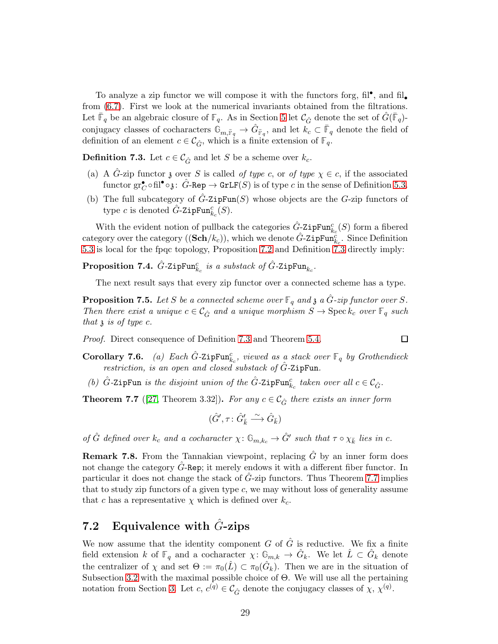To analyze a zip functor we will compose it with the functors forg,  $\mathrm{fil}^\bullet$ , and  $\mathrm{fil}_\bullet$ from [\(6.7\)](#page-26-2). First we look at the numerical invariants obtained from the filtrations. Let  $\bar{\mathbb{F}}_q$  be an algebraic closure of  $\mathbb{F}_q$ . As in Section [5](#page-22-0) let  $\mathcal{C}_{\hat{G}}$  denote the set of  $\hat{G}(\bar{\mathbb{F}}_q)$ conjugacy classes of cocharacters  $\mathbb{G}_{m,\bar{F}_q} \to \hat{G}_{\bar{F}_q}$ , and let  $k_c \subset \bar{F}_q$  denote the field of definition of an element  $c \in \mathcal{C}_{\hat{G}}$ , which is a finite extension of  $\mathbb{F}_q$ .

<span id="page-28-0"></span>**Definition 7.3.** Let  $c \in \mathcal{C}_{\hat{G}}$  and let S be a scheme over  $k_c$ .

- (a) A  $\hat{G}$ -zip functor z over S is called of type c, or of type  $\chi \in c$ , if the associated functor  $gr_C^{\bullet} \circ fil^{\bullet} \circ \mathfrak{z} \colon \hat{G}$ -Rep  $\to GrLF(S)$  is of type  $c$  in the sense of Definition [5.3.](#page-23-0)
- (b) The full subcategory of  $\hat{G}$ -ZipFun(S) whose objects are the G-zip functors of type c is denoted  $\hat{G}$ -ZipFun $_{k_c}^c(S)$ .

With the evident notion of pullback the categories  $\hat{G}_{\leq}$  zipFun $_{k_c}^c(S)$  form a fibered category over the category  $((Sch/k_c))$ , which we denote  $\hat{G}$ -ZipFun $_{k_c}^c$ . Since Definition [5.3](#page-23-0) is local for the fpqc topology, Proposition [7.2](#page-27-0) and Definition [7.3](#page-28-0) directly imply:

 $\bf{Proposition~7.4.}$   $\hat{G}\text{-}{\tt ZipFun}^c_{k_c}$  is a substack of  $\hat{G}\text{-}{\tt ZipFun}_{k_c}.$ 

The next result says that every zip functor over a connected scheme has a type.

**Proposition 7.5.** Let S be a connected scheme over  $\mathbb{F}_q$  and  $\mathfrak{z}$  a  $\hat{G}$ -zip functor over S. Then there exist a unique  $c \in \mathcal{C}_{\hat{G}}$  and a unique morphism  $S \to \operatorname{Spec} k_c$  over  $\mathbb{F}_q$  such that  $\lambda$  is of type c.

Proof. Direct consequence of Definition [7.3](#page-28-0) and Theorem [5.4.](#page-24-1)

**Corollary 7.6.** (a) Each  $\hat{G}$ -ZipFun $_{k_c}^c$ , viewed as a stack over  $\mathbb{F}_q$  by Grothendieck restriction, is an open and closed substack of  $\hat{G}$ -ZipFun.

 $\Box$ 

(b)  $\hat{G}$ -ZipFun is the disjoint union of the  $\hat{G}$ -ZipFun $_{k_c}^c$  taken over all  $c \in \mathcal{C}_{\hat{G}}$ .

<span id="page-28-2"></span>**Theorem 7.7** ([\[27,](#page-49-0) Theorem 3.32]). For any  $c \in \mathcal{C}_{\hat{G}}$  there exists an inner form

$$
(\hat G',\tau\colon\hat G'_{\bar k}\stackrel{\sim}{\longrightarrow}\hat G_{\bar k})
$$

of  $\hat{G}$  defined over  $k_c$  and a cocharacter  $\chi: \mathbb{G}_{m,k_c} \to \hat{G}'$  such that  $\tau \circ \chi_{\bar{k}}$  lies in c.

**Remark 7.8.** From the Tannakian viewpoint, replacing  $\hat{G}$  by an inner form does not change the category G-Rep; it merely endows it with a different fiber functor. In particular it does not change the stack of  $\ddot{G}$ -zip functors. Thus Theorem [7.7](#page-28-2) implies that to study zip functors of a given type  $c$ , we may without loss of generality assume that c has a representative  $\chi$  which is defined over  $k_c$ .

## <span id="page-28-1"></span>7.2 Equivalence with  $\hat{G}$ -zips

We now assume that the identity component  $G$  of  $\tilde{G}$  is reductive. We fix a finite field extension k of  $\mathbb{F}_q$  and a cocharacter  $\chi: \mathbb{G}_{m,k} \to \hat{G}_k$ . We let  $\hat{L} \subset \hat{G}_k$  denote the centralizer of  $\chi$  and set  $\Theta := \pi_0(\hat{L}) \subset \pi_0(\hat{G}_k)$ . Then we are in the situation of Subsection [3.2](#page-9-1) with the maximal possible choice of  $\Theta$ . We will use all the pertaining notation from Section [3.](#page-8-0) Let  $c, c^{(q)} \in \mathcal{C}_{\hat{G}}$  denote the conjugacy classes of  $\chi, \chi^{(q)}$ .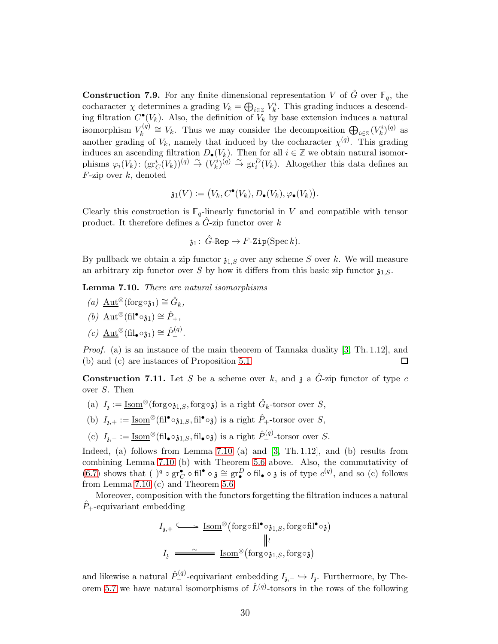<span id="page-29-1"></span>**Construction 7.9.** For any finite dimensional representation V of  $\hat{G}$  over  $\mathbb{F}_q$ , the cocharacter  $\chi$  determines a grading  $V_k = \bigoplus_{i \in \mathbb{Z}} V_k^i$ . This grading induces a descending filtration  $C^{\bullet}(V_k)$ . Also, the definition of  $\tilde{V}_k$  by base extension induces a natural isomorphism  $V_k^{(q)}$  $V_k^{(q)} \cong V_k$ . Thus we may consider the decomposition  $\bigoplus_{i \in \mathbb{Z}} (V_k^i)^{(q)}$  as another grading of  $V_k$ , namely that induced by the cocharacter  $\chi^{(q)}$ . This grading induces an ascending filtration  $D_{\bullet}(V_k)$ . Then for all  $i \in \mathbb{Z}$  we obtain natural isomorphisms  $\varphi_i(V_k)$ :  $(\text{gr}_C^i(V_k))^{(q)} \stackrel{\sim}{\to} (V_k^i)^{(q)} \stackrel{\sim}{\to} \text{gr}_i^D(V_k)$ . Altogether this data defines an  $F$ -zip over  $k$ , denoted

$$
\mathfrak{z}_1(V):=(V_k,C^{\bullet}(V_k),D_{\bullet}(V_k),\varphi_{\bullet}(V_k)).
$$

Clearly this construction is  $\mathbb{F}_q$ -linearly functorial in V and compatible with tensor product. It therefore defines a  $G$ -zip functor over  $k$ 

$$
\mathfrak{z}_1\colon\thinspace\hat{G}\text{-Rep}\to F\text{-}\mathrm{Zip}(\mathrm{Spec}\,k).
$$

By pullback we obtain a zip functor  $\mathfrak{z}_{1,S}$  over any scheme S over k. We will measure an arbitrary zip functor over S by how it differs from this basic zip functor  $\mathfrak{z}_{1,S}$ .

<span id="page-29-0"></span>Lemma 7.10. There are natural isomorphisms

(a)  $\underline{\mathrm{Aut}}^{\otimes}(\mathrm{forg} \circ \mathfrak{z}_1) \cong \hat{G}_k$ , (b)  $\underline{\mathrm{Aut}}^{\otimes}(\mathrm{fil}^{\bullet} \circ \mathfrak{z}_1) \cong \hat{P}_+,$  $(c) \underline{\text{Aut}}^{\otimes}(\text{fil}_{\bullet} \circ \mathfrak{z}_1) \cong \hat{P}_{-}^{(q)}.$ 

Proof. (a) is an instance of the main theorem of Tannaka duality [\[3,](#page-47-3) Th. 1.12], and (b) and (c) are instances of Proposition 5.1.  $\Box$ 

<span id="page-29-2"></span>**Construction 7.11.** Let S be a scheme over k, and  $\mathfrak{z}$  a  $\hat{G}$ -zip functor of type c over S. Then

- (a)  $I_3 := \underline{\text{Isom}}^{\otimes}(\text{forg} \circ \mathfrak{z}_{1,S}, \text{forg} \circ \mathfrak{z})$  is a right  $\hat{G}_k$ -torsor over S,
- (b)  $I_{3,+} := \underline{\text{Isom}}^{\otimes}(\text{fil}^{\bullet} \circ \mathfrak{z}_{1,S}, \text{fil}^{\bullet} \circ \mathfrak{z})$  is a right  $\hat{P}_{+}$ -torsor over S,
- (c)  $I_{\mathfrak{z},-} := \underline{\text{Isom}}^{\otimes}(\text{fil}_{\bullet} \circ \mathfrak{z}_{1,S}, \text{fil}_{\bullet} \circ \mathfrak{z})$  is a right  $\hat{P}_{-}^{(q)}$ -torsor over S.

Indeed, (a) follows from Lemma [7.10](#page-29-0) (a) and [\[3,](#page-47-3) Th. 1.12], and (b) results from combining Lemma [7.10](#page-29-0) (b) with Theorem [5.6](#page-24-2) above. Also, the commutativity of [\(6.7\)](#page-26-2) shows that  $( )^q \circ \text{gr}^{\bullet} _{C} \circ \text{fil}^{\bullet} \circ \mathfrak{z} \cong \text{gr}^D_{\bullet} \circ \text{fil}_{\bullet} \circ \mathfrak{z}$  is of type  $c^{(q)}$ , and so (c) follows from Lemma [7.10](#page-29-0) (c) and Theorem [5.6.](#page-24-2)

Moreover, composition with the functors forgetting the filtration induces a natural  $P_{+}$ -equivariant embedding

$$
I_{\mathfrak{z},+} \longrightarrow \underline{\mathrm{Isom}}^{\otimes}(\mathrm{forg} \circ \mathrm{fil}^{\bullet} \circ \mathfrak{z}_{1,S}, \mathrm{forg} \circ \mathrm{fil}^{\bullet} \circ \mathfrak{z})
$$

$$
\parallel \iota
$$

$$
I_{\mathfrak{z}} \longrightarrow \underline{\underline{\mathrm{Isom}}^{\otimes}(\mathrm{forg} \circ \mathfrak{z}_{1,S}, \mathrm{forg} \circ \mathfrak{z})}
$$

and likewise a natural  $\hat{P}_{-}^{(q)}$ -equivariant embedding  $I_{\tilde{j},-} \hookrightarrow I_{\tilde{j}}$ . Furthermore, by The-orem [5.7](#page-24-3) we have natural isomorphisms of  $\hat{L}^{(q)}$ -torsors in the rows of the following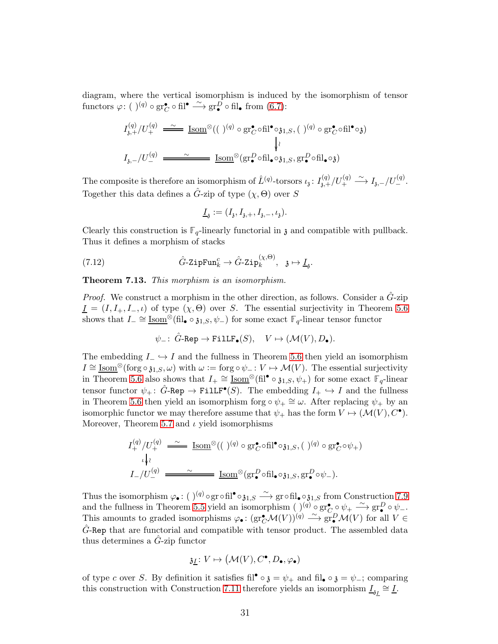diagram, where the vertical isomorphism is induced by the isomorphism of tensor functors  $\varphi: (\ )^{(q)} \circ \text{gr}^{\bullet} _{\mathcal{C}} \circ \text{fil}^{\bullet} \stackrel{\sim}{\longrightarrow} \text{gr}^{\tilde{D}}_{\bullet} \circ \text{fil}_{\bullet} \text{ from } (6.7):$  $\varphi: (\ )^{(q)} \circ \text{gr}^{\bullet} _{\mathcal{C}} \circ \text{fil}^{\bullet} \stackrel{\sim}{\longrightarrow} \text{gr}^{\tilde{D}}_{\bullet} \circ \text{fil}_{\bullet} \text{ from } (6.7):$  $\varphi: (\ )^{(q)} \circ \text{gr}^{\bullet} _{\mathcal{C}} \circ \text{fil}^{\bullet} \stackrel{\sim}{\longrightarrow} \text{gr}^{\tilde{D}}_{\bullet} \circ \text{fil}_{\bullet} \text{ from } (6.7):$ 

$$
I_{3,+}^{(q)}/U_{+}^{(q)} \xrightarrow{\sim} \underline{\text{Isom}}^{\otimes}((\ )^{(q)} \circ \text{gr}_{C}^{\bullet} \circ \text{fil}^{\bullet} \circ_{\mathfrak{z}_{1,S},} (\ )^{(q)} \circ \text{gr}_{C}^{\bullet} \circ \text{fil}^{\bullet} \circ_{\mathfrak{z}_{3}})
$$

$$
I_{3,-}/U_{-}^{(q)} \xrightarrow{\sim} \underline{\text{Isom}}^{\otimes}(\text{gr}_{\bullet}^{D} \circ \text{fil}_{\bullet} \circ_{\mathfrak{z}_{1,S}} \text{gr}_{\bullet}^{D} \circ \text{fil}_{\bullet} \circ_{\mathfrak{z}_{3}})
$$

The composite is therefore an isomorphism of  $\hat{L}^{(q)}$ -torsors  $\iota_3: I_{3,+}^{(q)}/U_+^{(q)} \xrightarrow{\sim} I_{3,-}/U_-^{(q)}$ . Together this data defines a  $\hat{G}$ -zip of type  $(\chi, \Theta)$  over S

<span id="page-30-1"></span>
$$
\underline{I}_{\mathfrak{z}}:=(I_{\mathfrak{z}},I_{\mathfrak{z},+},I_{\mathfrak{z},-},\iota_{\mathfrak{z}}).
$$

Clearly this construction is  $\mathbb{F}_q$ -linearly functorial in **3** and compatible with pullback. Thus it defines a morphism of stacks

(7.12) 
$$
\hat{G}\text{-}\mathrm{ZipFun}_{k}^{c} \to \hat{G}\text{-}\mathrm{Zip}_{k}^{(\chi,\Theta)}, \quad \mathfrak{z} \mapsto \underline{I}_{\mathfrak{z}}.
$$

<span id="page-30-0"></span>Theorem 7.13. This morphism is an isomorphism.

*Proof.* We construct a morphism in the other direction, as follows. Consider a  $\hat{G}$ -zip  $I = (I, I_+, I_-, \iota)$  of type  $(\chi, \Theta)$  over S. The essential surjectivity in Theorem [5.6](#page-24-2) shows that  $I_{-} \cong \underline{\text{Isom}}^{\otimes}(\text{fil}_{\bullet} \circ \mathfrak{z}_{1,S}, \psi_{-})$  for some exact  $\mathbb{F}_q$ -linear tensor functor

$$
\psi_- \colon \, \hat{G}\text{-Rep} \to \texttt{FillF}_{\bullet}(S), \quad V \mapsto (\mathcal{M}(V), D_{\bullet}).
$$

The embedding  $I_-\hookrightarrow I$  and the fullness in Theorem [5.6](#page-24-2) then yield an isomorphism  $I \cong \underline{\mathrm{Isom}}^{\otimes}(\text{forg} \circ \mathfrak{z}_{1,S}, \omega)$  with  $\omega := \text{forg} \circ \psi_- : V \mapsto \mathcal{M}(V)$ . The essential surjectivity in Theorem [5.6](#page-24-2) also shows that  $I_+ \cong \underline{\text{Isom}}^{\otimes}(\text{fil}^{\bullet} \circ \mathfrak{z}_{1,S}, \psi_+)$  for some exact  $\mathbb{F}_q$ -linear tensor functor  $\psi_+ \colon \hat{G}$ -Rep  $\to \text{FillF}^{\bullet}(S)$ . The embedding  $I_+ \hookrightarrow I$  and the fullness in Theorem [5.6](#page-24-2) then yield an isomorphism forg  $\circ \psi_+ \cong \omega$ . After replacing  $\psi_+$  by an isomorphic functor we may therefore assume that  $\psi_+$  has the form  $V \mapsto (\mathcal{M}(V), C^{\bullet}).$ Moreover, Theorem [5.7](#page-24-3) and  $\iota$  yield isomorphisms

$$
I_{+}^{(q)}/U_{+}^{(q)} \xrightarrow{\sim} \underline{\text{Isom}}^{\otimes}((\ )^{(q)} \circ \text{gr}_{C}^{\bullet} \circ \text{fil}^{\bullet} \circ \mathfrak{z}_{1,S}, (\ )^{(q)} \circ \text{gr}_{C}^{\bullet} \circ \psi_{+})
$$

$$
I_{-}/U_{-}^{(q)} \xrightarrow{\sim} \underline{\text{Isom}}^{\otimes}(\text{gr}_{\bullet}^{D} \circ \text{fil}_{\bullet} \circ \mathfrak{z}_{1,S}, \text{gr}_{\bullet}^{D} \circ \psi_{-}).
$$

Thus the isomorphism  $\varphi_{\bullet}$ : (  $)^{(q)} \circ \text{gr} \circ \text{fil}^{\bullet} \circ \mathfrak{z}_{1,S} \longrightarrow \text{gr} \circ \text{fil}_{\bullet} \circ \mathfrak{z}_{1,S}$  from Construction [7.9](#page-29-1) and the fullness in Theorem [5.5](#page-24-4) yield an isomorphism  $\left(\begin{smallmatrix}0\end{smallmatrix}\right)^{(q)}\circ gr_{C}^{\bullet}\circ \psi_{+} \longrightarrow gr_{\bullet}^{D}\circ \psi_{-}$ . This amounts to graded isomorphisms  $\varphi_{\bullet} : (\text{gr}_{\mathcal{C}}^{\bullet} \mathcal{M}(V))^{(q)} \stackrel{\sim}{\longrightarrow} \text{gr}_{\bullet}^{\mathcal{D}} \mathcal{M}(V)$  for all  $V \in$  $\hat{G}$ -Rep that are functorial and compatible with tensor product. The assembled data thus determines a  $G$ -zip functor

$$
\mathfrak{z}_L\colon V\mapsto \big(\mathcal{M}(V),C^\bullet,D_\bullet,\varphi_\bullet)
$$

of type c over S. By definition it satisfies fil<sup>•</sup>  $\circ \mathfrak{z} = \psi_+$  and fil<sub>•</sub>  $\circ \mathfrak{z} = \psi_-$ ; comparing this construction with Construction [7.11](#page-29-2) therefore yields an isomorphism  $\underline{I}_{3I} \cong \underline{I}$ .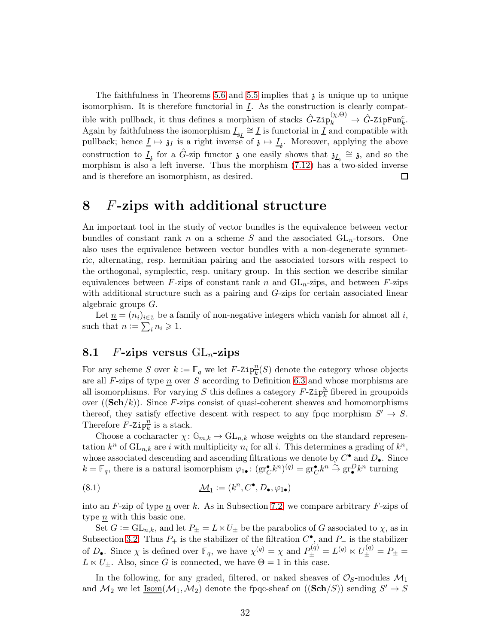The faithfulness in Theorems [5.6](#page-24-2) and [5.5](#page-24-4) implies that  $\chi$  is unique up to unique isomorphism. It is therefore functorial in  $I$ . As the construction is clearly compatible with pullback, it thus defines a morphism of stacks  $\hat{G}$ -Zip $_k^{(\chi,\Theta)} \to \hat{G}$ -ZipFun $_k^c$ . Again by faithfulness the isomorphism  $\underline{I}_{3L} \cong \underline{I}$  is functorial in  $\underline{I}$  and compatible with pullback; hence  $\underline{I} \mapsto \underline{\mathfrak{z}}_I$  is a right inverse of  $\mathfrak{z} \mapsto \underline{I}_3$ . Moreover, applying the above construction to  $\underline{I}_3$  for a  $\hat{G}$ -zip functor  $\mathfrak z$  one easily shows that  $\mathfrak z_{\underline{I}_3} \cong \mathfrak z$ , and so the morphism is also a left inverse. Thus the morphism [\(7.12\)](#page-30-1) has a two-sided inverse and is therefore an isomorphism, as desired.  $\Box$ 

## <span id="page-31-0"></span>8 F-zips with additional structure

An important tool in the study of vector bundles is the equivalence between vector bundles of constant rank n on a scheme S and the associated  $GL_n$ -torsors. One also uses the equivalence between vector bundles with a non-degenerate symmetric, alternating, resp. hermitian pairing and the associated torsors with respect to the orthogonal, symplectic, resp. unitary group. In this section we describe similar equivalences between F-zips of constant rank n and  $GL_n$ -zips, and between F-zips with additional structure such as a pairing and G-zips for certain associated linear algebraic groups G.

Let  $\underline{n} = (n_i)_{i \in \mathbb{Z}}$  be a family of non-negative integers which vanish for almost all i, such that  $n := \sum_i n_i \geqslant 1$ .

### <span id="page-31-2"></span>8.1 F-zips versus  $GL_n$ -zips

For any scheme S over  $k := \mathbb{F}_q$  we let  $F$ -Zip $\frac{n}{k}(S)$  denote the category whose objects are all  $F$ -zips of type  $\underline{n}$  over  $S$  according to Definition [6.3](#page-25-1) and whose morphisms are all isomorphisms. For varying S this defines a category  $F$ -Zip $\frac{n}{k}$  fibered in groupoids over  $((\mathbf{Sch}/k))$ . Since F-zips consist of quasi-coherent sheaves and homomorphisms thereof, they satisfy effective descent with respect to any fpqc morphism  $S' \to S$ . Therefore  $\vec{F}$ -Zip $\frac{n}{k}$  is a stack.

Choose a cocharacter  $\chi: \mathbb{G}_{m,k} \to \mathrm{GL}_{n,k}$  whose weights on the standard representation  $k^n$  of  $\mathrm{GL}_{n,k}$  are i with multiplicity  $n_i$  for all i. This determines a grading of  $k^n$ , whose associated descending and ascending filtrations we denote by  $C^{\bullet}$  and  $D_{\bullet}$ . Since  $k = \mathbb{F}_q$ , there is a natural isomorphism  $\varphi_{1\bullet} : (\text{gr}^{\bullet}_{C} k^{n})^{(q)} = \text{gr}^{\bullet}_{C} k^{n} \stackrel{\sim}{\to} \text{gr}^D_{\bullet} k^{n}$  turning

<span id="page-31-1"></span>(8.1) 
$$
\underline{\mathcal{M}}_1 := (k^n, C^{\bullet}, D_{\bullet}, \varphi_{1\bullet})
$$

into an  $F$ -zip of type n over k. As in Subsection [7.2,](#page-28-1) we compare arbitrary  $F$ -zips of type *n* with this basic one.

Set  $G := GL_{n,k}$ , and let  $P_{\pm} = L \ltimes U_{\pm}$  be the parabolics of G associated to  $\chi$ , as in Subsection [3.2.](#page-9-1) Thus  $P_+$  is the stabilizer of the filtration  $C^{\bullet}$ , and  $P_-$  is the stabilizer of  $D_{\bullet}$ . Since  $\chi$  is defined over  $\mathbb{F}_q$ , we have  $\chi^{(q)} = \chi$  and  $P_{\pm}^{(q)} = L^{(q)} \ltimes U_{\pm}^{(q)} = P_{\pm} =$  $L \ltimes U_{\pm}$ . Also, since G is connected, we have  $\Theta = 1$  in this case.

In the following, for any graded, filtered, or naked sheaves of  $\mathcal{O}_S$ -modules  $\mathcal{M}_1$ and  $\mathcal{M}_2$  we let  $\underline{\mathrm{Isom}}(\mathcal{M}_1, \mathcal{M}_2)$  denote the fpqc-sheaf on  $((\mathbf{Sch}/S))$  sending  $S' \to S$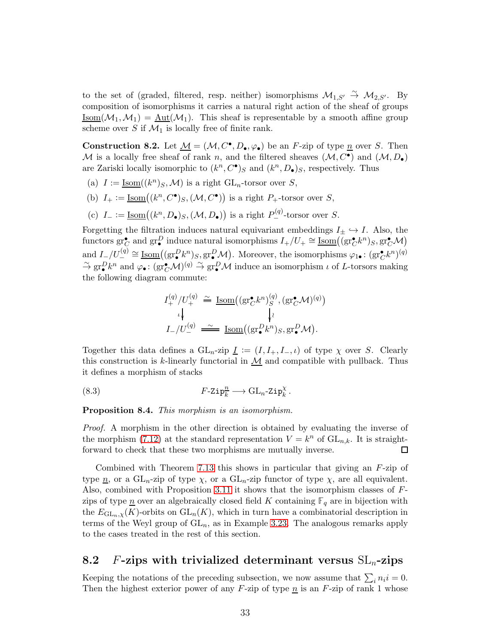to the set of (graded, filtered, resp. neither) isomorphisms  $\mathcal{M}_{1,S'} \stackrel{\sim}{\rightarrow} \mathcal{M}_{2,S'}$ . By composition of isomorphisms it carries a natural right action of the sheaf of groups  $\underline{\mathrm{Isom}}(\mathcal{M}_1,\mathcal{M}_1) = \underline{\mathrm{Aut}}(\mathcal{M}_1)$ . This sheaf is representable by a smooth affine group scheme over S if  $\mathcal{M}_1$  is locally free of finite rank.

<span id="page-32-0"></span>**Construction 8.2.** Let  $M = (M, C^{\bullet}, D_{\bullet}, \varphi_{\bullet})$  be an F-zip of type  $\underline{n}$  over S. Then  $M$  is a locally free sheaf of rank n, and the filtered sheaves  $(M, C^{\bullet})$  and  $(M, D_{\bullet})$ are Zariski locally isomorphic to  $(k^n, C^{\bullet})_S$  and  $(k^n, D_{\bullet})_S$ , respectively. Thus

- (a)  $I := \underline{\text{Isom}}((k^n)_S, \mathcal{M})$  is a right  $\text{GL}_n$ -torsor over S,
- (b)  $I_+ := \underline{\text{Isom}}((k^n, C^{\bullet})_S, (\mathcal{M}, C^{\bullet}))$  is a right  $P_+$ -torsor over S,
- (c)  $I_- := \underline{\text{Isom}}((k^n, D_{\bullet})_S, (\mathcal{M}, D_{\bullet}))$  is a right  $P_{-}^{(q)}$ -torsor over S.

Forgetting the filtration induces natural equivariant embeddings  $I_{\pm} \hookrightarrow I$ . Also, the functors  $\operatorname{gr}^{\bullet}_{C}$  and  $\operatorname{gr}^D_{\bullet}$  induce natural isomorphisms  $I_+/U_+ \cong \underline{\operatorname{Isom}}((\operatorname{gr}^{\bullet}_{C}k^n)_S, \operatorname{gr}^{\bullet}_{C} \mathcal{M})$ and  $I_-/U_-^{(q)} \cong \underline{\text{Isom}}((\text{gr}^D_{\bullet} k^n)_S, \text{gr}^D_{\bullet} \mathcal{M})$ . Moreover, the isomorphisms  $\varphi_{1\bullet} \colon (\text{gr}^{\bullet}_{\mathbb{C}} k^n)^{(q)}$  $\tilde{\to} \operatorname{gr}_{\bullet}^{\mathbf{D}} k^n$  and  $\varphi_{\bullet} : (\operatorname{gr}_{\mathbf{C}}^{\bullet} \mathcal{M})^{(q)} \stackrel{\sim}{\to} \operatorname{gr}_{\bullet}^{\mathbf{D}} \mathcal{M}$  induce an isomorphism  $\iota$  of  $L$ -torsors making the following diagram commute:

<span id="page-32-1"></span>
$$
I_{+}^{(q)}/U_{+}^{(q)} \cong \underline{\text{Isom}}((\text{gr}_{C}^{\bullet}k^{n})_{S}^{(q)}, (\text{gr}_{C}^{\bullet}\mathcal{M})^{(q)})
$$

$$
\downarrow_{\downarrow}
$$

$$
I_{-}/U_{-}^{(q)} \cong \underline{\text{Isom}}((\text{gr}_{\bullet}^{D}k^{n})_{S}, \text{gr}_{\bullet}^{D}\mathcal{M}).
$$

Together this data defines a  $GL_n$ -zip  $\underline{I} := (I, I_+, I_-, \iota)$  of type  $\chi$  over S. Clearly this construction is k-linearly functorial in  $M$  and compatible with pullback. Thus it defines a morphism of stacks

(8.3) 
$$
F\text{-} \mathrm{Zip}_{k}^{n} \longrightarrow \mathrm{GL}_{n}\text{-} \mathrm{Zip}_{k}^{\chi}.
$$

Proposition 8.4. This morphism is an isomorphism.

Proof. A morphism in the other direction is obtained by evaluating the inverse of the morphism [\(7.12\)](#page-30-1) at the standard representation  $V = k^n$  of  $GL_{n,k}$ . It is straightforward to check that these two morphisms are mutually inverse.  $\Box$ 

Combined with Theorem [7.13](#page-30-0) this shows in particular that giving an  $F$ -zip of type  $\underline{n}$ , or a  $GL_n$ -zip of type  $\chi$ , or a  $GL_n$ -zip functor of type  $\chi$ , are all equivalent. Also, combined with Proposition [3.11](#page-12-0) it shows that the isomorphism classes of Fzips of type  $\underline{n}$  over an algebraically closed field K containing  $\mathbb{F}_q$  are in bijection with the  $E_{\mathrm{GL}_n,\chi}(K)$ -orbits on  $\mathrm{GL}_n(K)$ , which in turn have a combinatorial description in terms of the Weyl group of  $GL_n$ , as in Example [3.23.](#page-15-0) The analogous remarks apply to the cases treated in the rest of this section.

# 8.2 F-zips with trivialized determinant versus  $SL_n$ -zips

Keeping the notations of the preceding subsection, we now assume that  $\sum_i n_i i = 0$ . Then the highest exterior power of any  $F$ -zip of type  $\underline{n}$  is an  $F$ -zip of rank 1 whose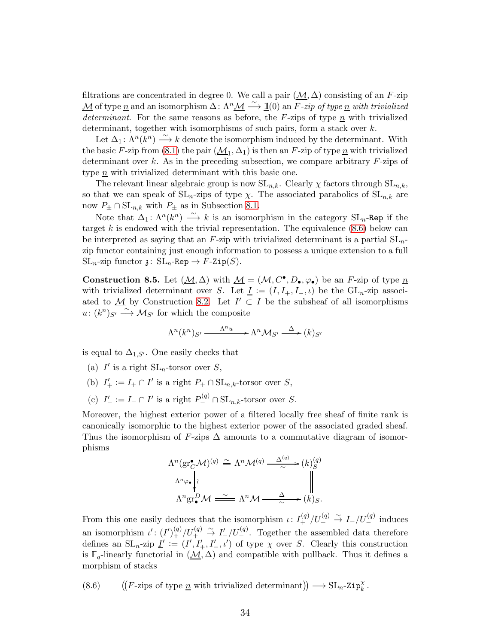filtrations are concentrated in degree 0. We call a pair  $(\mathcal{M}, \Delta)$  consisting of an F-zip <u>M</u> of type <u>n</u> and an isomorphism  $\Delta: \Lambda^n \mathcal{M} \xrightarrow{\sim} \underline{\mathbb{1}}(0)$  an F-zip of type <u>n</u> with trivialized determinant. For the same reasons as before, the  $F$ -zips of type n with trivialized determinant, together with isomorphisms of such pairs, form a stack over k.

Let  $\Delta_1: \Lambda^n(\mathbb{R}^n) \stackrel{\sim}{\longrightarrow} k$  denote the isomorphism induced by the determinant. With the basic F-zip from [\(8.1\)](#page-31-1) the pair  $(\underline{\mathcal{M}}_1, \Delta_1)$  is then an F-zip of type  $\underline{n}$  with trivialized determinant over k. As in the preceding subsection, we compare arbitrary  $F$ -zips of type  $\underline{n}$  with trivialized determinant with this basic one.

The relevant linear algebraic group is now  $SL_{n,k}$ . Clearly  $\chi$  factors through  $SL_{n,k}$ , so that we can speak of  $SL_n$ -zips of type  $\chi$ . The associated parabolics of  $SL_{n,k}$  are now  $P_{\pm} \cap \mathrm{SL}_{n,k}$  with  $P_{\pm}$  as in Subsection [8.1.](#page-31-2)

Note that  $\Delta_1: \Lambda^n(k^n) \longrightarrow k$  is an isomorphism in the category  $SL_n$ -Rep if the target  $k$  is endowed with the trivial representation. The equivalence  $(8.6)$  below can be interpreted as saying that an F-zip with trivialized determinant is a partial  $SL_n$ zip functor containing just enough information to possess a unique extension to a full  $SL_n$ -zip functor  $\mathfrak{z}$ :  $SL_n$ -Rep  $\rightarrow$  F-Zip(S).

**Construction 8.5.** Let  $(\underline{M}, \Delta)$  with  $\underline{M} = (\mathcal{M}, C^{\bullet}, D_{\bullet}, \varphi_{\bullet})$  be an F-zip of type  $\underline{n}$ with trivialized determinant over S. Let  $\underline{I} := (I, I_+, I_-, \iota)$  be the  $GL_n$ -zip associated to  $\underline{\mathcal{M}}$  by Construction [8.2.](#page-32-0) Let  $I' \subset I$  be the subsheaf of all isomorphisms  $u: (k^n)_{S'} \longrightarrow \mathcal{M}_{S'}$  for which the composite

$$
\Lambda^n(k^n)_{S'} \xrightarrow{\quad \Lambda^n u \quad} \Lambda^n \mathcal{M}_{S'} \xrightarrow{\quad \Delta \quad} (k)_{S'}
$$

is equal to  $\Delta_{1,S'}$ . One easily checks that

- (a)  $I'$  is a right  $SL_n$ -torsor over S,
- (b)  $I'_{+} := I_{+} \cap I'$  is a right  $P_{+} \cap SL_{n,k}$ -torsor over S,
- (c)  $I'_{-} := I_{-} \cap I'$  is a right  $P_{-}^{(q)} \cap SL_{n,k}$ -torsor over S.

Moreover, the highest exterior power of a filtered locally free sheaf of finite rank is canonically isomorphic to the highest exterior power of the associated graded sheaf. Thus the isomorphism of F-zips  $\Delta$  amounts to a commutative diagram of isomorphisms

$$
\Lambda^n(\text{gr}^{\bullet}_{\mathcal{C}}\mathcal{M})^{(q)} \stackrel{\simeq}{=} \Lambda^n \mathcal{M}^{(q)} \xrightarrow{\Delta^{(q)}} (k)^{(q)}_S
$$
\n
$$
\Lambda^n \varphi \bullet \downarrow \wr \qquad \qquad \downarrow \qquad \qquad \downarrow
$$
\n
$$
\Lambda^n \text{gr}^D_{\bullet} \mathcal{M} \xrightarrow{\sim} \Lambda^n \mathcal{M} \xrightarrow{\Delta} (k)_S.
$$

From this one easily deduces that the isomorphism  $\iota: I^{(q)}_+ / U^{(q)}_+ \overset{\sim}{\to} I_- / U^{(q)}_-$  induces an isomorphism  $\iota'$ :  $(I')^{(q)}_+ / U^{(q)}_+ \stackrel{\sim}{\to} I'_{-}/U^{(q)}_-$ . Together the assembled data therefore defines an  $SL_n$ -zip  $\underline{I}' := (I', I'_+, I'_-, \iota')$  of type  $\chi$  over S. Clearly this construction is  $\mathbb{F}_q$ -linearly functorial in  $(\underline{\mathcal{M}}, \Delta)$  and compatible with pullback. Thus it defines a morphism of stacks

<span id="page-33-0"></span>(8.6)  $((F\text{-zips of type }\underline{n} \text{ with trivialized determinant})) \longrightarrow \text{SL}_n\text{-}\text{Zip}_k^{\chi}.$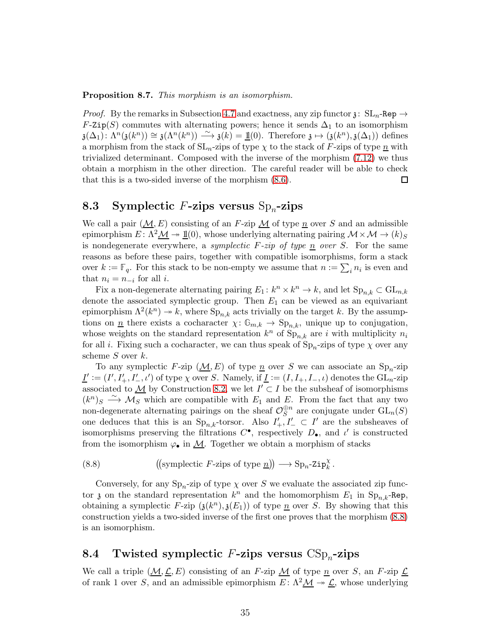Proposition 8.7. This morphism is an isomorphism.

*Proof.* By the remarks in Subsection [4.7](#page-21-0) and exactness, any zip functor  $\chi: SL_n$ -Rep  $\rightarrow$ F-Zip(S) commutes with alternating powers; hence it sends  $\Delta_1$  to an isomorphism  $a(\Delta_1): \Lambda^n(\mathfrak{z}(k^n)) \cong \mathfrak{z}(\Lambda^n(k^n)) \longrightarrow \mathfrak{z}(k) = \underline{\mathbb{1}}(0).$  Therefore  $\mathfrak{z} \mapsto (\mathfrak{z}(k^n), \mathfrak{z}(\Delta_1))$  defines a morphism from the stack of  $SL_n$ -zips of type  $\chi$  to the stack of F-zips of type n with trivialized determinant. Composed with the inverse of the morphism [\(7.12\)](#page-30-1) we thus obtain a morphism in the other direction. The careful reader will be able to check that this is a two-sided inverse of the morphism [\(8.6\)](#page-33-0). 囗

# <span id="page-34-1"></span>8.3 Symplectic F-zips versus  $Sp_n$ -zips

We call a pair  $(M, E)$  consisting of an F-zip  $M$  of type n over S and an admissible epimorphism  $E: \Lambda^2 \mathcal{M} \to \mathbb{1}(0)$ , whose underlying alternating pairing  $\mathcal{M} \times \mathcal{M} \to (k)_{S}$ is nondegenerate everywhere, a symplectic  $F\text{-}zip$  of type n over S. For the same reasons as before these pairs, together with compatible isomorphisms, form a stack over  $k := \mathbb{F}_q$ . For this stack to be non-empty we assume that  $n := \sum_i n_i$  is even and that  $n_i = n_{-i}$  for all *i*.

Fix a non-degenerate alternating pairing  $E_1: k^n \times k^n \to k$ , and let  $\text{Sp}_{n,k} \subset \text{GL}_{n,k}$ denote the associated symplectic group. Then  $E_1$  can be viewed as an equivariant epimorphism  $\Lambda^2(k^n) \to k$ , where  $\text{Sp}_{n,k}$  acts trivially on the target k. By the assumptions on <u>n</u> there exists a cocharacter  $\chi: \mathbb{G}_{m,k} \to \text{Sp}_{n,k}$ , unique up to conjugation, whose weights on the standard representation  $k^n$  of  $\text{Sp}_{n,k}$  are i with multiplicity  $n_i$ for all *i*. Fixing such a cocharacter, we can thus speak of  $\text{Sp}_n$ -zips of type  $\chi$  over any scheme S over k.

To any symplectic F-zip  $(\underline{\mathcal{M}}, E)$  of type  $\underline{n}$  over S we can associate an Sp<sub>n</sub>-zip  $\underline{I}' := (I', I'_+, I'_-, \iota')$  of type  $\chi$  over S. Namely, if  $\underline{I} := (I, I_+, I_-, \iota)$  denotes the  $\mathrm{GL}_n$ -zip associated to  $\underline{\mathcal{M}}$  by Construction [8.2,](#page-32-0) we let  $I' \subset I$  be the subsheaf of isomorphisms  $(k^{n})_{S} \longrightarrow \mathcal{M}_{S}$  which are compatible with  $E_{1}$  and  $E$ . From the fact that any two non-degenerate alternating pairings on the sheaf  $\mathcal{O}_S^{\oplus n}$  $S^{n}$  are conjugate under  $\mathrm{GL}_{n}(S)$ one deduces that this is an  $Sp_{n,k}$ -torsor. Also  $I'_{+}, I'_{-} \subset I'$  are the subsheaves of isomorphisms preserving the filtrations  $C^{\bullet}$ , respectively  $D_{\bullet}$ , and  $\iota'$  is constructed from the isomorphism  $\varphi_{\bullet}$  in  $M$ . Together we obtain a morphism of stacks

<span id="page-34-0"></span>(8.8) symplectic F-zips of type n −→ Spn-Zip<sup>χ</sup> k .

Conversely, for any  $\text{Sp}_n$ -zip of type  $\chi$  over S we evaluate the associated zip functor  $\mathfrak z$  on the standard representation  $k^n$  and the homomorphism  $E_1$  in  $\text{Sp}_{n,k}$ -Rep, obtaining a symplectic F-zip  $(j(k^n), j(E_1))$  of type  $\underline{n}$  over S. By showing that this construction yields a two-sided inverse of the first one proves that the morphism [\(8.8\)](#page-34-0) is an isomorphism.

# <span id="page-34-2"></span>8.4 Twisted symplectic F-zips versus  $CSp<sub>n</sub>$ -zips

We call a triple  $(M, \mathcal{L}, E)$  consisting of an F-zip  $M$  of type n over S, an F-zip  $\mathcal{L}$ of rank 1 over S, and an admissible epimorphism  $E: \Lambda^2 \mathcal{M} \to \mathcal{L}$ , whose underlying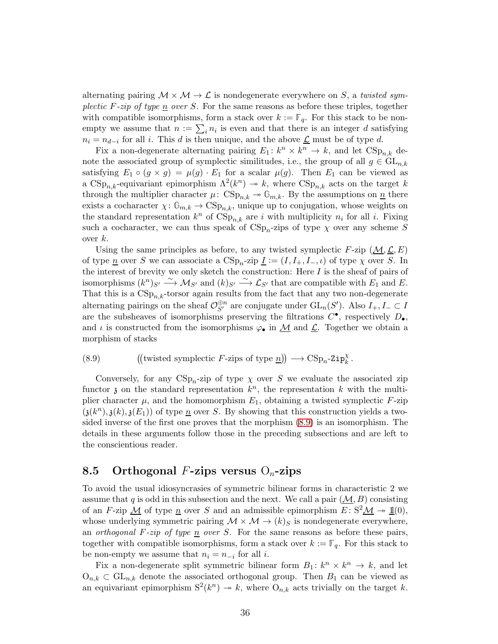alternating pairing  $\mathcal{M} \times \mathcal{M} \rightarrow \mathcal{L}$  is nondegenerate everywhere on S, a twisted symplectic F-zip of type  $\underline{n}$  over S. For the same reasons as before these triples, together with compatible isomorphisms, form a stack over  $k := \mathbb{F}_q$ . For this stack to be nonempty we assume that  $n := \sum_i n_i$  is even and that there is an integer d satisfying  $n_i = n_{d-i}$  for all i. This d is then unique, and the above  $\underline{\mathcal{L}}$  must be of type d.

Fix a non-degenerate alternating pairing  $E_1: k^n \times k^n \to k$ , and let  $CSp_{n,k}$  denote the associated group of symplectic similitudes, i.e., the group of all  $g \in GL_{n,k}$ satisfying  $E_1 \circ (g \times g) = \mu(g) \cdot E_1$  for a scalar  $\mu(g)$ . Then  $E_1$  can be viewed as a  $CSp_{n,k}$ -equivariant epimorphism  $\Lambda^2(k^n) \to k$ , where  $CSp_{n,k}$  acts on the target k through the multiplier character  $\mu$ :  $CSp_{n,k} \to \mathbb{G}_{m,k}$ . By the assumptions on  $\underline{n}$  there exists a cocharacter  $\chi: \mathbb{G}_{m,k} \to \text{CSp}_{n,k}$ , unique up to conjugation, whose weights on the standard representation  $k^n$  of  $\text{CSp}_{n,k}$  are i with multiplicity  $n_i$  for all i. Fixing such a cocharacter, we can thus speak of  $CSp<sub>n</sub>$ -zips of type  $\chi$  over any scheme S over  $k$ .

Using the same principles as before, to any twisted symplectic F-zip  $(M, \mathcal{L}, E)$ of type  $\underline{n}$  over S we can associate a  $CSp_n$ -zip  $\underline{I} := (I, I_+, I_-, \iota)$  of type  $\chi$  over S. In the interest of brevity we only sketch the construction: Here  $I$  is the sheaf of pairs of isomorphisms  $(k^n)_{S'} \stackrel{\sim}{\longrightarrow} \mathcal{M}_{S'}$  and  $(k)_{S'} \stackrel{\sim}{\longrightarrow} \mathcal{L}_{S'}$  that are compatible with  $E_1$  and  $E$ . That this is a  $CSp_{n,k}$ -torsor again results from the fact that any two non-degenerate alternating pairings on the sheaf  $\mathcal{O}_{S'}^{\oplus n}$  are conjugate under  $\mathrm{GL}_n(S')$ . Also  $I_+, I_- \subset I$ are the subsheaves of isomorphisms preserving the filtrations  $C^{\bullet}$ , respectively  $D_{\bullet}$ , and  $\iota$  is constructed from the isomorphisms  $\varphi_{\bullet}$  in  $\mathcal{M}$  and  $\mathcal{L}$ . Together we obtain a morphism of stacks

<span id="page-35-0"></span>(8.9) twisted symplectic F-zips of type n −→ CSpn-Zip<sup>χ</sup> k .

Conversely, for any  $CSp_n$ -zip of type  $\chi$  over S we evaluate the associated zip functor  $\mathfrak z$  on the standard representation  $k^n$ , the representation k with the multiplier character  $\mu$ , and the homomorphism  $E_1$ , obtaining a twisted symplectic F-zip  $(\mathfrak{z}(k^n),\mathfrak{z}(k),\mathfrak{z}(E_1))$  of type  $\underline{n}$  over S. By showing that this construction yields a twosided inverse of the first one proves that the morphism [\(8.9\)](#page-35-0) is an isomorphism. The details in these arguments follow those in the preceding subsections and are left to the conscientious reader.

## 8.5 Orthogonal F-zips versus  $O_n$ -zips

To avoid the usual idiosyncrasies of symmetric bilinear forms in characteristic 2 we assume that q is odd in this subsection and the next. We call a pair  $(M, B)$  consisting of an F-zip  $\underline{\mathcal{M}}$  of type  $\underline{n}$  over S and an admissible epimorphism  $E: S^2 \underline{\mathcal{M}} \rightarrow \underline{\mathbb{1}}(0)$ , whose underlying symmetric pairing  $\mathcal{M} \times \mathcal{M} \rightarrow (k)_{S}$  is nondegenerate everywhere, an *orthogonal F-zip of type*  $\underline{n}$  *over* S. For the same reasons as before these pairs, together with compatible isomorphisms, form a stack over  $k := \mathbb{F}_q$ . For this stack to be non-empty we assume that  $n_i = n_{-i}$  for all *i*.

Fix a non-degenerate split symmetric bilinear form  $B_1: k^n \times k^n \to k$ , and let  $O_{n,k} \subset GL_{n,k}$  denote the associated orthogonal group. Then  $B_1$  can be viewed as an equivariant epimorphism  $S^2(k^n) \to k$ , where  $O_{n,k}$  acts trivially on the target k.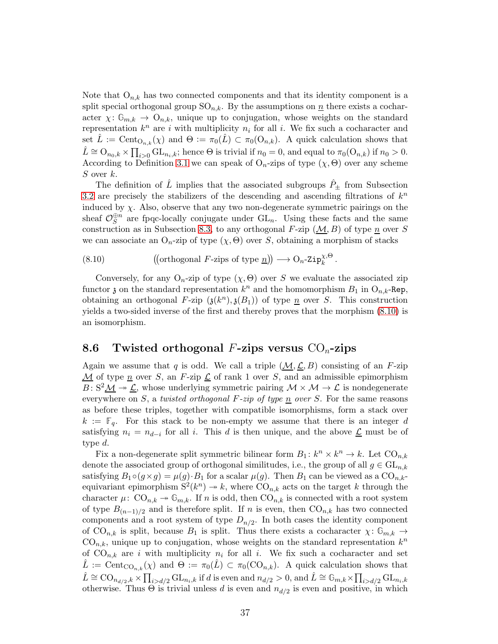Note that  $O_{n,k}$  has two connected components and that its identity component is a split special orthogonal group  $SO_{n,k}$ . By the assumptions on  $\underline{n}$  there exists a cocharacter  $\chi: \mathbb{G}_{m,k} \to \mathbb{O}_{n,k}$ , unique up to conjugation, whose weights on the standard representation  $k^n$  are i with multiplicity  $n_i$  for all i. We fix such a cocharacter and set  $\hat{L} := \text{Cent}_{\mathcal{O}_{n,k}}(\chi)$  and  $\Theta := \pi_0(\hat{L}) \subset \pi_0(\mathcal{O}_{n,k})$ . A quick calculation shows that  $\hat{L} \cong \mathrm{O}_{n_0,k} \times \prod_{i>0} \mathrm{GL}_{n_i,k}$ ; hence  $\Theta$  is trivial if  $n_0 = 0$ , and equal to  $\pi_0(\mathrm{O}_{n,k})$  if  $n_0 > 0$ . According to Definition [3.1](#page-9-0) we can speak of  $O_n$ -zips of type  $(\chi, \Theta)$  over any scheme  $S$  over  $k$ .

The definition of  $\tilde{L}$  implies that the associated subgroups  $\tilde{P}_{\pm}$  from Subsection [3.2](#page-9-1) are precisely the stabilizers of the descending and ascending filtrations of  $k^n$ induced by  $\chi$ . Also, observe that any two non-degenerate symmetric pairings on the sheaf  $\mathcal{O}_S^{\oplus n}$  are fpqc-locally conjugate under  $GL_n$ . Using these facts and the same construction as in Subsection [8.3,](#page-34-1) to any orthogonal F-zip  $(M, B)$  of type n over S we can associate an  $O_n$ -zip of type  $(\chi, \Theta)$  over S, obtaining a morphism of stacks

<span id="page-36-0"></span>(8.10) 
$$
((orthogonal F\text{-zips of type }\underline{n})) \longrightarrow O_n\text{-}Zip_k^{\chi,\Theta}.
$$

Conversely, for any  $O_n$ -zip of type  $(\chi, \Theta)$  over S we evaluate the associated zip functor  $\mathfrak z$  on the standard representation  $k^n$  and the homomorphism  $B_1$  in  $O_{n,k}$ -Rep, obtaining an orthogonal F-zip  $(\mathfrak{z}(k^n),\mathfrak{z}(B_1))$  of type  $\underline{n}$  over S. This construction yields a two-sided inverse of the first and thereby proves that the morphism [\(8.10\)](#page-36-0) is an isomorphism.

## 8.6 Twisted orthogonal F-zips versus  $CO<sub>n</sub>$ -zips

Again we assume that q is odd. We call a triple  $(M, \mathcal{L}, B)$  consisting of an F-zip  $\underline{\mathcal{M}}$  of type  $\underline{n}$  over S, an F-zip  $\underline{\mathcal{L}}$  of rank 1 over S, and an admissible epimorphism  $B: S^2 \mathcal{M} \rightarrow \mathcal{L}$ , whose underlying symmetric pairing  $\mathcal{M} \times \mathcal{M} \rightarrow \mathcal{L}$  is nondegenerate everywhere on S, a twisted orthogonal F-zip of type  $\underline{n}$  over S. For the same reasons as before these triples, together with compatible isomorphisms, form a stack over  $k := \mathbb{F}_q$ . For this stack to be non-empty we assume that there is an integer d satisfying  $n_i = n_{d-i}$  for all i. This d is then unique, and the above  $\underline{\mathcal{L}}$  must be of type d.

Fix a non-degenerate split symmetric bilinear form  $B_1: k^n \times k^n \to k$ . Let  $CO_{n,k}$ denote the associated group of orthogonal similitudes, i.e., the group of all  $g \in GL_{n,k}$ satisfying  $B_1 \circ (g \times g) = \mu(g) \cdot B_1$  for a scalar  $\mu(g)$ . Then  $B_1$  can be viewed as a  $\mathcal{O}_{n,k-1}$ equivariant epimorphism  $S^2(k^n) \to k$ , where  $\text{CO}_{n,k}$  acts on the target k through the character  $\mu$ :  $CO_{n,k} \rightarrow \mathbb{G}_{m,k}$ . If n is odd, then  $CO_{n,k}$  is connected with a root system of type  $B_{(n-1)/2}$  and is therefore split. If n is even, then  $CO_{n,k}$  has two connected components and a root system of type  $D_{n/2}$ . In both cases the identity component of  $CO_{n,k}$  is split, because  $B_1$  is split. Thus there exists a cocharacter  $\chi: \mathbb{G}_{m,k} \to$  $CO_{n,k}$ , unique up to conjugation, whose weights on the standard representation  $k^n$ of  $CO_{n,k}$  are i with multiplicity  $n_i$  for all i. We fix such a cocharacter and set  $\hat{L} := \text{Cent}_{\text{CO}_{n,k}}(\chi)$  and  $\Theta := \pi_0(\hat{L}) \subset \pi_0(\text{CO}_{n,k})$ . A quick calculation shows that  $\hat{L} \cong \text{CO}_{n_{d/2},k} \times \prod_{i>d/2} \text{GL}_{n_i,k}$  if d is even and  $n_{d/2} > 0$ , and  $\hat{L} \cong \mathbb{G}_{m,k} \times \prod_{i>d/2} \text{GL}_{n_i,k}$ otherwise. Thus  $\Theta$  is trivial unless d is even and  $n_{d/2}$  is even and positive, in which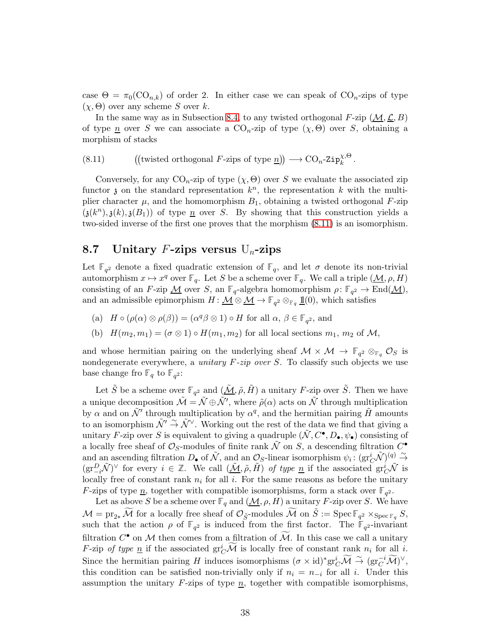case  $\Theta = \pi_0(CO_{n,k})$  of order 2. In either case we can speak of  $CO_n$ -zips of type  $(\chi, \Theta)$  over any scheme S over k.

In the same way as in Subsection [8.4,](#page-34-2) to any twisted orthogonal  $F$ -zip  $(\mathcal{M}, \mathcal{L}, B)$ of type  $\underline{n}$  over S we can associate a CO<sub>n</sub>-zip of type  $(\chi, \Theta)$  over S, obtaining a morphism of stacks

<span id="page-37-0"></span>(8.11) ((twisted orthogonal F-zips of type  $\underline{n}$ ))  $\longrightarrow$  CO<sub>n</sub>-Zip<sup> $\chi,\Theta$ </sup>.

Conversely, for any  $CO<sub>n</sub>$ -zip of type  $(\chi, \Theta)$  over S we evaluate the associated zip functor  $\mathfrak z$  on the standard representation  $k^n$ , the representation k with the multiplier character  $\mu$ , and the homomorphism  $B_1$ , obtaining a twisted orthogonal F-zip  $(\mathfrak{z}(k^n),\mathfrak{z}(k),\mathfrak{z}(B_1))$  of type  $\underline{n}$  over S. By showing that this construction yields a two-sided inverse of the first one proves that the morphism [\(8.11\)](#page-37-0) is an isomorphism.

## 8.7 Unitary F-zips versus  $U_n$ -zips

Let  $\mathbb{F}_{q^2}$  denote a fixed quadratic extension of  $\mathbb{F}_q$ , and let  $\sigma$  denote its non-trivial automorphism  $x \mapsto x^q$  over **F**<sub>q</sub>. Let S be a scheme over **F**<sub>q</sub>. We call a triple  $(\underline{\mathcal{M}}, \rho, H)$ consisting of an F-zip  $\underline{\mathcal{M}}$  over S, an  $\mathbb{F}_q$ -algebra homomorphism  $\rho \colon \mathbb{F}_{q^2} \to \text{End}(\underline{\mathcal{M}})$ , and an admissible epimorphism  $H: \mathcal{M} \otimes \mathcal{M} \to \mathbb{F}_{q^2} \otimes_{\mathbb{F}_q} \mathbb{1}(0)$ , which satisfies

- (a)  $H \circ (\rho(\alpha) \otimes \rho(\beta)) = (\alpha^q \beta \otimes 1) \circ H$  for all  $\alpha, \beta \in \mathbb{F}_{q^2}$ , and
- (b)  $H(m_2, m_1) = (\sigma \otimes 1) \circ H(m_1, m_2)$  for all local sections  $m_1, m_2$  of M,

and whose hermitian pairing on the underlying sheaf  $M \times M \to \mathbb{F}_{q^2} \otimes_{\mathbb{F}_q} \mathcal{O}_S$  is nondegenerate everywhere, a *unitary F-zip over S*. To classify such objects we use base change fro  $\mathbb{F}_q$  to  $\mathbb{F}_{q^2}$ :

Let  $\tilde{S}$  be a scheme over  $\mathbb{F}_{q^2}$  and  $(\underline{\tilde{M}}, \tilde{\rho}, \tilde{H})$  a unitary F-zip over  $\tilde{S}$ . Then we have a unique decomposition  $\tilde{\mathcal{M}} = \tilde{\mathcal{N}} \oplus \tilde{\mathcal{N}}'$ , where  $\tilde{\rho}(\alpha)$  acts on  $\tilde{\mathcal{N}}$  through multiplication by  $\alpha$  and on  $\tilde{\mathcal{N}}'$  through multiplication by  $\alpha^q$ , and the hermitian pairing  $\tilde{H}$  amounts to an isomorphism  $\tilde{\mathcal{N}}' \stackrel{\sim}{\rightarrow} \tilde{\mathcal{N}}'$ . Working out the rest of the data we find that giving a unitary F-zip over S is equivalent to giving a quadruple  $(\tilde{\mathcal{N}}, C^{\bullet}, D_{\bullet}, \psi_{\bullet})$  consisting of a locally free sheaf of  $\mathcal{O}_S$ -modules of finite rank  $\tilde{\mathcal{N}}$  on  $S$ , a descending filtration  $C^{\bullet}$ and an ascending filtration  $D_{\bullet}$  of  $\tilde{\mathcal{N}}$ , and an  $\mathcal{O}_S$ -linear isomorphism  $\psi_i : (\text{gr}^i_C \tilde{\mathcal{N}})^{(q)} \overset{\sim}{\rightarrow}$  $(\text{gr}^D_{-i}\tilde{\mathcal{N}})^\vee$  for every  $i \in \mathbb{Z}$ . We call  $(\underline{\tilde{\mathcal{M}}}, \tilde{\rho}, \tilde{H})$  of type <u>n</u> if the associated  $\text{gr}^i_C\tilde{\mathcal{N}}$  is locally free of constant rank  $n_i$  for all i. For the same reasons as before the unitary *F*-zips of type <u>n</u>, together with compatible isomorphisms, form a stack over  $\mathbb{F}_{q^2}$ .

Let as above S be a scheme over  $\mathbb{F}_q$  and  $(\underline{\mathcal{M}}, \rho, H)$  a unitary F-zip over S. We have  $\mathcal{M} = \text{pr}_{2*}\widetilde{\mathcal{M}}$  for a locally free sheaf of  $\mathcal{O}_{\tilde{S}}$ -modules  $\widetilde{\mathcal{M}}$  on  $\tilde{S} := \text{Spec } \mathbb{F}_{q^2} \times_{\text{Spec } \mathbb{F}_q} S$ , such that the action  $\rho$  of  $\mathbb{F}_{q^2}$  is induced from the first factor. The  $\mathbb{F}_{q^2}$ -invariant filtration  $C^{\bullet}$  on M then comes from a filtration of  $\overline{\mathcal{M}}$ . In this case we call a unitary F-zip of type  $\underline{n}$  if the associated  $\operatorname{gr}^i_C \widetilde{\mathcal{M}}$  is locally free of constant rank  $n_i$  for all i. Since the hermitian pairing H induces isomorphisms  $({\sigma} \times id)^*$ gr $_{C}^{i} \widetilde{\mathcal{M}} \overset{\sim}{\rightarrow} (\text{gr}_{C}^{-i} \widetilde{\mathcal{M}})^{\vee}$ , this condition can be satisfied non-trivially only if  $n_i = n_{-i}$  for all i. Under this assumption the unitary  $F$ -zips of type  $\underline{n}$ , together with compatible isomorphisms,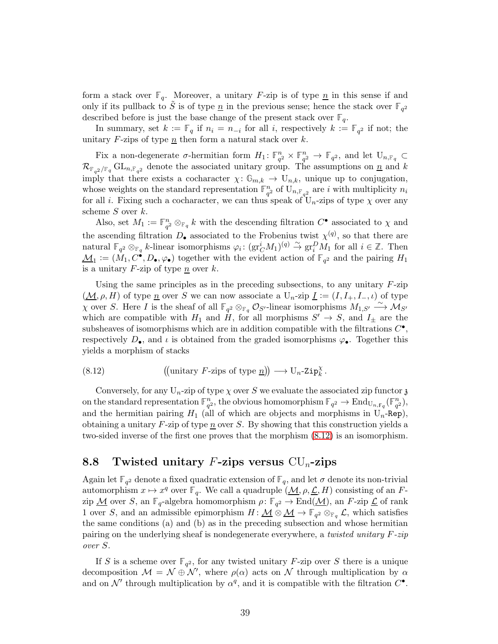form a stack over  $\mathbb{F}_q$ . Moreover, a unitary F-zip is of type  $\underline{n}$  in this sense if and only if its pullback to  $\tilde{S}$  is of type  $\underline{n}$  in the previous sense; hence the stack over  $\mathbb{F}_{q^2}$ described before is just the base change of the present stack over  $\mathbb{F}_q$ .

In summary, set  $k := \mathbb{F}_q$  if  $n_i = n_{-i}$  for all i, respectively  $k := \mathbb{F}_{q^2}$  if not; the unitary  $F$ -zips of type n then form a natural stack over  $k$ .

Fix a non-degenerate  $\sigma$ -hermitian form  $H_1: \mathbb{F}_{q^2}^n \times \mathbb{F}_{q^2}^n \to \mathbb{F}_{q^2}$ , and let  $U_{n,\mathbb{F}_q} \subset$  $\mathcal{R}_{\mathbb{F}_{q^2}/\mathbb{F}_q}$  GL<sub>n,</sub> $\mathbb{F}_{q^2}$  denote the associated unitary group. The assumptions on  $\underline{n}$  and k imply that there exists a cocharacter  $\chi: \mathbb{G}_{m,k} \to U_{n,k}$ , unique up to conjugation, whose weights on the standard representation  $\mathbb{F}_{q^2}^n$  of  $U_{n,\mathbb{F}_{q^2}}$  are i with multiplicity  $n_i$ for all i. Fixing such a cocharacter, we can thus speak of  $U_n$ -zips of type  $\chi$  over any scheme  $S$  over  $k$ .

Also, set  $M_1 := \mathbb{F}_{q^2}^n \otimes_{\mathbb{F}_q} k$  with the descending filtration  $C^{\bullet}$  associated to  $\chi$  and the ascending filtration  $D_{\bullet}$  associated to the Frobenius twist  $\chi^{(q)}$ , so that there are natural  $\mathbb{F}_{q^2} \otimes_{\mathbb{F}_q} k$ -linear isomorphisms  $\varphi_i: (\text{gr}_C^i M_1)^{(q)} \overset{\sim}{\to} \text{gr}_i^D M_1$  for all  $i \in \mathbb{Z}$ . Then  $\underline{\mathcal{M}}_1 := (\tilde{M}_1, C^{\bullet}, D_{\bullet}, \varphi_{\bullet})$  together with the evident action of  $\mathbb{F}_{q^2}$  and the pairing  $H_1$ is a unitary  $F$ -zip of type n over  $k$ .

Using the same principles as in the preceding subsections, to any unitary  $F$ -zip  $(M, \rho, H)$  of type n over S we can now associate a  $U_n$ -zip  $\underline{I} := (I, I_+, I_-, \iota)$  of type  $\overline{\chi}$  over S. Here I is the sheaf of all  $\mathbb{F}_{q^2} \otimes_{\mathbb{F}_q} \mathcal{O}_{S'}$ -linear isomorphisms  $M_{1,S'} \xrightarrow{\sim} M_{S'}$ which are compatible with  $H_1$  and H, for all morphisms  $S' \to S$ , and  $I_{\pm}$  are the subsheaves of isomorphisms which are in addition compatible with the filtrations  $C^{\bullet}$ , respectively  $D_{\bullet}$ , and  $\iota$  is obtained from the graded isomorphisms  $\varphi_{\bullet}$ . Together this yields a morphism of stacks

<span id="page-38-0"></span>(8.12) unitary F-zips of type n −→ Un-Zip<sup>χ</sup> k .

Conversely, for any  $U_n$ -zip of type  $\chi$  over S we evaluate the associated zip functor z on the standard representation  $\mathbb{F}_{q^2}^n$ , the obvious homomorphism  $\mathbb{F}_{q^2} \to \text{End}_{U_{n,\mathbb{F}_q}}(\mathbb{F}_{q^2}^n)$ , and the hermitian pairing  $H_1$  (all of which are objects and morphisms in  $U_n$ -Rep), obtaining a unitary  $F$ -zip of type  $n$  over S. By showing that this construction yields a two-sided inverse of the first one proves that the morphism [\(8.12\)](#page-38-0) is an isomorphism.

## 8.8 Twisted unitary F-zips versus  $CU_n$ -zips

Again let  $\mathbb{F}_{q^2}$  denote a fixed quadratic extension of  $\mathbb{F}_q$ , and let  $\sigma$  denote its non-trivial automorphism  $x \mapsto x^q$  over **F**<sub>q</sub>. We call a quadruple  $(M, \rho, \mathcal{L}, H)$  consisting of an F $z$ ip  $\underline{\mathcal{M}}$  over  $S$ , an  $\mathbb{F}_q$ -algebra homomorphism  $\rho \colon \mathbb{F}_{q^2} \to \text{End}(\underline{\mathcal{M}})$ , an  $F$ -zip  $\underline{\mathcal{L}}$  of rank 1 over S, and an admissible epimorphism  $H: \underline{\mathcal{M}} \otimes \underline{\mathcal{M}} \to \mathbb{F}_{q^2} \otimes_{\mathbb{F}_q} \mathcal{L}$ , which satisfies the same conditions (a) and (b) as in the preceding subsection and whose hermitian pairing on the underlying sheaf is nondegenerate everywhere, a twisted unitary F-zip over S.

If S is a scheme over  $\mathbb{F}_{q^2}$ , for any twisted unitary F-zip over S there is a unique decomposition  $\mathcal{M} = \mathcal{N} \oplus \mathcal{N}'$ , where  $\rho(\alpha)$  acts on  $\mathcal N$  through multiplication by  $\alpha$ and on  $\mathcal{N}'$  through multiplication by  $\alpha^q$ , and it is compatible with the filtration  $C^{\bullet}$ .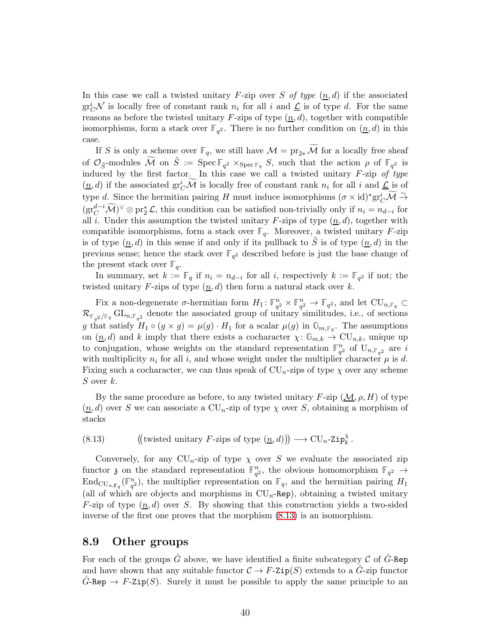In this case we call a twisted unitary F-zip over S of type  $(n, d)$  if the associated  $gr_C^i \mathcal{N}$  is locally free of constant rank  $n_i$  for all i and  $\underline{\mathcal{L}}$  is of type d. For the same reasons as before the twisted unitary  $F$ -zips of type  $(n, d)$ , together with compatible isomorphisms, form a stack over  $\mathbb{F}_{q^2}$ . There is no further condition on  $(\underline{n}, d)$  in this case.

If S is only a scheme over  $\mathbb{F}_q$ , we still have  $\mathcal{M} = \text{pr}_{2*} \widetilde{\mathcal{M}}$  for a locally free sheaf of  $\mathcal{O}_{\tilde{S}}$ -modules  $\widetilde{\mathcal{M}}$  on  $\tilde{S} := \text{Spec } \mathbb{F}_{q^2} \times_{\text{Spec } \mathbb{F}_q} S$ , such that the action  $\rho$  of  $\mathbb{F}_{q^2}$  is induced by the first factor. In this case we call a twisted unitary  $F$ -zip of type  $(\underline{n}, d)$  if the associated  $\mathrm{gr}^i_C \widetilde{\mathcal{M}}$  is locally free of constant rank  $n_i$  for all i and  $\underline{\mathcal{L}}$  is of type d. Since the hermitian pairing H must induce isomorphisms  $({\sigma} \times id)^*$ gr $_C^i \widetilde{\mathcal{M}} \stackrel{\sim}{\rightarrow}$  $(\text{gr}^{d-i}_C \widetilde{\mathcal{M}})^\vee \otimes \text{pr}_2^* \mathcal{L}$ , this condition can be satisfied non-trivially only if  $n_i = n_{d-i}$  for all i. Under this assumption the twisted unitary  $F$ -zips of type  $(n, d)$ , together with compatible isomorphisms, form a stack over  $\mathbb{F}_q$ . Moreover, a twisted unitary F-zip is of type  $(n, d)$  in this sense if and only if its pullback to S is of type  $(n, d)$  in the previous sense; hence the stack over  $\mathbb{F}_{q^2}$  described before is just the base change of the present stack over  $\mathbb{F}_q$ .

In summary, set  $k := \mathbb{F}_q$  if  $n_i = n_{d-i}$  for all i, respectively  $k := \mathbb{F}_{q^2}$  if not; the twisted unitary F-zips of type  $(n, d)$  then form a natural stack over k.

Fix a non-degenerate  $\sigma$ -hermitian form  $H_1: \mathbb{F}_{q^2}^n \times \mathbb{F}_{q^2}^n \to \mathbb{F}_{q^2}$ , and let  $\text{CU}_{n,\mathbb{F}_q} \subset$  $\mathcal{R}_{\mathbb{F}_{q^2}/\mathbb{F}_q}$  GL<sub>n,</sub> $\mathbb{F}_{q^2}$  denote the associated group of unitary similitudes, i.e., of sections g that satisfy  $H_1 \circ (g \times g) = \mu(g) \cdot H_1$  for a scalar  $\mu(g)$  in  $\mathbb{G}_{m, \mathbb{F}_q}$ . The assumptions on  $(n, d)$  and k imply that there exists a cocharacter  $\chi: \mathbb{G}_{m,k} \to \mathrm{CU}_{n,k}$ , unique up to conjugation, whose weights on the standard representation  $\mathbb{F}_{q^2}^n$  of  $U_{n,\mathbb{F}_{q^2}}$  are i with multiplicity  $n_i$  for all i, and whose weight under the multiplier character  $\mu$  is d. Fixing such a cocharacter, we can thus speak of  $CU_n$ -zips of type  $\chi$  over any scheme S over  $k$ .

By the same procedure as before, to any twisted unitary  $F$ -zip  $(M, \rho, H)$  of type  $(\underline{n}, d)$  over S we can associate a CU<sub>n</sub>-zip of type  $\chi$  over S, obtaining a morphism of stacks

<span id="page-39-0"></span>(8.13) ((twisted unitary F-zips of type  $(\underline{n}, d)$ ))  $\longrightarrow \text{CU}_n\text{-}Zip_k^{\chi}$ .

Conversely, for any  $CU_n$ -zip of type  $\chi$  over S we evaluate the associated zip functor  $\mathfrak{z}$  on the standard representation  $\mathbb{F}_{q^2}^n$ , the obvious homomorphism  $\mathbb{F}_{q^2} \to$  $\text{End}_{\text{CU}_{n,\mathbb{F}_q}}(\mathbb{F}_{q^2}^n)$ , the multiplier representation on  $\mathbb{F}_q$ , and the hermitian pairing  $H_1$ (all of which are objects and morphisms in  $CU_n$ -Rep), obtaining a twisted unitary F-zip of type  $(n, d)$  over S. By showing that this construction yields a two-sided inverse of the first one proves that the morphism [\(8.13\)](#page-39-0) is an isomorphism.

#### 8.9 Other groups

For each of the groups  $\hat{G}$  above, we have identified a finite subcategory C of  $\hat{G}$ -Rep and have shown that any suitable functor  $C \to F\text{-}\mathsf{Zip}(S)$  extends to a  $\tilde{G}\text{-}z$  ip functor  $\tilde{G}$ -Rep  $\rightarrow$  F-Zip(S). Surely it must be possible to apply the same principle to an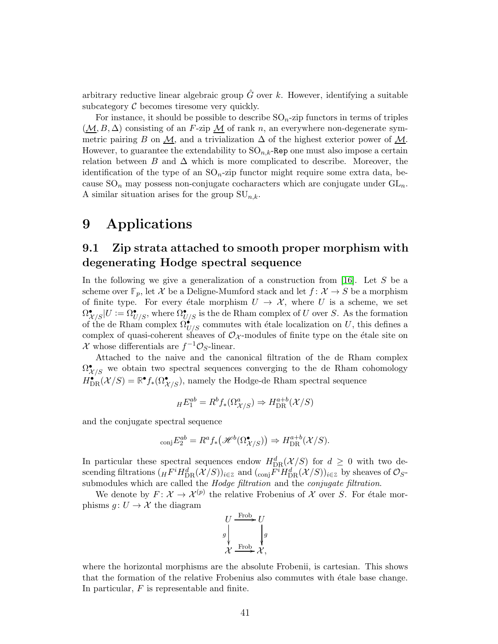arbitrary reductive linear algebraic group  $\hat{G}$  over k. However, identifying a suitable subcategory  $C$  becomes tiresome very quickly.

For instance, it should be possible to describe  $\text{SO}_n$ -zip functors in terms of triples  $(\underline{\mathcal{M}}, B, \Delta)$  consisting of an F-zip  $\underline{\mathcal{M}}$  of rank n, an everywhere non-degenerate symmetric pairing B on M, and a trivialization  $\Delta$  of the highest exterior power of M. However, to guarantee the extendability to  $SO_{n,k}$ -Rep one must also impose a certain relation between B and  $\Delta$  which is more complicated to describe. Moreover, the identification of the type of an  $SO_n$ -zip functor might require some extra data, because  $SO_n$  may possess non-conjugate cocharacters which are conjugate under  $GL_n$ . A similar situation arises for the group  $SU_{n,k}$ .

# <span id="page-40-0"></span>9 Applications

## 9.1 Zip strata attached to smooth proper morphism with degenerating Hodge spectral sequence

In the following we give a generalization of a construction from  $[16]$ . Let S be a scheme over  $\mathbb{F}_p$ , let X be a Deligne-Mumford stack and let  $f: \mathcal{X} \to S$  be a morphism of finite type. For every étale morphism  $U \to \mathcal{X}$ , where U is a scheme, we set  $\Omega_{\mathcal{X}/S}^{\bullet}|U:=\Omega_{U/S}^{\bullet}$ , where  $\Omega_{U/S}^{\bullet}$  is the de Rham complex of U over S. As the formation of the de Rham complex  $\Omega_{U/S}^{\bullet}$  commutes with étale localization on U, this defines a complex of quasi-coherent sheaves of  $\mathcal{O}_{\mathcal{X}}$ -modules of finite type on the étale site on X whose differentials are  $f^{-1}\mathcal{O}_S$ -linear.

Attached to the naive and the canonical filtration of the de Rham complex  $\Omega^\bullet_{\mathcal{X}/S}$  we obtain two spectral sequences converging to the de Rham cohomology  $H_{\text{DR}}^{\bullet}(\mathcal{X}/S) = \mathbb{R}^{\bullet} f_{*}(\Omega_{\mathcal{X}/S}^{\bullet}),$  namely the Hodge-de Rham spectral sequence

$$
{}_H E_1^{ab} = R^b f_*(\Omega^a_{\mathcal{X}/S}) \Rightarrow H_{\text{DR}}^{a+b}(\mathcal{X}/S)
$$

and the conjugate spectral sequence

$$
_{\text{conj}}E_2^{ab} = R^a f_* \big(\mathcal{H}^b(\Omega^{\bullet}_{\mathcal{X}/S})\big) \Rightarrow H^{a+b}_{\text{DR}}(\mathcal{X}/S).
$$

In particular these spectral sequences endow  $H_{DR}^d(\mathcal{X}/S)$  for  $d \geq 0$  with two descending filtrations  $({}_H F^i H^d_{DR}(\mathcal{X}/S))_{i\in\mathbb{Z}}$  and  $({}_{conj}F^i H^d_{DR}(\mathcal{X}/S))_{i\in\mathbb{Z}}$  by sheaves of  $\mathcal{O}_{S}$ submodules which are called the *Hodge filtration* and the *conjugate filtration*.

We denote by  $F: \mathcal{X} \to \mathcal{X}^{(p)}$  the relative Frobenius of X over S. For étale morphisms  $q: U \to \mathcal{X}$  the diagram

$$
\begin{array}{c}\nU\xrightarrow{\text{Frob}} U \\
g\downarrow \\
\chi\xrightarrow{\text{Frob}} \chi, \end{array}
$$

where the horizontal morphisms are the absolute Frobenii, is cartesian. This shows that the formation of the relative Frobenius also commutes with étale base change. In particular, F is representable and finite.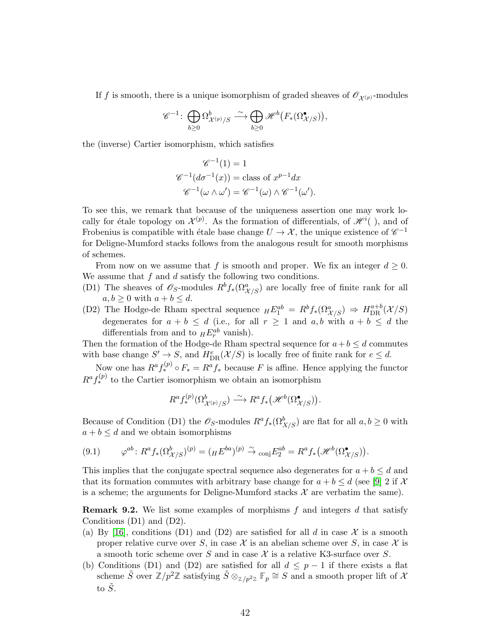If f is smooth, there is a unique isomorphism of graded sheaves of  $\mathscr{O}_{\mathcal{X}(p)}$ -modules

$$
\mathscr{C}^{-1}\colon \bigoplus_{b\geq 0} \Omega_{\mathcal{X}^{(p)}/S}^{b}\stackrel{\sim}{\longrightarrow} \bigoplus_{b\geq 0} \mathscr{H}^{b}\big(F_*(\Omega_{\mathcal{X}/S}^{\bullet})\big),
$$

the (inverse) Cartier isomorphism, which satisfies

$$
\mathscr{C}^{-1}(1) = 1
$$
  

$$
\mathscr{C}^{-1}(d\sigma^{-1}(x)) = \text{class of } x^{p-1}dx
$$
  

$$
\mathscr{C}^{-1}(\omega \wedge \omega') = \mathscr{C}^{-1}(\omega) \wedge \mathscr{C}^{-1}(\omega').
$$

To see this, we remark that because of the uniqueness assertion one may work locally for étale topology on  $\mathcal{X}^{(p)}$ . As the formation of differentials, of  $\mathcal{H}^i($ ), and of Frobenius is compatible with étale base change  $U \to \mathcal{X}$ , the unique existence of  $\mathscr{C}^{-1}$ for Deligne-Mumford stacks follows from the analogous result for smooth morphisms of schemes.

From now on we assume that f is smooth and proper. We fix an integer  $d \geq 0$ . We assume that  $f$  and  $d$  satisfy the following two conditions.

- (D1) The sheaves of  $\mathscr{O}_S$ -modules  $R^b f_*(\Omega^a_{\mathcal{X}/S})$  are locally free of finite rank for all  $a, b \geq 0$  with  $a + b \leq d$ .
- (D2) The Hodge-de Rham spectral sequence  $_HE_1^{ab} = R^b f_*(\Omega^a_{\mathcal{X}/S}) \Rightarrow H_{\text{DR}}^{a+b}(\mathcal{X}/S)$ degenerates for  $a + b \le d$  (i.e., for all  $r \ge 1$  and  $a, b$  with  $a + b \le d$  the differentials from and to  $_HE_r^{ab}$  vanish).

Then the formation of the Hodge-de Rham spectral sequence for  $a+b \leq d$  commutes with base change  $S' \to S$ , and  $H_{\text{DR}}^e(\mathcal{X}/S)$  is locally free of finite rank for  $e \leq d$ .

Now one has  $R^a f^{(p)}_* \circ F_* = R^a f_*$  because F is affine. Hence applying the functor  $R^a f_*^{(p)}$  to the Cartier isomorphism we obtain an isomorphism

$$
R^a f_*^{(p)}(\Omega^b_{\mathcal{X}^{(p)}/S}) \stackrel{\sim}{\longrightarrow} R^a f_*\big(\mathcal{H}^b(\Omega^{\bullet}_{\mathcal{X}/S})\big).
$$

Because of Condition (D1) the  $\mathscr{O}_S$ -modules  $R^a f_*(\Omega^b_{X/S})$  are flat for all  $a, b \geq 0$  with  $a + b \leq d$  and we obtain isomorphisms

<span id="page-41-0"></span>
$$
(9.1) \qquad \varphi^{ab} \colon R^a f_*(\Omega^b_{\mathcal{X}/S})^{(p)} = (\mathcal{H} E^{ba})^{(p)} \xrightarrow{\sim} \text{conj} E_2^{ab} = R^a f_* \big(\mathcal{H}^b(\Omega^{\bullet}_{\mathcal{X}/S})\big).
$$

This implies that the conjugate spectral sequence also degenerates for  $a + b \leq d$  and that its formation commutes with arbitrary base change for  $a + b \leq d$  (see [\[9\]](#page-48-10) 2 if X is a scheme; the arguments for Deligne-Mumford stacks  $\mathcal X$  are verbatim the same).

**Remark 9.2.** We list some examples of morphisms  $f$  and integers  $d$  that satisfy Conditions (D1) and (D2).

- (a) By [\[16\]](#page-48-1), conditions (D1) and (D2) are satisfied for all d in case  $\mathcal X$  is a smooth proper relative curve over S, in case X is an abelian scheme over S, in case X is a smooth toric scheme over S and in case  $\mathcal X$  is a relative K3-surface over S.
- (b) Conditions (D1) and (D2) are satisfied for all  $d \leq p-1$  if there exists a flat scheme  $\tilde{S}$  over  $\mathbb{Z}/p^2\mathbb{Z}$  satisfying  $\tilde{S} \otimes_{\mathbb{Z}/p^2\mathbb{Z}} \mathbb{F}_p \cong S$  and a smooth proper lift of  $X$ to  $\tilde{S}$ .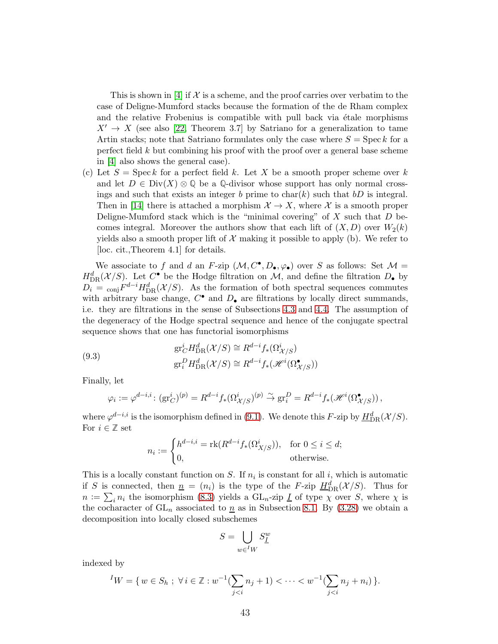This is shown in [\[4\]](#page-47-4) if  $\mathcal X$  is a scheme, and the proof carries over verbatim to the case of Deligne-Mumford stacks because the formation of the de Rham complex and the relative Frobenius is compatible with pull back via  $\acute{e}$ tale morphisms  $X' \rightarrow X$  (see also [\[22,](#page-48-11) Theorem 3.7] by Satriano for a generalization to tame Artin stacks; note that Satriano formulates only the case where  $S = \text{Spec } k$  for a perfect field k but combining his proof with the proof over a general base scheme in [\[4\]](#page-47-4) also shows the general case).

(c) Let  $S = \operatorname{Spec} k$  for a perfect field k. Let X be a smooth proper scheme over k and let  $D \in Div(X) \otimes \mathbb{Q}$  be a  $\mathbb{Q}$ -divisor whose support has only normal crossings and such that exists an integer b prime to char(k) such that  $bD$  is integral. Then in [\[14\]](#page-48-12) there is attached a morphism  $\mathcal{X} \to X$ , where  $\mathcal{X}$  is a smooth proper Deligne-Mumford stack which is the "minimal covering" of  $X$  such that  $D$  becomes integral. Moreover the authors show that each lift of  $(X, D)$  over  $W_2(k)$ yields also a smooth proper lift of  $\mathcal X$  making it possible to apply (b). We refer to [loc. cit.,Theorem 4.1] for details.

We associate to f and d an F-zip  $(\mathcal{M}, C^{\bullet}, D_{\bullet}, \varphi_{\bullet})$  over S as follows: Set  $\mathcal{M} =$  $H_{\text{DR}}^d(\mathcal{X}/S)$ . Let  $C^{\bullet}$  be the Hodge filtration on M, and define the filtration  $D_{\bullet}$  by  $D_i = \text{conj}F^{d-i}H_{\text{DR}}^d(\mathcal{X}/S)$ . As the formation of both spectral sequences commutes with arbitrary base change,  $C^{\bullet}$  and  $D_{\bullet}$  are filtrations by locally direct summands, i.e. they are filtrations in the sense of Subsections [4.3](#page-19-0) and [4.4.](#page-20-1) The assumption of the degeneracy of the Hodge spectral sequence and hence of the conjugate spectral sequence shows that one has functorial isomorphisms

(9.3) 
$$
\operatorname{gr}_{C}^{i} H_{\text{DR}}^{d}(\mathcal{X}/S) \cong R^{d-i} f_{*}(\Omega_{\mathcal{X}/S}^{i})
$$

$$
\operatorname{gr}_{i}^{D} H_{\text{DR}}^{d}(\mathcal{X}/S) \cong R^{d-i} f_{*}(\mathcal{H}^{i}(\Omega_{\mathcal{X}/S}^{\bullet}))
$$

Finally, let

$$
\varphi_i := \varphi^{d-i,i} \colon (\text{gr}_C^i)^{(p)} = R^{d-i} f_*(\Omega^i_{\mathcal{X}/S})^{(p)} \xrightarrow{\sim} \text{gr}_i^D = R^{d-i} f_*(\mathcal{H}^i(\Omega^{\bullet}_{\mathcal{X}/S}))\,,
$$

where  $\varphi^{d-i,i}$  is the isomorphism defined in [\(9.1\)](#page-41-0). We denote this F-zip by  $H^d_{DR}(\mathcal{X}/S)$ . For  $i \in \mathbb{Z}$  set

$$
n_i := \begin{cases} h^{d-i,i} = \text{rk}(R^{d-i}f_*(\Omega^i_{X/S})), & \text{for } 0 \le i \le d; \\ 0, & \text{otherwise.} \end{cases}
$$

This is a locally constant function on S. If  $n_i$  is constant for all i, which is automatic if S is connected, then  $\underline{n} = (n_i)$  is the type of the F-zip  $\underline{H}^d_{DR}(\mathcal{X}/S)$ . Thus for  $n := \sum_i n_i$  the isomorphism [\(8.3\)](#page-32-1) yields a GL<sub>n</sub>-zip <u>I</u> of type  $\chi$  over S, where  $\chi$  is the cocharacter of  $GL_n$  associated to  $\underline{n}$  as in Subsection [8.1.](#page-31-2) By [\(3.28\)](#page-16-4) we obtain a decomposition into locally closed subschemes

$$
S=\bigcup_{w\in {^IW}}S^w_{\underline{I}}
$$

indexed by

$$
{}^{I}W = \{ w \in S_h \; ; \; \forall i \in \mathbb{Z} : w^{-1}(\sum_{j
$$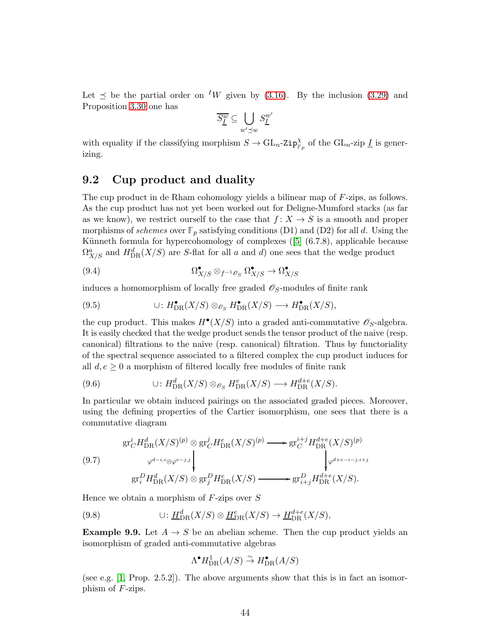Let  $\leq$  be the partial order on <sup>I</sup>W given by [\(3.16\)](#page-14-0). By the inclusion [\(3.29\)](#page-16-0) and Proposition [3.30](#page-17-0) one has

$$
\overline{S^w_{\underline{I}}}\subseteq \bigcup_{w'\preceq w}S^{w'}_{\underline{I}}
$$

with equality if the classifying morphism  $S \to \text{GL}_n\text{-}zip_{\mathbb{F}_p}^{\chi}$  of the  $\text{GL}_n\text{-}zip \underline{I}$  is generizing.

## 9.2 Cup product and duality

The cup product in de Rham cohomology yields a bilinear map of F-zips, as follows. As the cup product has not yet been worked out for Deligne-Mumford stacks (as far as we know), we restrict ourself to the case that  $f: X \to S$  is a smooth and proper morphisms of *schemes* over  $\mathbb{F}_p$  satisfying conditions (D1) and (D2) for all d. Using the Künnethformula for hypercohomology of complexes  $([5]$  $([5]$   $(6.7.8)$ , applicable because  $\Omega^a_{X/S}$  and  $H^d_{\text{DR}}(X/S)$  are S-flat for all a and d) one sees that the wedge product

(9.4) 
$$
\Omega_{X/S}^{\bullet} \otimes_{f^{-1}\mathscr{O}_S} \Omega_{X/S}^{\bullet} \to \Omega_{X/S}^{\bullet}
$$

induces a homomorphism of locally free graded  $\mathscr{O}_S$ -modules of finite rank

(9.5) 
$$
\cup: H^{\bullet}_{\text{DR}}(X/S) \otimes_{\mathscr{O}_S} H^{\bullet}_{\text{DR}}(X/S) \longrightarrow H^{\bullet}_{\text{DR}}(X/S),
$$

the cup product. This makes  $H^{\bullet}(X/S)$  into a graded anti-commutative  $\mathscr{O}_S$ -algebra. It is easily checked that the wedge product sends the tensor product of the naive (resp. canonical) filtrations to the naive (resp. canonical) filtration. Thus by functoriality of the spectral sequence associated to a filtered complex the cup product induces for all  $d, e \geq 0$  a morphism of filtered locally free modules of finite rank

(9.6) 
$$
\cup: H^d_{\text{DR}}(X/S) \otimes_{\mathscr{O}_S} H^e_{\text{DR}}(X/S) \longrightarrow H^{d+e}_{\text{DR}}(X/S).
$$

In particular we obtain induced pairings on the associated graded pieces. Moreover, using the defining properties of the Cartier isomorphism, one sees that there is a commutative diagram

$$
\begin{aligned}\n\text{gr}_C^i H^d_{\text{DR}}(X/S)^{(p)} &\otimes \text{gr}_C^j H^e_{\text{DR}}(X/S)^{(p)} \longrightarrow \text{gr}_C^{i+j} H^{d+e}_{\text{DR}}(X/S)^{(p)} \\
&\downarrow^{q^{d-i,i} \otimes \varphi^{e-j,j}} \\
\text{gr}_i^D H^d_{\text{DR}}(X/S) &\otimes \text{gr}_j^D H^e_{\text{DR}}(X/S) \longrightarrow \text{gr}_{i+j}^D H^{d+e}_{\text{DR}}(X/S).\n\end{aligned}
$$

Hence we obtain a morphism of  $F\text{-zips over } S$ 

(9.8) 
$$
\cup: \underline{H}^d_{\text{DR}}(X/S) \otimes \underline{H}^e_{\text{DR}}(X/S) \to \underline{H}^{d+e}_{\text{DR}}(X/S),
$$

**Example 9.9.** Let  $A \rightarrow S$  be an abelian scheme. Then the cup product yields an isomorphism of graded anti-commutative algebras

$$
\Lambda^{\bullet} H^1_{\mathrm{DR}}(A/S) \overset{\sim}{\to} H^{\bullet}_{\mathrm{DR}}(A/S)
$$

(see e.g. [\[1,](#page-47-6) Prop. 2.5.2]). The above arguments show that this is in fact an isomorphism of F-zips.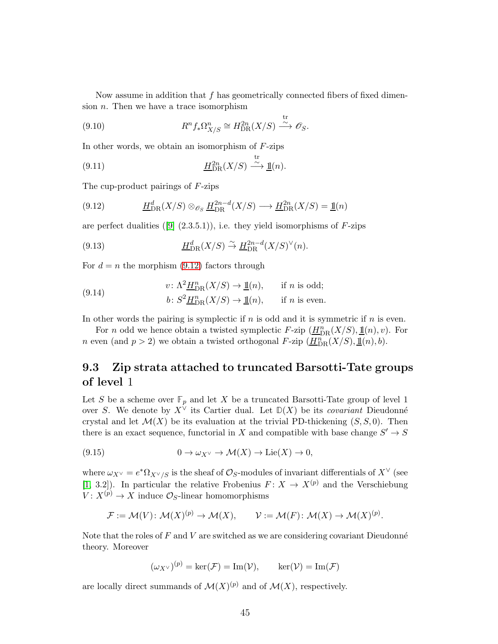Now assume in addition that  $f$  has geometrically connected fibers of fixed dimension  $n$ . Then we have a trace isomorphism

t<sub>r</sub>

(9.10) 
$$
R^n f_* \Omega_{X/S}^n \cong H_{\text{DR}}^{2n}(X/S) \xrightarrow{\omega} \mathcal{O}_S.
$$

In other words, we obtain an isomorphism of  $F\text{-zips}$ 

(9.11) 
$$
\underline{H}_{\text{DR}}^{2n}(X/S) \xrightarrow{\text{tr}} \underline{\mathbf{1}\mathbf{1}}(n).
$$

The cup-product pairings of F-zips

<span id="page-44-1"></span>(9.12) 
$$
\underline{H}_{\text{DR}}^d(X/S) \otimes_{\mathscr{O}_S} \underline{H}_{\text{DR}}^{2n-d}(X/S) \longrightarrow \underline{H}_{\text{DR}}^{2n}(X/S) = \underline{\mathbb{1}}(n)
$$

areperfect dualities ([\[9\]](#page-48-10)  $(2.3.5.1)$ ), i.e. they yield isomorphisms of F-zips

(9.13) 
$$
\underline{H}_{\text{DR}}^d(X/S) \overset{\sim}{\to} \underline{H}_{\text{DR}}^{2n-d}(X/S)^{\vee}(n).
$$

For  $d = n$  the morphism [\(9.12\)](#page-44-1) factors through

(9.14) 
$$
v: \Lambda^2 \underline{H}_{\text{DR}}^n(X/S) \to \underline{\mathbb{1}}(n), \quad \text{if } n \text{ is odd};
$$

$$
b: S^2 \underline{H}_{\text{DR}}^n(X/S) \to \underline{\mathbb{1}}(n), \quad \text{if } n \text{ is even}.
$$

In other words the pairing is symplectic if  $n$  is odd and it is symmetric if  $n$  is even.

For *n* odd we hence obtain a twisted symplectic  $F$ -zip  $(\underline{H}_{\text{DR}}^n(X/S), \underline{\mathbb{1}}(n), v)$ . For *n* even (and  $p > 2$ ) we obtain a twisted orthogonal *F*-zip  $(\underline{H}_{\text{DR}}^n(X/S), \underline{\mathbb{1}}(n), b)$ .

## <span id="page-44-0"></span>9.3 Zip strata attached to truncated Barsotti-Tate groups of level 1

Let S be a scheme over  $\mathbb{F}_p$  and let X be a truncated Barsotti-Tate group of level 1 over S. We denote by  $X^{\vee}$  its Cartier dual. Let  $\mathbb{D}(X)$  be its *covariant* Dieudonné crystal and let  $\mathcal{M}(X)$  be its evaluation at the trivial PD-thickening  $(S, S, 0)$ . Then there is an exact sequence, functorial in X and compatible with base change  $S' \to S$ 

(9.15) 
$$
0 \to \omega_{X} \vee \to \mathcal{M}(X) \to \text{Lie}(X) \to 0,
$$

where  $\omega_{X} \vee e^* \Omega_{X \vee}/S$  is the sheaf of  $\mathcal{O}_S$ -modules of invariant differentials of  $X^{\vee}$  (see [\[1,](#page-47-6) 3.2]). In particular the relative Frobenius  $F: X \to X^{(p)}$  and the Verschiebung  $V: X^{(p)} \to X$  induce  $\mathcal{O}_S$ -linear homomorphisms

$$
\mathcal{F} := \mathcal{M}(V) \colon \mathcal{M}(X)^{(p)} \to \mathcal{M}(X), \qquad \mathcal{V} := \mathcal{M}(F) \colon \mathcal{M}(X) \to \mathcal{M}(X)^{(p)}.
$$

Note that the roles of  $F$  and  $V$  are switched as we are considering covariant Dieudonné theory. Moreover

$$
(\omega_{X^{\vee}})^{(p)} = \ker(\mathcal{F}) = \text{Im}(\mathcal{V}), \qquad \ker(\mathcal{V}) = \text{Im}(\mathcal{F})
$$

are locally direct summands of  $\mathcal{M}(X)^{(p)}$  and of  $\mathcal{M}(X)$ , respectively.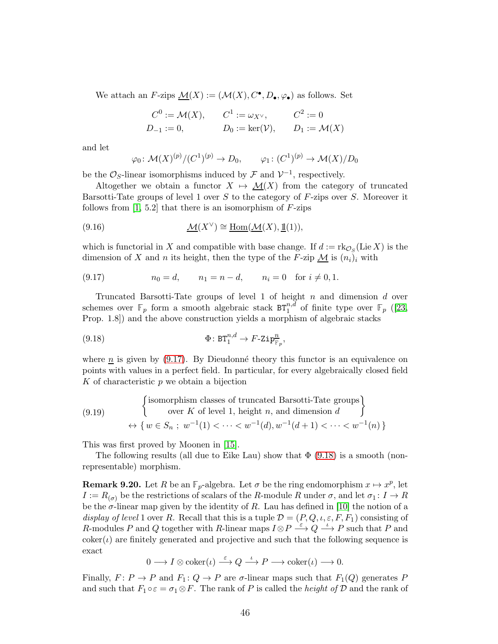We attach an F-zips  $\underline{\mathcal{M}}(X) := (\mathcal{M}(X), C^{\bullet}, D_{\bullet}, \varphi_{\bullet})$  as follows. Set

$$
C^0 := \mathcal{M}(X),
$$
  $C^1 := \omega_{X^\vee},$   $C^2 := 0$   
\n $D_{-1} := 0,$   $D_0 := \ker(\mathcal{V}),$   $D_1 := \mathcal{M}(X)$ 

and let

$$
\varphi_0 \colon \mathcal{M}(X)^{(p)}/(C^1)^{(p)} \to D_0, \qquad \varphi_1 \colon (C^1)^{(p)} \to \mathcal{M}(X)/D_0
$$

be the  $\mathcal{O}_S$ -linear isomorphisms induced by  $\mathcal F$  and  $\mathcal V^{-1}$ , respectively.

Altogether we obtain a functor  $X \mapsto \mathcal{M}(X)$  from the category of truncated Barsotti-Tate groups of level 1 over  $S$  to the category of  $F$ -zips over  $S$ . Moreover it follows from  $[1, 5.2]$  that there is an isomorphism of  $F$ -zips

(9.16) 
$$
\mathcal{M}(X^{\vee}) \cong \underline{\text{Hom}}(\mathcal{M}(X), \underline{\mathbb{1}}(1)),
$$

which is functorial in X and compatible with base change. If  $d := \text{rk}_{\mathcal{O}_S}(\text{Lie }X)$  is the dimension of X and n its height, then the type of the F-zip  $\mathcal{M}$  is  $(n_i)_i$  with

<span id="page-45-1"></span>(9.17) 
$$
n_0 = d
$$
,  $n_1 = n - d$ ,  $n_i = 0$  for  $i \neq 0, 1$ .

Truncated Barsotti-Tate groups of level 1 of height  $n$  and dimension  $d$  over schemes over  $\mathbb{F}_p$  form a smooth algebraic stack  $BT_1^{n,d}$  of finite type over  $\mathbb{F}_p$  ([\[23,](#page-48-9) Prop. 1.8]) and the above construction yields a morphism of algebraic stacks

<span id="page-45-2"></span>(9.18) 
$$
\Phi: \mathbf{BT}_1^{n,d} \to F\text{-}\mathrm{Zip}_{\mathbb{F}_p}^n,
$$

where  $\underline{n}$  is given by [\(9.17\)](#page-45-1). By Dieudonné theory this functor is an equivalence on points with values in a perfect field. In particular, for every algebraically closed field K of characteristic  $p$  we obtain a bijection

<span id="page-45-3"></span>(9.19)   
\n
$$
\left\{\n\begin{array}{l}\n\text{isomorphism classes of truncated Barsotti-Tate groups} \\
\text{over } K \text{ of level 1, height } n, \text{ and dimension } d\n\end{array}\n\right\}
$$
\n
$$
\leftrightarrow \left\{w \in S_n; \ w^{-1}(1) < \cdots < w^{-1}(d), w^{-1}(d+1) < \cdots < w^{-1}(n)\right\}
$$

This was first proved by Moonen in [\[15\]](#page-48-13).

The following results (all due to Eike Lau) show that  $\Phi$  [\(9.18\)](#page-45-2) is a smooth (nonrepresentable) morphism.

<span id="page-45-0"></span>**Remark 9.20.** Let R be an  $\mathbb{F}_p$ -algebra. Let  $\sigma$  be the ring endomorphism  $x \mapsto x^p$ , let  $I := R_{(\sigma)}$  be the restrictions of scalars of the R-module R under  $\sigma$ , and let  $\sigma_1: I \to R$ be the  $\sigma$ -linear map given by the identity of R. Lau has defined in [\[10\]](#page-48-14) the notion of a display of level 1 over R. Recall that this is a tuple  $\mathcal{D} = (P, Q, \iota, \varepsilon, F, F_1)$  consisting of R-modules P and Q together with R-linear maps  $I \otimes P \stackrel{\varepsilon}{\longrightarrow} Q \stackrel{\iota}{\longrightarrow} P$  such that P and  $coker(\iota)$  are finitely generated and projective and such that the following sequence is exact

$$
0 \longrightarrow I \otimes \mathrm{coker}(\iota) \stackrel{\varepsilon}{\longrightarrow} Q \stackrel{\iota}{\longrightarrow} P \longrightarrow \mathrm{coker}(\iota) \longrightarrow 0.
$$

Finally,  $F: P \to P$  and  $F_1: Q \to P$  are  $\sigma$ -linear maps such that  $F_1(Q)$  generates P and such that  $F_1 \circ \varepsilon = \sigma_1 \otimes F$ . The rank of P is called the *height of* D and the rank of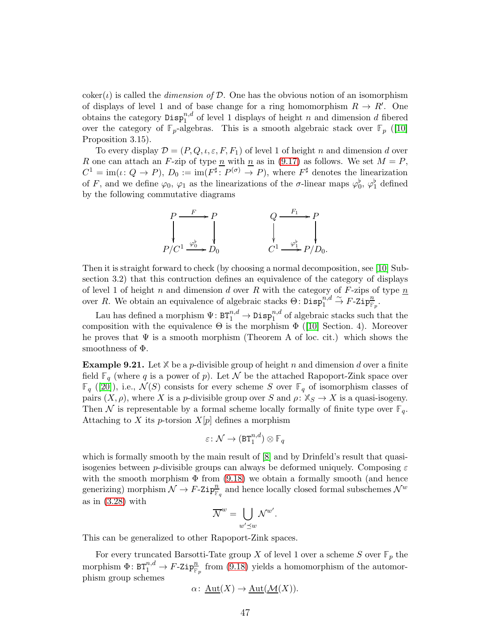$\text{coker}(\iota)$  is called the *dimension of*  $\mathcal{D}$ . One has the obvious notion of an isomorphism of displays of level 1 and of base change for a ring homomorphism  $R \to R'$ . One obtains the category  $\text{Disp}_{1}^{n,d}$  of level 1 displays of height n and dimension d fibered over the category of  $\mathbb{F}_p$ -algebras. This is a smooth algebraic stack over  $\mathbb{F}_p$  ([\[10\]](#page-48-14) Proposition 3.15).

To every display  $\mathcal{D} = (P, Q, \iota, \varepsilon, F, F_1)$  of level 1 of height n and dimension d over R one can attach an F-zip of type n with n as in [\(9.17\)](#page-45-1) as follows. We set  $M = P$ ,  $C^1 = \text{im}(\iota: Q \to P), D_0 := \text{im}(F^{\sharp}: P^{(\sigma)} \to P),$  where  $F^{\sharp}$  denotes the linearization of F, and we define  $\varphi_0$ ,  $\varphi_1$  as the linearizations of the  $\sigma$ -linear maps  $\varphi_0^{\flat}$ ,  $\varphi_1^{\flat}$  defined by the following commutative diagrams



Then it is straight forward to check (by choosing a normal decomposition, see [\[10\]](#page-48-14) Subsection 3.2) that this contruction defines an equivalence of the category of displays of level 1 of height n and dimension d over R with the category of F-zips of type  $n$ over R. We obtain an equivalence of algebraic stacks  $\Theta$ :  $\overline{\mathrm{Di}} \mathrm{sp}^{n,d}_1 \overset{\sim}{\to} F\text{-} \mathrm{Zip}^n_{\overline{\mathbb{F}}_p}$ .

Lau has defined a morphism  $\Psi\colon \texttt{BT}_1^{n,d}\to \texttt{Disp}_1^{n,d}$  of algebraic stacks such that the compositionwith the equivalence  $\Theta$  is the morphism  $\Phi$  ([\[10\]](#page-48-14) Section. 4). Moreover he proves that  $\Psi$  is a smooth morphism (Theorem A of loc. cit.) which shows the smoothness of Φ.

**Example 9.21.** Let  $X$  be a *p*-divisible group of height *n* and dimension *d* over a finite field  $\mathbb{F}_q$  (where q is a power of p). Let N be the attached Rapoport-Zink space over  $\mathbb{F}_q$  ([\[20\]](#page-48-15)), i.e.,  $\mathcal{N}(S)$  consists for every scheme S over  $\mathbb{F}_q$  of isomorphism classes of pairs  $(X, \rho)$ , where X is a p-divisible group over S and  $\rho: X_S \to X$  is a quasi-isogeny. Then N is representable by a formal scheme locally formally of finite type over  $\mathbb{F}_q$ . Attaching to X its p-torsion  $X[p]$  defines a morphism

$$
\varepsilon\colon \mathcal{N}\to (\texttt{BT}_1^{n,d})\otimes \mathbb{F}_q
$$

which is formally smooth by the main result of  $[8]$  and by Drinfeld's result that quasiisogenies between p-divisible groups can always be deformed uniquely. Composing  $\varepsilon$ with the smooth morphism  $\Phi$  from [\(9.18\)](#page-45-2) we obtain a formally smooth (and hence generizing) morphism  $\mathcal{N} \to F$ -Zip $\frac{n}{F_q}$  and hence locally closed formal subschemes  $\mathcal{N}^w$ as in [\(3.28\)](#page-16-4) with

$$
\overline{\mathcal{N}}^w = \bigcup_{w' \preceq w} \mathcal{N}^{w'}.
$$

This can be generalized to other Rapoport-Zink spaces.

For every truncated Barsotti-Tate group X of level 1 over a scheme S over  $\mathbb{F}_p$  the morphism  $\Phi: BT^{n,d}_1 \to F\text{-}\mathsf{Zip}^n_{\mathbb{F}_p}$  from [\(9.18\)](#page-45-2) yields a homomorphism of the automorphism group schemes

$$
\alpha\colon \underline{\mathrm{Aut}}(X)\to \underline{\mathrm{Aut}}(\underline{\mathcal{M}}(X)).
$$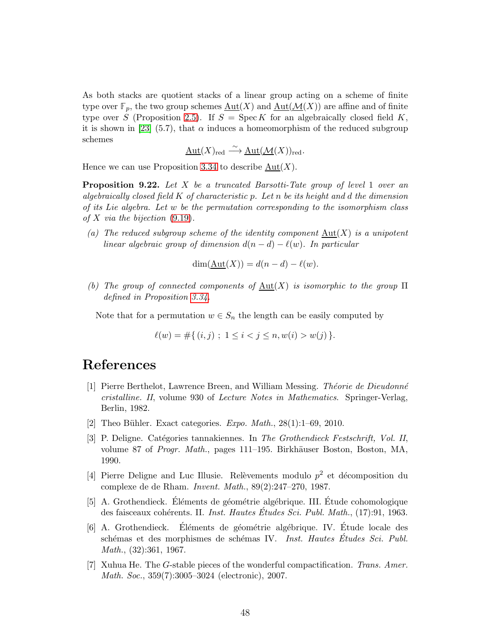As both stacks are quotient stacks of a linear group acting on a scheme of finite type over  $\mathbb{F}_p$ , the two group schemes  $\underline{\mathrm{Aut}}(X)$  and  $\underline{\mathrm{Aut}}(\mathcal{M}(X))$  are affine and of finite type over S (Proposition [2.5\)](#page-8-3). If  $S = \text{Spec } K$  for an algebraically closed field K, it is shown in [\[23\]](#page-48-9) (5.7), that  $\alpha$  induces a homeomorphism of the reduced subgroup schemes

$$
\underline{\mathrm{Aut}}(X)_{\mathrm{red}} \stackrel{\sim}{\longrightarrow} \underline{\mathrm{Aut}}(\underline{\mathcal{M}}(X))_{\mathrm{red}}.
$$

Hence we can use Proposition 3.34 to describe  $Aut(X)$ .

**Proposition 9.22.** Let  $X$  be a truncated Barsotti-Tate group of level 1 over an algebraically closed field  $K$  of characteristic p. Let n be its height and d the dimension of its Lie algebra. Let w be the permutation corresponding to the isomorphism class of X via the bijection  $(9.19)$ .

(a) The reduced subgroup scheme of the identity component  $\text{Aut}(X)$  is a unipotent linear algebraic group of dimension  $d(n - d) - \ell(w)$ . In particular

$$
\dim(\underline{\mathrm{Aut}}(X)) = d(n-d) - \ell(w).
$$

(b) The group of connected components of  $\text{Aut}(X)$  is isomorphic to the group  $\Pi$ defined in Proposition 3.34.

Note that for a permutation  $w \in S_n$  the length can be easily computed by

$$
\ell(w) = \#\{ (i,j) ; 1 \le i < j \le n, w(i) > w(j) \}.
$$

# <span id="page-47-6"></span>References

- [1] Pierre Berthelot, Lawrence Breen, and William Messing. Theorie de Dieudonné cristalline. II, volume 930 of Lecture Notes in Mathematics. Springer-Verlag, Berlin, 1982.
- <span id="page-47-3"></span><span id="page-47-2"></span>[2] Theo Bühler. Exact categories.  $Expo$ .  $Math., 28(1):1-69, 2010$ .
- [3] P. Deligne. Catégories tannakiennes. In The Grothendieck Festschrift, Vol. II, volume 87 of *Progr. Math.*, pages 111–195. Birkhäuser Boston, Boston, MA, 1990.
- <span id="page-47-4"></span>[4] Pierre Deligne and Luc Illusie. Relèvements modulo  $p^2$  et décomposition du complexe de de Rham. Invent. Math., 89(2):247–270, 1987.
- <span id="page-47-5"></span>[5] A. Grothendieck. Eléments de géométrie algébrique. III. Étude cohomologique des faisceaux cohérents. II. Inst. Hautes Études Sci. Publ. Math., (17):91, 1963.
- <span id="page-47-0"></span>[6] A. Grothendieck. Éléments de géométrie algébrique. IV. Étude locale des schémas et des morphismes de schémas IV. Inst. Hautes Études Sci. Publ. Math., (32):361, 1967.
- <span id="page-47-1"></span>[7] Xuhua He. The G-stable pieces of the wonderful compactification. Trans. Amer. Math. Soc., 359(7):3005–3024 (electronic), 2007.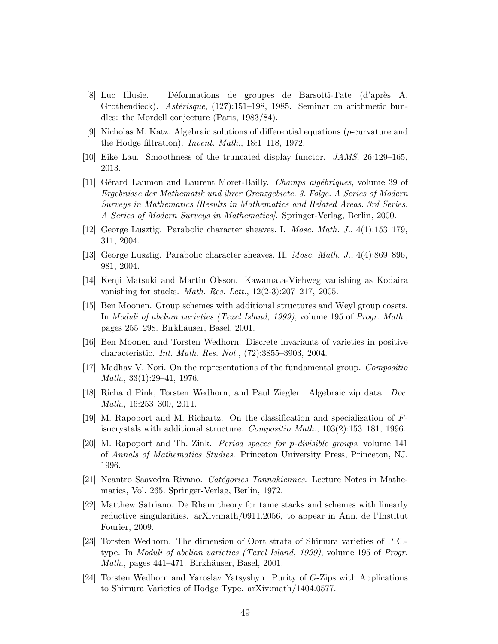- <span id="page-48-16"></span>[8] Luc Illusie. Déformations de groupes de Barsotti-Tate (d'après A. Grothendieck). Astérisque, (127):151–198, 1985. Seminar on arithmetic bundles: the Mordell conjecture (Paris, 1983/84).
- <span id="page-48-10"></span>[9] Nicholas M. Katz. Algebraic solutions of differential equations (p-curvature and the Hodge filtration). Invent. Math., 18:1–118, 1972.
- <span id="page-48-14"></span><span id="page-48-8"></span>[10] Eike Lau. Smoothness of the truncated display functor. JAMS, 26:129–165, 2013.
- [11] Gérard Laumon and Laurent Moret-Bailly. *Champs algébriques*, volume 39 of Ergebnisse der Mathematik und ihrer Grenzgebiete. 3. Folge. A Series of Modern Surveys in Mathematics [Results in Mathematics and Related Areas. 3rd Series. A Series of Modern Surveys in Mathematics]. Springer-Verlag, Berlin, 2000.
- <span id="page-48-3"></span><span id="page-48-2"></span>[12] George Lusztig. Parabolic character sheaves. I. Mosc. Math. J., 4(1):153–179, 311, 2004.
- <span id="page-48-12"></span>[13] George Lusztig. Parabolic character sheaves. II. Mosc. Math. J., 4(4):869–896, 981, 2004.
- <span id="page-48-13"></span>[14] Kenji Matsuki and Martin Olsson. Kawamata-Viehweg vanishing as Kodaira vanishing for stacks. *Math. Res. Lett.*,  $12(2-3):207-217$ ,  $2005$ .
- [15] Ben Moonen. Group schemes with additional structures and Weyl group cosets. In Moduli of abelian varieties (Texel Island, 1999), volume 195 of Progr. Math., pages 255–298. Birkhäuser, Basel, 2001.
- <span id="page-48-4"></span><span id="page-48-1"></span>[16] Ben Moonen and Torsten Wedhorn. Discrete invariants of varieties in positive characteristic. Int. Math. Res. Not., (72):3855–3903, 2004.
- [17] Madhav V. Nori. On the representations of the fundamental group. Compositio Math., 33(1):29–41, 1976.
- <span id="page-48-6"></span><span id="page-48-0"></span>[18] Richard Pink, Torsten Wedhorn, and Paul Ziegler. Algebraic zip data. Doc. Math., 16:253–300, 2011.
- [19] M. Rapoport and M. Richartz. On the classification and specialization of Fisocrystals with additional structure. Compositio Math.,  $103(2):153-181$ , 1996.
- <span id="page-48-15"></span>[20] M. Rapoport and Th. Zink. Period spaces for p-divisible groups, volume 141 of Annals of Mathematics Studies. Princeton University Press, Princeton, NJ, 1996.
- <span id="page-48-5"></span>[21] Neantro Saavedra Rivano. *Catégories Tannakiennes*. Lecture Notes in Mathematics, Vol. 265. Springer-Verlag, Berlin, 1972.
- <span id="page-48-11"></span>[22] Matthew Satriano. De Rham theory for tame stacks and schemes with linearly reductive singularities. arXiv:math/0911.2056, to appear in Ann. de l'Institut Fourier, 2009.
- <span id="page-48-9"></span>[23] Torsten Wedhorn. The dimension of Oort strata of Shimura varieties of PELtype. In Moduli of abelian varieties (Texel Island, 1999), volume 195 of Progr. Math., pages 441–471. Birkhäuser, Basel, 2001.
- <span id="page-48-7"></span>[24] Torsten Wedhorn and Yaroslav Yatsyshyn. Purity of G-Zips with Applications to Shimura Varieties of Hodge Type. arXiv:math/1404.0577.